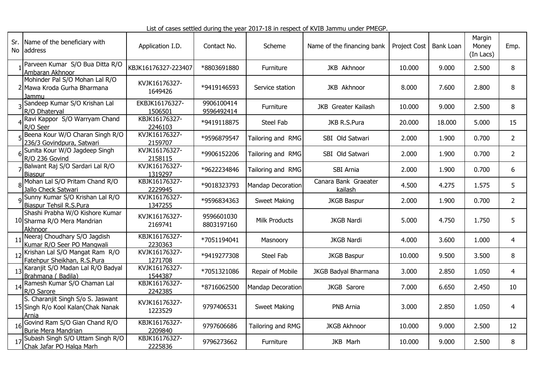List of cases settled during the year 2017-18 in respect of KVIB Jammu under PMEGP.

| Sr. | Name of the beneficiary with<br>No address                                        | Application I.D.          | Contact No.              | Scheme               | Name of the financing bank      | <b>Project Cost</b> | Bank Loan | Margin<br>Money<br>(In Lacs) | Emp.           |
|-----|-----------------------------------------------------------------------------------|---------------------------|--------------------------|----------------------|---------------------------------|---------------------|-----------|------------------------------|----------------|
|     | Parveen Kumar S/O Bua Ditta R/O<br>Ambaran Akhnoor                                | KBJK16176327-223407       | *8803691880              | Furniture            | JKB Akhnoor                     | 10.000              | 9.000     | 2.500                        | 8              |
|     | Mohinder Pal S/O Mohan Lal R/O<br>Mawa Kroda Gurha Bharmana<br>Jammu              | KVJK16176327-<br>1649426  | *9419146593              | Service station      | <b>JKB Akhnoor</b>              | 8.000               | 7.600     | 2,800                        | 8              |
|     | Sandeep Kumar S/O Krishan Lal<br>R/O Dhateryal                                    | EKBJK16176327-<br>1506501 | 9906100414<br>9596492414 | Furniture            | JKB Greater Kailash             | 10.000              | 9.000     | 2.500                        | 8              |
|     | Ravi Kappor S/O Warryam Chand<br>R/O Seer                                         | KBJK16176327-<br>2246103  | *9419118875              | Steel Fab            | JKB R.S.Pura                    | 20.000              | 18.000    | 5.000                        | 15             |
|     | Beena Kour W/O Charan Singh R/O<br>236/3 Govindpura, Satwari                      | KVJK16176327-<br>2159707  | *9596879547              | Tailoring and RMG    | SBI Old Satwari                 | 2.000               | 1.900     | 0.700                        | $\overline{2}$ |
|     | Sunita Kour W/O Jagdeep Singh<br>R/O 236 Govind                                   | KVJK16176327-<br>2158115  | *9906152206              | Tailoring and RMG    | SBI Old Satwari                 | 2.000               | 1.900     | 0.700                        | $\overline{2}$ |
|     | Balwant Raj S/O Sardari Lal R/O<br>Biaspur                                        | KVJK16176327-<br>1319297  | *9622234846              | Tailoring and RMG    | SBI Arnia                       | 2.000               | 1.900     | 0.700                        | 6              |
|     | Mohan Lal S/O Pritam Chand R/O<br>Jallo Check Satwari                             | KBJK16176327-<br>2229945  | *9018323793              | Mandap Decoration    | Canara Bank Graeater<br>kailash | 4.500               | 4.275     | 1.575                        | 5              |
|     | Sunny Kumar S/O Krishan Lal R/O<br>Biaspur Tehsil R.S.Pura                        | KVJK16176327-<br>1347255  | *9596834363              | <b>Sweet Making</b>  | <b>JKGB Baspur</b>              | 2.000               | 1.900     | 0.700                        | $\overline{2}$ |
|     | Shashi Prabha W/O Kishore Kumar<br>10 Sharma R/O Mera Mandrian<br><b>Akhnoor</b>  | KVJK16176327-<br>2169741  | 9596601030<br>8803197160 | <b>Milk Products</b> | <b>JKGB Nardi</b>               | 5.000               | 4.750     | 1.750                        | 5              |
| 11  | Neeraj Choudhary S/O Jagdish<br>Kumar R/O Seer PO Mangwali                        | KBJK16176327-<br>2230363  | *7051194041              | Masnoory             | <b>JKGB Nardi</b>               | 4.000               | 3.600     | 1.000                        | 4              |
| 12  | Krishan Lal S/O Mangat Ram R/O<br>Fatehpur Sheikhan, R.S.Pura                     | KVJK16176327-<br>1271708  | *9419277308              | Steel Fab            | <b>JKGB Baspur</b>              | 10.000              | 9.500     | 3.500                        | 8              |
| -13 | Karanjit S/O Madan Lal R/O Badyal<br>Brahmana (Badila)                            | KVJK16176327-<br>1544387  | *7051321086              | Repair of Mobile     | JKGB Badyal Bharmana            | 3.000               | 2.850     | 1.050                        | 4              |
| 14  | Ramesh Kumar S/O Chaman Lal<br>R/O Sarore                                         | KBJK16176327-<br>2242385  | *8716062500              | Mandap Decoration    | JKGB Sarore                     | 7.000               | 6.650     | 2.450                        | 10             |
|     | S. Charanjit Singh S/o S. Jaswant<br>15 Singh R/o Kool Kalan (Chak Nanak<br>Arnia | KVJK16176327-<br>1223529  | 9797406531               | <b>Sweet Making</b>  | PNB Arnia                       | 3.000               | 2.850     | 1.050                        | 4              |
| -16 | Govind Ram S/O Gian Chand R/O<br><b>Burie Mera Mandrian</b>                       | KBJK16176327-<br>2209840  | 9797606686               | Tailoring and RMG    | <b>JKGB Akhnoor</b>             | 10.000              | 9.000     | 2.500                        | 12             |
| 17  | Subash Singh S/O Uttam Singh R/O<br>Chak Jafar PO Halga Marh                      | KBJK16176327-<br>2225836  | 9796273662               | Furniture            | JKB Marh                        | 10.000              | 9.000     | 2.500                        | 8              |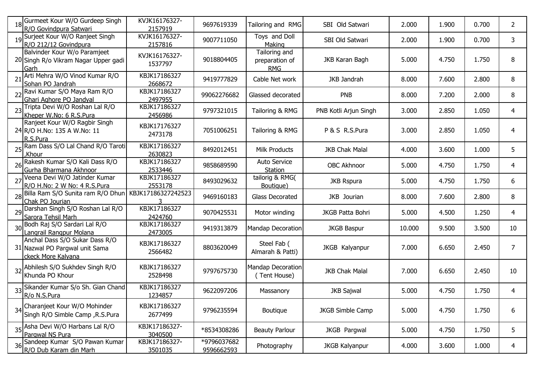|             | 18 Gurmeet Kour W/O Gurdeep Singh<br>R/O Govindpura Satwari                            | KVJK16176327-<br>2157919 | 9697619339                | Tailoring and RMG                             | SBI Old Satwari         | 2.000  | 1.900 | 0.700 | 2  |
|-------------|----------------------------------------------------------------------------------------|--------------------------|---------------------------|-----------------------------------------------|-------------------------|--------|-------|-------|----|
|             | 19 Surjeet Kour W/O Ranjeet Singh<br>R/O 212/12 Govindpura                             | KVJK16176327-<br>2157816 | 9007711050                | Toys and Doll<br>Making                       | SBI Old Satwari         | 2.000  | 1.900 | 0.700 | 3  |
|             | Balvinder Kour W/o Paramjeet<br>20 Singh R/o Vikram Nagar Upper gadi<br>Garh           | KVJK16176327-<br>1537797 | 9018804405                | Tailoring and<br>preparation of<br><b>RMG</b> | JKB Karan Bagh          | 5.000  | 4.750 | 1.750 | 8  |
| $2^{\circ}$ | Arti Mehra W/O Vinod Kumar R/O<br>Sohan PO Jandrah                                     | KBJK17186327<br>2668672  | 9419777829                | Cable Net work                                | JKB Jandrah             | 8.000  | 7.600 | 2.800 | 8  |
|             | Ravi Kumar S/O Maya Ram R/O<br>Ghari Aghore PO Jandyal                                 | KBJK17186327<br>2497955  | 99062276682               | Glassed decorated                             | <b>PNB</b>              | 8.000  | 7.200 | 2.000 | 8  |
|             | Tripta Devi W/O Roshan Lal R/O<br>Kheper W.No: 6 R.S.Pura                              | KBJK17186327<br>2456986  | 9797321015                | Tailoring & RMG                               | PNB Kotli Arjun Singh   | 3.000  | 2.850 | 1.050 | 4  |
|             | Ranjeet Kour W/O Ragbir Singh<br>24 R/O H.No: 135 A W.No: 11<br>R.S.Pura               | KBJK17176327<br>2473178  | 7051006251                | Tailoring & RMG                               | P & S R.S.Pura          | 3.000  | 2.850 | 1.050 | 4  |
|             | 25 Ram Dass S/O Lal Chand R/O Taroti<br>,Khour                                         | KBJK17186327<br>2630823  | 8492012451                | <b>Milk Products</b>                          | <b>JKB Chak Malal</b>   | 4.000  | 3.600 | 1.000 | 5  |
| 26          | Rakesh Kumar S/O Kali Dass R/O<br>Gurha Bharmana Akhnoor                               | KBJK17186327<br>2533446  | 9858689590                | Auto Service<br>Station                       | <b>OBC Akhnoor</b>      | 5.000  | 4.750 | 1.750 | 4  |
| 27          | Veena Devi W/O Jatinder Kumar<br>R/O H.No: 2 W No: 4 R.S.Pura                          | KBJK17186327<br>2553178  | 8493029632                | tailorig & RMG(<br>Boutique)                  | <b>JKB Rspura</b>       | 5.000  | 4.750 | 1.750 | 6  |
|             | 28 Billa Ram S/O Sunita ram R/O Dhun<br>Chak PO Jourian                                | KBJK17186327242523       | 9469160183                | Glass Decorated                               | JKB Jourian             | 8.000  | 7.600 | 2.800 | 8  |
|             | 29 Darshan Singh S/O Roshan Lal R/O<br>Sarora Tehsil Marh                              | KBJK17186327<br>2424760  | 9070425531                | Motor winding                                 | JKGB Patta Bohri        | 5.000  | 4.500 | 1.250 | 4  |
|             | 30 Bodh Raj S/O Sardari Lal R/O<br>Langrail Rangpur Molana                             | KBJK17186327<br>2473005  | 9419313879                | Mandap Decoration                             | <b>JKGB Baspur</b>      | 10.000 | 9.500 | 3.500 | 10 |
|             | Anchal Dass S/O Sukar Dass R/O<br>31 Nazwal PO Pargwal unit Sama<br>ckeck More Kalvana | KBJK17186327<br>2566482  | 8803620049                | Steel Fab (<br>Almarah & Patti)               | JKGB Kalyanpur          | 7.000  | 6.650 | 2.450 | 7  |
|             | 32 Abhilesh S/O Sukhdev Singh R/O<br>Khunda PO Khour                                   | KBJK17186327<br>2528498  | 9797675730                | Mandap Decoration<br>(Tent House)             | <b>JKB Chak Malal</b>   | 7.000  | 6.650 | 2.450 | 10 |
|             | 33 Sikander Kumar S/o Sh. Gian Chand<br>R/o N.S.Pura                                   | KBJK17186327<br>1234857  | 9622097206                | Massanory                                     | <b>JKB Sajwal</b>       | 5.000  | 4.750 | 1.750 | 4  |
|             | 34 Charanjeet Kour W/O Mohinder<br>Singh R/O Simble Camp , R.S.Pura                    | KBJK17186327<br>2677499  | 9796235594                | Boutique                                      | <b>JKGB Simble Camp</b> | 5.000  | 4.750 | 1.750 | 6  |
|             | 35 Asha Devi W/O Harbans Lal R/O<br>Pargwal NS Pura                                    | KBJK17186327-<br>3040500 | *8534308286               | <b>Beauty Parlour</b>                         | JKGB Pargwal            | 5.000  | 4.750 | 1.750 | 5  |
|             | 36 Sandeep Kumar S/O Pawan Kumar<br>R/O Dub Karam din Marh                             | KBJK17186327-<br>3501035 | *9796037682<br>9596662593 | Photography                                   | <b>JKGB Kalyanpur</b>   | 4.000  | 3.600 | 1.000 | 4  |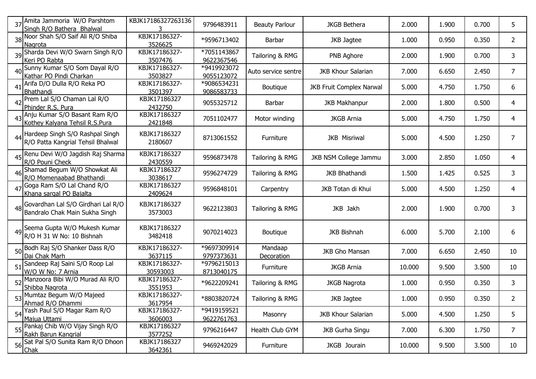|    | 37 Amita Jammoria W/O Parshtom<br>Singh R/O Bathera Bhalwal             | KBJK17186327263136               | 9796483911                | <b>Beauty Parlour</b> | <b>JKGB Bethera</b>             | 2.000  | 1.900 | 0.700 | 5               |
|----|-------------------------------------------------------------------------|----------------------------------|---------------------------|-----------------------|---------------------------------|--------|-------|-------|-----------------|
|    | 38 Noor Shah S/O Saif Ali R/O Shiba<br>Nagrota                          | KBJK17186327-<br>3526625         | *9596713402               | Barbar                | JKB Jagtee                      | 1.000  | 0.950 | 0.350 | 2               |
|    | 39 Sharda Devi W/O Swarn Singh R/O<br>Keri PO Rabta                     | KBJK17186327-<br>3507476         | *7051143867<br>9622367546 | Tailoring & RMG       | PNB Aghore                      | 2.000  | 1.900 | 0.700 | 3               |
|    | 40 Sunny Kumar S/O Som Dayal R/O<br>Kathar PO Pindi Charkan             | KBJK17186327-<br>3503827         | *9419923072<br>9055123072 | Auto service sentre   | <b>JKB Khour Salarian</b>       | 7.000  | 6.650 | 2.450 | 7               |
| 41 | Arifa D/O Dulla R/O Reka PO<br>Bhathandi                                | KBJK17186327-<br>3501397         | *9086534231<br>9086583733 | Boutique              | <b>JKB Fruit Complex Narwal</b> | 5.000  | 4.750 | 1.750 | 6               |
|    | Prem Lal S/O Chaman Lal R/O<br>Phinder R.S. Pura                        | KBJK17186327<br>2432750          | 9055325712                | Barbar                | <b>JKB Makhanpur</b>            | 2.000  | 1.800 | 0.500 | 4               |
|    | 43 Anju Kumar S/O Basant Ram R/O<br>Kothey Kalyana Tehsil R.S.Pura      | KBJK17186327<br>2421848          | 7051102477                | Motor winding         | <b>JKGB Arnia</b>               | 5.000  | 4.750 | 1.750 | 4               |
|    | 44 Hardeep Singh S/O Rashpal Singh<br>R/O Patta Kangrial Tehsil Bhalwal | KBJK17186327<br>2180607          | 8713061552                | Furniture             | <b>JKB Misriwal</b>             | 5.000  | 4.500 | 1.250 | 7               |
|    | 45 Renu Devi W/O Jagdish Raj Sharma<br>R/O Pouni Check                  | KBJK17186327<br>2430559          | 9596873478                | Tailoring & RMG       | JKB NSM College Jammu           | 3.000  | 2.850 | 1.050 | 4               |
|    | Shamad Begum W/O Showkat Ali<br>R/O Momenaabad Bhathandi                | KBJK17186327<br>3038617          | 9596274729                | Tailoring & RMG       | <b>JKB Bhathandi</b>            | 1.500  | 1.425 | 0.525 | 3               |
|    | 47 Goga Ram S/O Lal Chand R/O<br>Khana sargal PO Bajalta                | KBJK17186327<br>2409624          | 9596848101                | Carpentry             | JKB Totan di Khui               | 5.000  | 4.500 | 1.250 | 4               |
|    | 48 Govardhan Lal S/O Girdhari Lal R/O<br>Bandralo Chak Main Sukha Singh | KBJK17186327<br>3573003          | 9622123803                | Tailoring & RMG       | JKB Jakh                        | 2.000  | 1.900 | 0.700 | 3               |
|    | 49 Seema Gupta W/O Mukesh Kumar<br>R/O H 31 W No: 10 Bishnah            | KBJK17186327<br>3482418          | 9070214023                | Boutique              | <b>JKB Bishnah</b>              | 6.000  | 5.700 | 2.100 | 6               |
|    | 50 Bodh Raj S/O Shanker Dass R/O<br>Dai Chak Marh                       | KBJK17186327-<br>3637115         | *9697309914<br>9797373631 | Mandaap<br>Decoration | <b>JKB Gho Mansan</b>           | 7.000  | 6.650 | 2.450 | 10              |
|    | Sandeep Raj Saini S/O Roop Lal<br>W/O W No: 7 Arnia                     | KBJK17186327-<br>30593003        | *9796215013<br>8713040175 | Furniture             | <b>JKGB Arnia</b>               | 10.000 | 9.500 | 3.500 | 10              |
|    | Manzoora Bibi W/O Murad Ali R/O<br>Shibba Nagrota                       | KBJK17186327-<br>3551953         | *9622209241               | Tailoring & RMG       | <b>JKGB Nagrota</b>             | 1.000  | 0.950 | 0.350 | 3               |
|    | 53 Mumtaz Begum W/O Majeed<br>Ahmad R/O Dhammi                          | KBJK17186327-<br><u>3617954 </u> | *8803820724               | Tailoring & RMG       | JKB Jagtee                      | 1.000  | 0.950 | 0.350 | 2               |
|    | 54 Yash Paul S/O Magar Ram R/O<br>Majua Uttami                          | KBJK17186327-<br>3606003         | *9419159521<br>9622761763 | Masonry               | <b>JKB Khour Salarian</b>       | 5.000  | 4.500 | 1.250 | 5               |
|    | 55 Pankaj Chib W/O Vijay Singh R/O<br>Rakh Barun Kangrial               | KBJK17186327<br>3577252          | 9796216447                | Health Club GYM       | JKB Gurha Singu                 | 7.000  | 6.300 | 1.750 | 7               |
|    | 56 Sat Pal S/O Sunita Ram R/O Dhoon<br>Chak                             | KBJK17186327<br>3642361          | 9469242029                | Furniture             | JKGB Jourain                    | 10.000 | 9.500 | 3.500 | 10 <sup>°</sup> |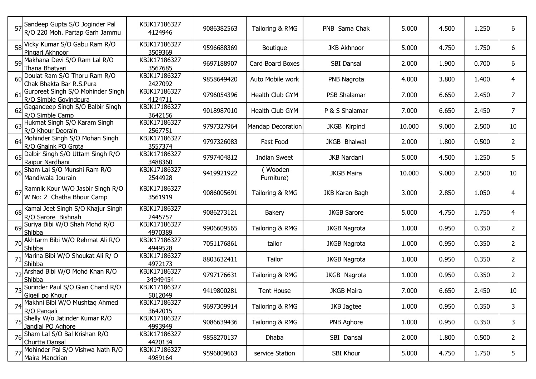|    | 57 Sandeep Gupta S/O Joginder Pal<br>R/O 220 Moh. Partap Garh Jammu | KBJK17186327<br>4124946  | 9086382563 | Tailoring & RMG          | PNB Sama Chak       | 5.000  | 4.500 | 1.250 | 6              |
|----|---------------------------------------------------------------------|--------------------------|------------|--------------------------|---------------------|--------|-------|-------|----------------|
|    | 58 Vicky Kumar S/O Gabu Ram R/O<br>Pingari Akhnoor                  | KBJK17186327<br>3509369  | 9596688369 | <b>Boutique</b>          | <b>JKB Akhnoor</b>  | 5.000  | 4.750 | 1.750 | 6              |
|    | 59 Makhana Devi S/O Ram Lal R/O<br>Thana Bhatyari                   | KBJK17186327<br>3567685  | 9697188907 | Card Board Boxes         | <b>SBI Dansal</b>   | 2.000  | 1.900 | 0.700 | 6              |
|    | 60 Doulat Ram S/O Thoru Ram R/O<br>Chak Bhakta Bar R.S.Pura         | KBJK17186327<br>2427092  | 9858649420 | Auto Mobile work         | PNB Nagrota         | 4.000  | 3.800 | 1.400 | 4              |
| 61 | Gurpreet Singh S/O Mohinder Singh<br>R/O_Simble_Govindpura          | KBJK17186327<br>4124711  | 9796054396 | Health Club GYM          | PSB Shalamar        | 7.000  | 6.650 | 2.450 | 7              |
| 62 | Gagandeep Singh S/O Balbir Singh<br>R/O Simble Camp                 | KBJK17186327<br>3642156  | 9018987010 | Health Club GYM          | P & S Shalamar      | 7.000  | 6.650 | 2.450 | 7              |
|    | 63 Hukmat Singh S/O Karam Singh<br>R/O Khour Deorain                | KBJK17186327<br>2567751  | 9797327964 | <b>Mandap Decoration</b> | <b>JKGB Kirpind</b> | 10.000 | 9.000 | 2.500 | 10             |
| 64 | Mohinder Singh S/O Mohan Singh<br>R/O Ghaink PO Grota               | KBJK17186327<br>3557374  | 9797326083 | Fast Food                | JKGB Bhalwal        | 2.000  | 1.800 | 0.500 | 2              |
|    | 65 Dalbir Singh S/O Uttam Singh R/O<br>Raipur Nardhani              | KBJK17186327<br>3488360  | 9797404812 | <b>Indian Sweet</b>      | <b>JKB Nardani</b>  | 5.000  | 4.500 | 1.250 | 5              |
|    | 66 Sham Lal S/O Munshi Ram R/O<br>Mandiwala Jourain                 | KBJK17186327<br>2544928  | 9419921922 | Wooden<br>Furniture)     | <b>JKGB Maira</b>   | 10.000 | 9.000 | 2.500 | 10             |
| 67 | Ramnik Kour W/O Jasbir Singh R/O<br>W No: 2 Chatha Bhour Camp       | KBJK17186327<br>3561919  | 9086005691 | Tailoring & RMG          | JKB Karan Bagh      | 3.000  | 2.850 | 1.050 | 4              |
|    | 68 Kamal Jeet Singh S/O Khajur Singh<br>R/O Sarore Bishnah          | KBJK17186327<br>2445757  | 9086273121 | <b>Bakery</b>            | <b>JKGB Sarore</b>  | 5.000  | 4.750 | 1.750 | 4              |
|    | 69 Suriya Bibi W/O Shah Mohd R/O<br>Shibba                          | KBJK17186327<br>4970389  | 9906609565 | Tailoring & RMG          | <b>JKGB Nagrota</b> | 1.000  | 0.950 | 0.350 | 2              |
|    | 70 Akhtarm Bibi W/O Rehmat Ali R/O<br>Shibba                        | KBJK17186327<br>4949528  | 7051176861 | tailor                   | <b>JKGB Nagrota</b> | 1.000  | 0.950 | 0.350 | 2              |
|    | Marina Bibi W/O Shoukat Ali R/O<br>Shibba                           | KBJK17186327<br>4972173  | 8803632411 | Tailor                   | <b>JKGB Nagrota</b> | 1.000  | 0.950 | 0.350 | 2              |
|    | Arshad Bibi W/O Mohd Khan R/O<br>Shibba                             | KBJK17186327<br>34949454 | 9797176631 | Tailoring & RMG          | JKGB Nagrota        | 1.000  | 0.950 | 0.350 | 2              |
|    | Surinder Paul S/O Gian Chand R/O<br>Gigeil po Khour                 | KBJK17186327<br>5012049  | 9419800281 | <b>Tent House</b>        | <b>JKGB Maira</b>   | 7.000  | 6.650 | 2.450 | 10             |
|    | 74 Makhni Bibi W/O Mushtaq Ahmed<br>R/O Pangali                     | KBJK17186327<br>3642015  | 9697309914 | Tailoring & RMG          | JKB Jagtee          | 1.000  | 0.950 | 0.350 | 3              |
|    | 75 Shelly W/o Jatinder Kumar R/O<br>Jandial PO Aghore               | KBJK17186327<br>4993949  | 9086639436 | Tailoring & RMG          | PNB Aghore          | 1.000  | 0.950 | 0.350 | 3              |
|    | 76 Sham Lal S/O Bal Krishan R/O<br>Churtta Dansal                   | KBJK17186327<br>4420134  | 9858270137 | Dhaba                    | SBI Dansal          | 2.000  | 1.800 | 0.500 | $\overline{2}$ |
|    | 77 Mohinder Pal S/O Vishwa Nath R/O<br>Maira Mandrian               | KBJK17186327<br>4989164  | 9596809663 | service Station          | SBI Khour           | 5.000  | 4.750 | 1.750 | 5              |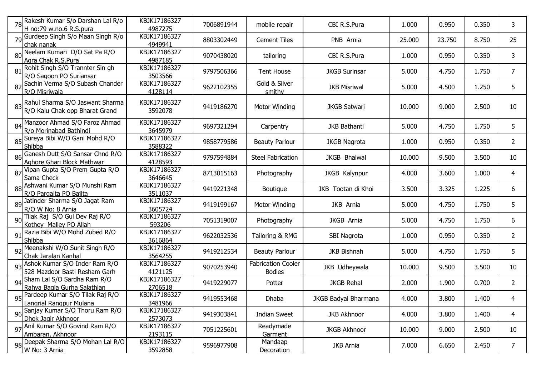|    | 78 Rakesh Kumar S/o Darshan Lal R/o                                  | KBJK17186327                   | 7006891944 | mobile repair                              | CBI R.S.Pura         | 1.000  | 0.950  | 0.350 | 3              |
|----|----------------------------------------------------------------------|--------------------------------|------------|--------------------------------------------|----------------------|--------|--------|-------|----------------|
|    | H no:79 w.no.6 R.S.pura                                              | 4987275                        |            |                                            |                      |        |        |       |                |
|    | 79 Gurdeep Singh S/o Maan Singh R/o<br>chak nanak                    | KBJK17186327<br>4949941        | 8803302449 | <b>Cement Tiles</b>                        | PNB Arnia            | 25.000 | 23.750 | 8.750 | 25             |
| 80 | Neelam Kumari D/O Sat Pa R/O<br>Agra Chak R.S.Pura                   | KBJK17186327<br>4987185        | 9070438020 | tailoring                                  | CBI R.S.Pura         | 1.000  | 0.950  | 0.350 | 3              |
| 81 | Rohit Singh S/O Trannter Sin gh<br>R/O Sagoon PO Suriansar           | KBJK17186327<br>3503566        | 9797506366 | <b>Tent House</b>                          | <b>JKGB Surinsar</b> | 5.000  | 4.750  | 1.750 | 7              |
|    | 82 Sachin Verma S/O Subash Chander<br>R/O Misriwala                  | KBJK17186327<br>4128114        | 9622102355 | Gold & Silver<br>smithy                    | <b>JKB Misriwal</b>  | 5.000  | 4.500  | 1.250 | 5              |
|    | 83 Rahul Sharma S/O Jaswant Sharma<br>R/O Kalu Chak opp Bharat Grand | KBJK17186327<br>3592078        | 9419186270 | <b>Motor Winding</b>                       | <b>JKGB Satwari</b>  | 10.000 | 9.000  | 2.500 | 10             |
|    | 84 Manzoor Ahmad S/O Faroz Ahmad<br>R/o Morinabad Bathindi           | KBJK17186327<br>3645979        | 9697321294 | Carpentry                                  | <b>JKB Bathanti</b>  | 5.000  | 4.750  | 1.750 | 5              |
|    | Sureya Bibi W/O Gani Mohd R/O<br>Shibba                              | KBJK17186327<br>3588322        | 9858779586 | <b>Beauty Parlour</b>                      | <b>JKGB Nagrota</b>  | 1.000  | 0.950  | 0.350 | $\overline{2}$ |
|    | Ganesh Dutt S/O Sansar Chnd R/O<br>Aghore Ghari Block Mathwar        | KBJK17186327<br>4128593        | 9797594884 | <b>Steel Fabrication</b>                   | <b>JKGB Bhalwal</b>  | 10.000 | 9.500  | 3.500 | 10             |
| 87 | Vipan Gupta S/O Prem Gupta R/O<br>Sama Check                         | KBJK17186327<br>3646645        | 8713015163 | Photography                                | <b>JKGB Kalynpur</b> | 4.000  | 3.600  | 1.000 | 4              |
|    | 88 Ashwani Kumar S/O Munshi Ram<br>R/O Pargalta PO Bajlta            | KBJK17186327<br>3511037        | 9419221348 | Boutique                                   | JKB Tootan di Khoi   | 3.500  | 3.325  | 1.225 | 6              |
|    | 89 Jatinder Sharma S/O Jagat Ram<br>R/O W No: 8 Arnia                | KBJK17186327<br>3605724        | 9419199167 | Motor Winding                              | JKB Arnia            | 5.000  | 4.750  | 1.750 | 5              |
|    | 90 Tilak Raj S/O Gul Dev Raj R/O<br>Kothey Malley PO Allah           | KBJK17186327<br>593206         | 7051319007 | Photography                                | JKGB Arnia           | 5.000  | 4.750  | 1.750 | 6              |
| 91 | Razia Bibi W/O Mohd Zubed R/O<br>Shibba                              | KBJK17186327<br>3616864        | 9622032536 | Tailoring & RMG                            | SBI Nagrota          | 1.000  | 0.950  | 0.350 | $\overline{2}$ |
|    | 92 Meenakshi W/O Sunit Singh R/O<br>Chak Jaralan Kanhal              | KBJK17186327<br>3564255        | 9419212534 | <b>Beauty Parlour</b>                      | <b>JKB Bishnah</b>   | 5.000  | 4.750  | 1.750 | 5              |
| 93 | Ashok Kumar S/O Inder Ram R/O<br>528 Mazdoor Basti Resham Garh       | KBJK17186327<br>4121125        | 9070253940 | <b>Fabrication Cooler</b><br><b>Bodies</b> | JKB Udheywala        | 10.000 | 9.500  | 3.500 | 10             |
|    | 94 Sham Lal S/O Sardha Ram R/O<br>Rahya Bagla Gurha Salathian        | KBJK17186327<br>2706518        | 9419229077 | Potter                                     | <b>JKGB Rehal</b>    | 2.000  | 1.900  | 0.700 | $\overline{2}$ |
|    | 95 Pardeep Kumar S/O Tilak Raj R/O<br><u>Langrial Rangpur Mulana</u> | KBJK17186327<br><u>3481966</u> | 9419553468 | Dhaba                                      | JKGB Badyal Bharmana | 4.000  | 3.800  | 1.400 | 4              |
|    | 96 Sanjay Kumar S/O Thoru Ram R/O<br>Dhok Jagir Akhnoor              | KBJK17186327<br>2573073        | 9419303841 | <b>Indian Sweet</b>                        | <b>JKB Akhnoor</b>   | 4.000  | 3.800  | 1.400 | 4              |
|    | 97 Anil Kumar S/O Govind Ram R/O<br>Ambaran, Akhnoor                 | KBJK17186327<br>2193115        | 7051225601 | Readymade<br>Garment                       | <b>JKGB Akhnoor</b>  | 10.000 | 9.000  | 2.500 | 10             |
|    | 98 Deepak Sharma S/O Mohan Lal R/O<br>W No: 3 Arnia                  | KBJK17186327<br>3592858        | 9596977908 | Mandaap<br><b>Decoration</b>               | <b>JKB Arnia</b>     | 7.000  | 6.650  | 2.450 | $\overline{7}$ |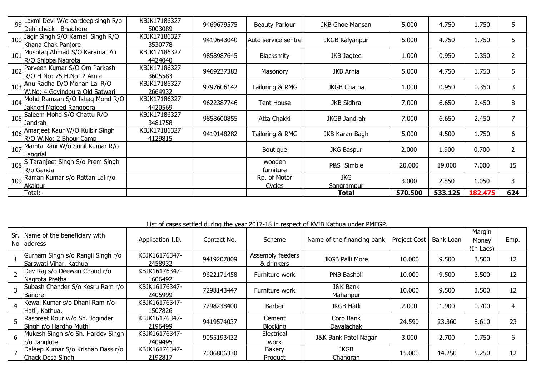|     | 99 Laxmi Devi W/o oardeep singh R/o<br>Dehi check Bhadhore        | KBJK17186327<br>5003089 | 9469679575 | <b>Beauty Parlour</b>  | <b>JKB Ghoe Mansan</b>   | 5.000   | 4.750   | 1.750   |                          |
|-----|-------------------------------------------------------------------|-------------------------|------------|------------------------|--------------------------|---------|---------|---------|--------------------------|
|     | 100 Jagir Singh S/O Karnail Singh R/O<br>Khana Chak Panjore       | KBJK17186327<br>3530778 | 9419643040 | Auto service sentre    | <b>JKGB Kalyanpur</b>    | 5.000   | 4.750   | 1.750   |                          |
| 101 | Mushtaq Ahmad S/O Karamat Ali<br>R/O Shibba Nagrota               | KBJK17186327<br>4424040 | 9858987645 | <b>Blacksmity</b>      | JKB Jagtee               | 1.000   | 0.950   | 0.350   |                          |
|     | 102 Parveen Kumar S/O Om Parkash<br>R/O H No: 75 H.No: 2 Arnia    | KBJK17186327<br>3605583 | 9469237383 | Masonory               | <b>JKB Arnia</b>         | 5.000   | 4.750   | 1.750   |                          |
|     | 103 Anu Radha D/O Mohan Lal R/O<br>W.No: 4 Govindpura Old Satwari | KBJK17186327<br>2664932 | 9797606142 | Tailoring & RMG        | <b>JKGB Chatha</b>       | 1.000   | 0.950   | 0.350   |                          |
|     | 104 Mohd Ramzan S/O Ishaq Mohd R/O<br>Jakhori Majeed Rangoora     | KBJK17186327<br>4420569 | 9622387746 | <b>Tent House</b>      | <b>JKB Sidhra</b>        | 7.000   | 6.650   | 2.450   | 8                        |
|     | 105 Saleem Mohd S/O Chattu R/O<br>l Jandrah                       | KBJK17186327<br>3481758 | 9858600855 | Atta Chakki            | JKGB Jandrah             | 7.000   | 6.650   | 2.450   |                          |
|     | 106 Amarjeet Kaur W/O Kulbir Singh<br>R/O W.No: 2 Bhour Camp      | KBJK17186327<br>4129815 | 9419148282 | Tailoring & RMG        | JKB Karan Bagh           | 5.000   | 4.500   | 1.750   | 6                        |
|     | 107 Mamta Rani W/o Sunil Kumar R/o<br>Langrial                    |                         |            | Boutique               | <b>JKG Baspur</b>        | 2.000   | 1.900   | 0.700   | $\overline{\phantom{a}}$ |
|     | 108 S Taranjeet Singh S/o Prem Singh<br>R/o Ganda                 |                         |            | wooden<br>furniture    | P&S Simble               | 20.000  | 19.000  | 7.000   | 15                       |
|     | 109 Raman Kumar s/o Rattan Lal r/o<br>Akalpur                     |                         |            | Rp. of Motor<br>Cycles | <b>JKG</b><br>Sangrampur | 3.000   | 2.850   | 1.050   | 3                        |
|     | Total:-                                                           |                         |            |                        | Total                    | 570.500 | 533.125 | 182.475 | 624                      |

List of cases settled during the year 2017-18 in respect of KVIB Kathua under PMEGP.

|    | Sr. Name of the beneficiary with<br>No laddress             | Application I.D.         | Contact No. | Scheme                         | Name of the financing bank      | <b>Project Cost</b> | <b>Bank Loan</b> | Margin<br>Money<br>(In Lacs) | Emp. |
|----|-------------------------------------------------------------|--------------------------|-------------|--------------------------------|---------------------------------|---------------------|------------------|------------------------------|------|
|    | Gurnam Singh s/o Rangil Singh r/o<br>Sarswati Vihar, Kathua | KBJK16176347-<br>2458932 | 9419207809  | Assembly feeders<br>& drinkers | <b>JKGB Palli More</b>          | 10.000              | 9.500            | 3.500                        | 12   |
|    | Dev Raj s/o Deewan Chand r/o<br>Nagrota Pretha              | KBJK16176347-<br>1606492 | 9622171458  | Furniture work                 | <b>PNB Basholi</b>              | 10.000              | 9.500            | 3.500                        | 12   |
|    | Subash Chander S/o Kesru Ram r/o<br><b>Banore</b>           | KBJK16176347-<br>2405999 | 7298143447  | Furniture work                 | <b>J&amp;K Bank</b><br>Mahanpur | 10,000              | 9.500            | 3.500                        | 12   |
|    | Kewal Kumar s/o Dhani Ram r/o<br>Hatli, Kathua.             | KBJK16176347-<br>1507826 | 7298238400  | Barber                         | <b>JKGB Hatli</b>               | 2.000               | 1.900            | 0.700                        | 4    |
| 5. | Raspreet Kour w/o Sh. Joginder<br>Singh r/o Hardho Muthi    | KBJK16176347-<br>2196499 | 9419574037  | Cement<br><b>Blocking</b>      | Corp Bank<br>Dayalachak         | 24.590              | 23,360           | 8.610                        | 23   |
| 6  | Mukesh Singh s/o Sh. Hardev Singh<br>Ir/o Janglote          | KBJK16176347-<br>2409495 | 9055193432  | Electrical<br>work             | J&K Bank Patel Nagar            | 3.000               | 2.700            | 0.750                        | 6    |
|    | Daleep Kumar S/o Krishan Dass r/o<br>Chack Desa Singh       | KBJK16176347-<br>2192817 | 7006806330  | Bakery<br>Product              | <b>JKGB</b><br>Changran         | 15.000              | 14.250           | 5.250                        | 12   |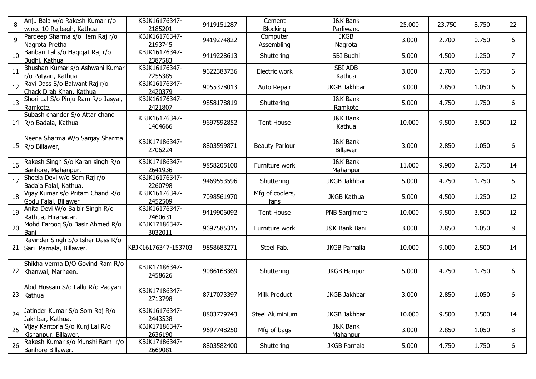| 8  | Anju Bala w/o Rakesh Kumar r/o<br>w.no. 10 Rajbagh, Kathua   | KBJK16176347-<br>2185201 | 9419151287 | Cement<br><b>Blocking</b> | <b>J&amp;K Bank</b><br>Parliwand       | 25.000 | 23.750 | 8.750 | 22             |
|----|--------------------------------------------------------------|--------------------------|------------|---------------------------|----------------------------------------|--------|--------|-------|----------------|
| 9  | Pardeep Sharma s/o Hem Raj r/o<br>Nagrota Pretha             | KBJK16176347-<br>2193745 | 9419274822 | Computer<br>Assembling    | <b>JKGB</b><br><b>Nagrota</b>          | 3.000  | 2.700  | 0.750 | 6              |
| 10 | Banbari Lal s/o Haqiqat Raj r/o<br>Budhi, Kathua             | KBJK16176347-<br>2387583 | 9419228613 | Shuttering                | SBI Budhi                              | 5.000  | 4.500  | 1.250 | $\overline{7}$ |
| 11 | Bhushan Kumar s/o Ashwani Kumar<br>r/o Patyari, Kathua       | KBJK16176347-<br>2255385 | 9622383736 | Electric work             | <b>SBI ADB</b><br>Kathua               | 3.000  | 2.700  | 0.750 | 6              |
| 12 | Ravi Dass S/o Balwant Raj r/o<br>Chack Drab Khan, Kathua     | KBJK16176347-<br>2420379 | 9055378013 | Auto Repair               | JKGB Jakhbar                           | 3.000  | 2.850  | 1.050 | 6              |
| 13 | Shori Lal S/o Pinju Ram R/o Jasyal,<br>Ramkote.              | KBJK16176347-<br>2421807 | 9858178819 | Shuttering                | <b>J&amp;K Bank</b><br>Ramkote         | 5.000  | 4.750  | 1.750 | 6              |
|    | Subash chander S/o Attar chand<br>14   R/o Badala, Kathua    | KBJK16176347-<br>1464666 | 9697592852 | <b>Tent House</b>         | <b>J&amp;K Bank</b><br>Kathua          | 10.000 | 9.500  | 3.500 | 12             |
| 15 | Neena Sharma W/o Sanjay Sharma<br>R/o Billawer,              | KBJK17186347-<br>2706224 | 8803599871 | <b>Beauty Parlour</b>     | <b>J&amp;K Bank</b><br>Billawer        | 3.000  | 2.850  | 1.050 | 6              |
| 16 | Rakesh Singh S/o Karan singh R/o<br>Banhore, Mahanpur.       | KBJK17186347-<br>2641936 | 9858205100 | Furniture work            | <b>J&amp;K Bank</b><br><b>Mahanpur</b> | 11.000 | 9.900  | 2.750 | 14             |
| 17 | Sheela Devi w/o Som Raj r/o<br>Badaia Falal, Kathua.         | KBJK16176347-<br>2260798 | 9469553596 | Shuttering                | <b>JKGB Jakhbar</b>                    | 5.000  | 4.750  | 1.750 | 5              |
| 18 | Vijay Kumar s/o Pritam Chand R/o<br>Godu Falal, Billawer     | KBJK16176347-<br>2452509 | 7098561970 | Mfg of coolers,<br>fans   | <b>JKGB Kathua</b>                     | 5.000  | 4.500  | 1.250 | 12             |
| 19 | Anita Devi W/o Balbir Singh R/o<br>Rathua, Hiranagar.        | KBJK16176347-<br>2460631 | 9419906092 | <b>Tent House</b>         | PNB Sanjimore                          | 10.000 | 9.500  | 3.500 | 12             |
| 20 | Mohd Farooq S/o Basir Ahmed R/o<br>Bani                      | KBJK17186347-<br>3032011 | 9697585315 | Furniture work            | J&K Bank Bani                          | 3.000  | 2.850  | 1.050 | 8              |
| 21 | Ravinder Singh S/o Isher Dass R/o<br>Sari Parnala, Billawer. | KBJK16176347-153703      | 9858683271 | Steel Fab.                | <b>JKGB Parnalla</b>                   | 10.000 | 9.000  | 2.500 | 14             |
| 22 | Shikha Verma D/O Govind Ram R/o<br>Khanwal, Marheen.         | KBJK17186347-<br>2458626 | 9086168369 | Shuttering                | <b>JKGB Haripur</b>                    | 5.000  | 4.750  | 1.750 | 6              |
| 23 | Abid Hussain S/o Lallu R/o Padyari<br>Kathua                 | KBJK17186347-<br>2713798 | 8717073397 | Milk Product              | <b>JKGB Jakhbar</b>                    | 3.000  | 2.850  | 1.050 | 6              |
| 24 | Jatinder Kumar S/o Som Raj R/o<br>Jakhbar, Kathua.           | KBJK16176347-<br>2443538 | 8803779743 | Steel Aluminium           | JKGB Jakhbar                           | 10.000 | 9.500  | 3.500 | 14             |
| 25 | Vijay Kantoria S/o Kunj Lal R/o<br>Kishanpur, Billawer.      | KBJK17186347-<br>2636190 | 9697748250 | Mfg of bags               | J&K Bank<br>Mahanpur                   | 3.000  | 2.850  | 1.050 | 8              |
| 26 | Rakesh Kumar s/o Munshi Ram r/o<br>Banhore Billawer.         | KBJK17186347-<br>2669081 | 8803582400 | Shuttering                | <b>JKGB Parnala</b>                    | 5.000  | 4.750  | 1.750 | 6              |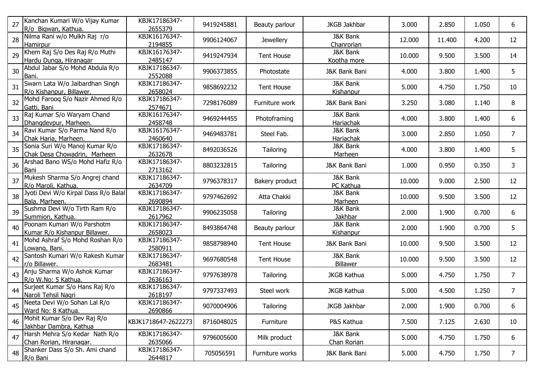| 27 | Kanchan Kumari W/o Vijay Kumar<br>R/o Bigwan, Kathua.          | KBJK17186347-<br>2655379 | 9419245881 | Beauty parlour    | JKGB Jakhbar                            | 3.000  | 2.850  | 1.050 | 6              |
|----|----------------------------------------------------------------|--------------------------|------------|-------------------|-----------------------------------------|--------|--------|-------|----------------|
| 28 | Nilma Rani w/o Mulkh Raj r/o<br>Hamirpur                       | KBJK16176347-<br>2194855 | 9906124067 | <b>Jewellery</b>  | <b>J&amp;K Bank</b><br>Chanrorian       | 12.000 | 11.400 | 4.200 | 12             |
| 29 | Khem Raj S/o Des Raj R/o Muthi<br>Hardu Dunga, Hiranagar       | KBJK16176347-<br>2485147 | 9419247934 | <b>Tent House</b> | <b>J&amp;K Bank</b><br>Kootha more      | 10.000 | 9.500  | 3.500 | 14             |
| 30 | Abdul Jabar S/o Mohd Abdula R/o<br>Bani.                       | KBJK17186347-<br>2552088 | 9906373855 | Photostate        | J&K Bank Bani                           | 4.000  | 3.800  | 1.400 | 5              |
| 31 | Swarn Lata W/o Jaibardhan Singh<br>R/o Kishanpur, Billawer.    | KBJK17186347-<br>2658024 | 9858692232 | <b>Tent House</b> | <b>J&amp;K Bank</b><br><b>Kishanpur</b> | 5.000  | 4.750  | 1.750 | 10             |
| 32 | Mohd Farooq S/o Nazir Ahmed R/o<br>Gatti, Bani                 | KBJK17186347-<br>2574671 | 7298176089 | Furniture work    | J&K Bank Bani                           | 3.250  | 3.080  | 1.140 | 8              |
| 33 | Raj Kumar S/o Waryam Chand<br>Dhangdevpur, Marheen.            | KBJK16176347-<br>2458748 | 9469244455 | Photoframing      | <b>J&amp;K Bank</b><br>Hariachak        | 4.000  | 3.800  | 1.400 | 6              |
| 34 | Ravi Kumar S/o Parma Nand R/o<br>Chak Haria, Marheen.          | KBJK16176347-<br>2460640 | 9469483781 | Steel Fab.        | <b>J&amp;K Bank</b><br>Hariachak        | 3.000  | 2.850  | 1.050 | $\overline{7}$ |
| 35 | Sonia Suri W/o Manoj Kumar R/o<br>Chak Desa Chowadrin, Marheen | KBJK17186347-<br>2632678 | 8492036526 | Tailoring         | <b>J&amp;K Bank</b><br>Marheen          | 4.000  | 3.800  | 1.400 | 5              |
| 36 | Arshad Bano WS/o Mohd Hafiz R/o<br>Bani                        | KBJK17186347-<br>2713162 | 8803232815 | Tailoring         | J&K Bank Bani                           | 1.000  | 0.950  | 0.350 | 3              |
| 37 | Mukesh Sharma S/o Angrej chand<br>R/o Maroli, Kathua.          | KBJK17186347-<br>2634709 | 9796378317 | Bakery product    | <b>J&amp;K Bank</b><br>PC Kathua        | 10.000 | 9.000  | 2.500 | 12             |
| 38 | Jyoti Devi W/o Kirpal Dass R/o Balal<br>Bala, Marheen.         | KBJK17186347-<br>2690894 | 9797462692 | Atta Chakki       | <b>J&amp;K Bank</b><br>Marheen          | 10.000 | 9.500  | 3.500 | 12             |
| 39 | Sushma Devi W/o Tirth Ram R/o<br>Summion, Kathua.              | KBJK17186347-<br>2617962 | 9906235058 | Tailoring         | <b>J&amp;K Bank</b><br>Jakhbar          | 2.000  | 1.900  | 0.700 | 6              |
| 40 | Poonam Kumari W/o Parshotm<br>Kumar R/o Kishanpur Billawer.    | KBJK17186347-<br>2658023 | 8493864748 | Beauty parlour    | <b>J&amp;K Bank</b><br>Kishanpur        | 2.000  | 1.900  | 0.700 | 5              |
| 41 | Mohd Ashraf S/o Mohd Roshan R/o<br>Lowang, Bani.               | KBJK17186347-<br>2580911 | 9858798940 | <b>Tent House</b> | J&K Bank Bani                           | 10.000 | 9.500  | 3.500 | 12             |
| 42 | Santosh Kumari W/o Rakesh Kumar<br>r/o Billawer.               | KBJK17186347-<br>2683481 | 9697680548 | <b>Tent House</b> | <b>J&amp;K Bank</b><br>Billawer         | 10.000 | 9.500  | 3.500 | 12             |
| 43 | Anju Sharma W/o Ashok Kumar<br>R/o W.No: 5 Kathua.             | KBJK17186347-<br>2636163 | 9797638978 | Tailoring         | <b>JKGB Kathua</b>                      | 5.000  | 4.750  | 1.750 | $\overline{7}$ |
| 44 | Surjeet Kumar S/o Hans Raj R/o<br>Naroli Tehsil Nagri          | KBJK17186347-<br>2618197 | 9797337493 | Steel work        | <b>JKGB Kathua</b>                      | 5.000  | 4.500  | 1.250 | $\overline{7}$ |
| 45 | Neeta Devi W/o Sohan Lal R/o<br>Ward No: 8 Kathua.             | KBJK17186347-<br>2690866 | 9070004906 | Tailoring         | JKGB Jakhbar                            | 2.000  | 1.900  | 0.700 | 6              |
| 46 | Mohit Kumar S/o Dev Raj R/o<br>Jakhbar Dambra, Kathua          | KBJK1718647-2622273      | 8716048025 | Furniture         | P&S Kathua                              | 7.500  | 7.125  | 2.630 | 10             |
| 47 | Harsh Mehra S/o Kedar Nath R/o<br>Chan Rorian, Hiranagar.      | KBJK17186347-<br>2635066 | 9796005600 | Milk product      | J&K Bank<br>Chan Rorian                 | 5.000  | 4.750  | 1.750 | 6              |
| 48 | Shanker Dass S/o Sh. Ami chand<br>R/o Bani                     | KBJK17186347-<br>2644817 | 705056591  | Furniture works   | J&K Bank Bani                           | 5.000  | 4.750  | 1.750 | 7 <sup>7</sup> |
|    |                                                                |                          |            |                   |                                         |        |        |       |                |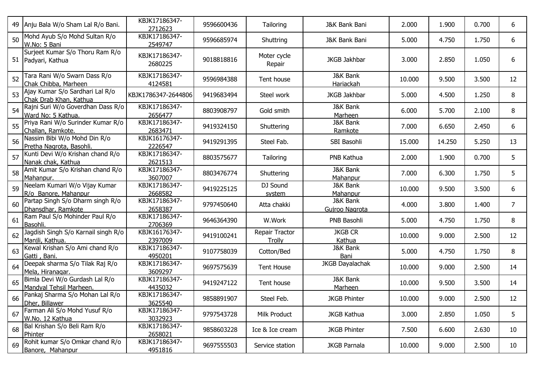| 49 | Anju Bala W/o Sham Lal R/o Bani.                          | KBJK17186347-<br>2712623 | 9596600436 | Tailoring                | J&K Bank Bani                         | 2.000  | 1.900  | 0.700 | 6              |
|----|-----------------------------------------------------------|--------------------------|------------|--------------------------|---------------------------------------|--------|--------|-------|----------------|
| 50 | Mohd Ayub S/o Mohd Sultan R/o<br>W.No: 5 Bani             | KBJK17186347-<br>2549747 | 9596685974 | Shuttring                | J&K Bank Bani                         | 5.000  | 4.750  | 1.750 | 6              |
|    | Surjeet Kumar S/o Thoru Ram R/o<br>51 Padyari, Kathua     | KBJK17186347-<br>2680225 | 9018818816 | Moter cycle<br>Repair    | <b>JKGB Jakhbar</b>                   | 3.000  | 2.850  | 1.050 | 6              |
| 52 | Tara Rani W/o Swarn Dass R/o<br>Chak Chibba, Marheen      | KBJK17186347-<br>4124581 | 9596984388 | Tent house               | <b>J&amp;K Bank</b><br>Hariackah      | 10.000 | 9.500  | 3.500 | 12             |
| 53 | Ajay Kumar S/o Sardhari Lal R/o<br>Chak Drab Khan, Kathua | KBJK1786347-2644806      | 9419683494 | Steel work               | <b>JKGB Jakhbar</b>                   | 5.000  | 4.500  | 1.250 | 8              |
| 54 | Rajni Suri W/o Goverdhan Dass R/o<br>Ward No: 5 Kathua.   | KBJK17186347-<br>2656477 | 8803908797 | Gold smith               | <b>J&amp;K Bank</b><br>Marheen        | 6.000  | 5.700  | 2.100 | 8              |
| 55 | Priya Rani W/o Surinder Kumar R/o<br>Challan, Ramkote.    | KBJK17186347-<br>2683471 | 9419324150 | Shuttering               | <b>J&amp;K Bank</b><br>Ramkote        | 7.000  | 6.650  | 2.450 | 6              |
| 56 | Nassim Bibi W/o Mohd Din R/o<br>Pretha Nagrota, Basohli.  | KBJK16176347-<br>2226547 | 9419291395 | Steel Fab.               | SBI Basohli                           | 15.000 | 14.250 | 5.250 | 13             |
| 57 | Kunti Devi W/o Krishan chand R/o<br>Nanak chak, Kathua    | KBJK17186347-<br>2621513 | 8803575677 | Tailoring                | PNB Kathua                            | 2.000  | 1.900  | 0.700 | 5              |
| 58 | Amit Kumar S/o Krishan chand R/o<br>Mahanpur.             | KBJK17186347-<br>3607007 | 8803476774 | Shuttering               | <b>J&amp;K Bank</b><br>Mahanpur       | 7.000  | 6.300  | 1.750 | 5              |
| 59 | Neelam Kumari W/o Vijay Kumar<br>R/o Banore, Mahanpur     | KBJK17186347-<br>2668582 | 9419225125 | DJ Sound<br>system       | <b>J&amp;K Bank</b><br>Mahanpur       | 10.000 | 9.500  | 3.500 | 6              |
| 60 | Partap Singh S/o Dharm singh R/o<br>Dhansdhar, Ramkote    | KBJK17186347-<br>2658387 | 9797450640 | Atta chakki              | <b>J&amp;K Bank</b><br>Gujroo Nagrota | 4.000  | 3.800  | 1.400 | $\overline{7}$ |
| 61 | Ram Paul S/o Mohinder Paul R/o<br>Basohli.                | KBJK17186347-<br>2706369 | 9646364390 | W.Work                   | PNB Basohli                           | 5.000  | 4.750  | 1.750 | 8              |
| 62 | Jagdish Singh S/o Karnail singh R/o<br>Manjli, Kathua.    | KBJK16176347-<br>2397009 | 9419100241 | Repair Tractor<br>Trolly | <b>JKGB CR</b><br>Kathua              | 10.000 | 9.000  | 2.500 | 12             |
| 63 | Kewal Krishan S/o Ami chand R/o<br>Gatti, Bani.           | KBJK17186347-<br>4950201 | 9107758039 | Cotton/Bed               | J&K Bank<br>Bani                      | 5.000  | 4.750  | 1.750 | 8              |
| 64 | Deepak sharma S/o Tilak Raj R/o<br>Mela, Hiranagar.       | KBJK17186347-<br>3609297 | 9697575639 | <b>Tent House</b>        | <b>JKGB Dayalachak</b>                | 10.000 | 9.000  | 2.500 | 14             |
| 65 | Bimla Devi W/o Gurdash Lal R/o<br>Mandyal Tehsil Marheen. | KBJK17186347-<br>4435032 | 9419247122 | Tent house               | <b>J&amp;K Bank</b><br>Marheen        | 10.000 | 9.500  | 3.500 | 14             |
| 66 | Pankaj Sharma S/o Mohan Lal R/o<br>Dher, Billawer         | KBJK17186347-<br>3625540 | 9858891907 | Steel Feb.               | <b>JKGB Phinter</b>                   | 10.000 | 9.000  | 2.500 | 12             |
| 67 | Farman Ali S/o Mohd Yusuf R/o<br>W.No. 12 Kathua          | KBJK17186347-<br>3032923 | 9797543728 | Milk Product             | <b>JKGB Kathua</b>                    | 3.000  | 2.850  | 1.050 | 5              |
| 68 | Bal Krishan S/o Beli Ram R/o<br>Phinter                   | KBJK17186347-<br>2658021 | 9858603228 | Ice & Ice cream          | <b>JKGB Phinter</b>                   | 7.500  | 6.600  | 2.630 | 10             |
| 69 | Rohit kumar S/o Omkar chand R/o<br>Banore, Mahanpur       | KBJK17186347-<br>4951816 | 9697555503 | Service station          | <b>JKGB Parnala</b>                   | 10.000 | 9.000  | 2.500 | 10             |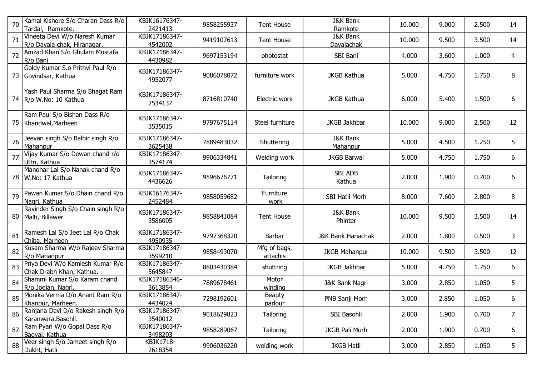| 70 | Kamal Kishore S/o Charan Dass R/o<br>Tardal, Ramkote.        | KBJK16176347-<br>2421413 | 9858255937 | <b>Tent House</b>        | <b>J&amp;K Bank</b><br>Ramkote  | 10.000 | 9.000 | 2.500 | 14             |
|----|--------------------------------------------------------------|--------------------------|------------|--------------------------|---------------------------------|--------|-------|-------|----------------|
| 71 | Vineeta Devi W/o Naresh Kumar<br>R/o Dayala chak, Hiranagar. | KBJK17186347-<br>4542002 | 9419107613 | <b>Tent House</b>        | J&K Bank<br>Dayalachak          | 10.000 | 9.500 | 3.500 | 14             |
| 72 | Amzad Khan S/o Ghulam Mustafa<br>R/o Bani                    | KBJK17186347-<br>4430982 | 9697153194 | photostat                | SBI Bani                        | 4.000  | 3.600 | 1.000 | $\overline{4}$ |
|    | Goldy Kumar S.o Prithvi Paul R/o<br>73 Govindsar, Kathua     | KBJK17186347-<br>4952077 | 9086078072 | furniture work           | <b>JKGB Kathua</b>              | 5.000  | 4.750 | 1.750 | 8              |
|    | Yash Paul Sharma S/o Bhagat Ram<br>74 R/o W.No: 10 Kathua    | KBJK17186347-<br>2534137 | 8716810740 | Electric work            | <b>JKGB Kathua</b>              | 6.000  | 5.400 | 1.500 | 6              |
| 75 | Ram Paul S/o Bishan Dass R/o<br>Khandwal, Marheen            | KBJK17186347-<br>3535015 | 9797675114 | Steel furniture          | JKGB Jakhbar                    | 10.000 | 9.000 | 2.500 | 12             |
| 76 | Jeevan singh S/o Balbir singh R/o<br>Mahanpur                | KBJK17186347-<br>3625438 | 7889483032 | Shuttering               | <b>J&amp;K Bank</b><br>Mahanpur | 5.000  | 4.500 | 1.250 | 5              |
| 77 | Vijay Kumar S/o Dewan chand r/o<br>Uttri, Kathua             | KBJK17186347-<br>3574174 | 9906334841 | Welding work             | <b>JKGB Barwal</b>              | 5.000  | 4.750 | 1.750 | 6              |
| 78 | Manohar Lal S/o Nanak chand R/o<br>W.No: 17 Kathua           | KBJK17186347-<br>4436626 | 9596676771 | Tailoring                | <b>SBI ADB</b><br>Kathua        | 2.000  | 1.900 | 0.700 | 6              |
| 79 | Pawan Kumar S/o Dhain chand R/o<br>Nagri, Kathua             | KBJK16176347-<br>2452484 | 9858059682 | Furniture<br>work        | SBI Hatli Morh                  | 8.000  | 7.600 | 2.800 | 8              |
|    | Ravinder Singh S/o Chain singh R/o<br>80 Malti, Billawer     | KBJK17186347-<br>3586005 | 9858841084 | <b>Tent House</b>        | <b>J&amp;K Bank</b><br>Phinter  | 10.000 | 9.500 | 3.500 | 14             |
| 81 | Ramesh Lal S/o Jeet Lal R/o Chak<br>Chiba, Marheen           | KBJK17186347-<br>4950935 | 9797368320 | Barbar                   | <b>J&amp;K Bank Hariachak</b>   | 2.000  | 1.800 | 0.500 | 3              |
| 82 | Kusam Sharma W/o Rajeev Sharma<br>R/o Mahanpur               | KBJK17186347-<br>3599210 | 9858493070 | Mfg of bags,<br>attachis | <b>JKGB Mahanpur</b>            | 10.000 | 9.500 | 3.500 | 12             |
| 83 | Priya Devi W/o Kamlesh Kumar R/o<br>Chak Drabh Khan, Kathua. | KBJK17186347-<br>5645847 | 8803430384 | shuttring                | JKGB Jakhbar                    | 5.000  | 4.750 | 1.750 | 6              |
| 84 | Shammi Kumar S/o Karam chand<br>R/o Jogian, Nagri.           | KBJK17186346-<br>3613854 | 7889678461 | Motor<br>winding         | J&K Bank Nagri                  | 3.000  | 2.850 | 1.050 | 5              |
| 85 | Monika Verma D/o Anant Ram R/o<br>Khanpur, Marheen.          | KBJK17186347-<br>4434024 | 7298192601 | <b>Beauty</b><br>parlour | PNB Sanji Morh                  | 3.000  | 2.850 | 1.050 | 6              |
| 86 | Ranjana Devi D/o Rakesh singh R/o<br>Karanwara, Basohli.     | KBJK17186347-<br>3540012 | 9018629823 | Tailoring                | SBI Basohli                     | 2.000  | 1.900 | 0.700 | $7^{\circ}$    |
| 87 | Ram Pyari W/o Gopal Dass R/o<br>Bagyal, Kathua               | KBJK17186347-<br>3498203 | 9858289067 | Tailoring                | JKGB Pali Morh                  | 2.000  | 1.900 | 0.700 | 6              |
| 88 | Veer singh S/o Jameet singh R/o<br>Dukht, Hatli              | KBJK1718-<br>2618354     | 9906036220 | welding work             | <b>JKGB Hatli</b>               | 3.000  | 2.850 | 1.050 | 5 <sub>1</sub> |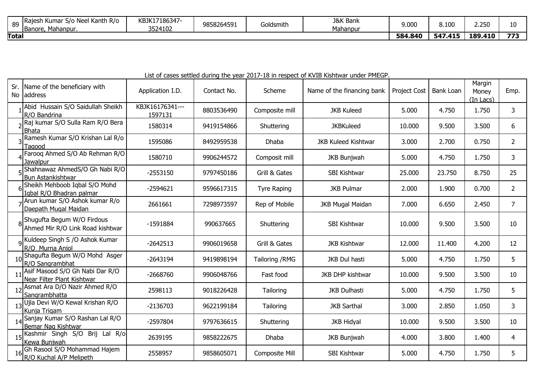| 89           | Neel Kanth R/o<br>lRa<br>ı Kuma<br>S/o<br>Mahanpur<br>Banore, | KBJK17186347-<br>3524102 | 9858264591 | Goldsmith | <b>J&amp;K Bank</b><br>Mahanpur | 9.000   | 8.100       | <b>こつにい</b><br>درے، | 10 |
|--------------|---------------------------------------------------------------|--------------------------|------------|-----------|---------------------------------|---------|-------------|---------------------|----|
| <b>Total</b> |                                                               |                          |            |           |                                 | 584.840 | 547<br>.415 | 189.410             |    |

|     |                                                                 |                            |             |                    | List of cases settled during the year 2017-10 in respect of NVID NISHTWAI united Pindor. |              |                  |                                   |                |
|-----|-----------------------------------------------------------------|----------------------------|-------------|--------------------|------------------------------------------------------------------------------------------|--------------|------------------|-----------------------------------|----------------|
| Sr. | Name of the beneficiary with<br>No address                      | Application I.D.           | Contact No. | Scheme             | Name of the financing bank                                                               | Project Cost | <b>Bank Loan</b> | Margin<br>Money<br>$(In$ Lacs $)$ | Emp.           |
|     | Abid Hussain S/O Saidullah Sheikh<br>R/O Bandrina               | KBJK16176341---<br>1597131 | 8803536490  | Composite mill     | <b>JKB Kuleed</b>                                                                        | 5.000        | 4.750            | 1.750                             | 3              |
|     | Raj kumar S/O Sulla Ram R/O Bera<br><b>Bhata</b>                | 1580314                    | 9419154866  | Shuttering         | <b>JKBKuleed</b>                                                                         | 10.000       | 9.500            | 3.500                             | 6              |
|     | Ramesh Kumar S/O Krishan Lal R/o<br>Tagood                      | 1595086                    | 8492959538  | <b>Dhaba</b>       | <b>JKB Kuleed Kishtwar</b>                                                               | 3.000        | 2.700            | 0.750                             | $\overline{2}$ |
|     | Farooq Ahmed S/O Ab Rehman R/O<br>Jawalpur                      | 1580710                    | 9906244572  | Composit mill      | <b>JKB Bunjwah</b>                                                                       | 5.000        | 4.750            | 1.750                             | 3              |
|     | Shahnawaz AhmedS/O Gh Nabi R/O<br><b>Bun Astankishtwar</b>      | $-2553150$                 | 9797450186  | Grill & Gates      | SBI Kishtwar                                                                             | 25.000       | 23.750           | 8.750                             | 25             |
|     | Sheikh Mehboob Iqbal S/O Mohd<br>Iqbal R/O Bhadran palmar       | $-2594621$                 | 9596617315  | <b>Tyre Raping</b> | <b>JKB Pulmar</b>                                                                        | 2.000        | 1.900            | 0.700                             | $\overline{2}$ |
|     | Arun kumar S/O Ashok kumar R/o<br>Daepath Mugal Maidan          | 2661661                    | 7298973597  | Rep of Mobile      | <b>JKB Mugal Maidan</b>                                                                  | 7.000        | 6.650            | 2.450                             | $\overline{7}$ |
|     | 8Shugufta Begum W/O Firdous<br>Ahmed Mir R/O Link Road kishtwar | $-1591884$                 | 990637665   | Shuttering         | SBI Kishtwar                                                                             | 10.000       | 9.500            | 3.500                             | 10             |
|     | 9 Kuldeep Singh S / O Ashok Kumar<br>R/O Murna Anjol            | $-2642513$                 | 9906019658  | Grill & Gates      | <b>JKB Kishtwar</b>                                                                      | 12.000       | 11.400           | 4.200                             | 12             |
|     | Shagufta Begum W/O Mohd Asger<br>R/O Sangrambhat                | $-2643194$                 | 9419898194  | Tailoring / RMG    | JKB Dul hasti                                                                            | 5.000        | 4.750            | 1.750                             | 5              |
|     | Asif Masood S/O Gh Nabi Dar R/O<br>Near Filter Plant Kishtwar   | $-2668760$                 | 9906048766  | Fast food          | <b>JKB DHP kishtwar</b>                                                                  | 10.000       | 9.500            | 3.500                             | 10             |
|     | Asmat Ara D/O Nazir Ahmed R/O<br>Sangrambhatta                  | 2598113                    | 9018226428  | Tailoring          | <b>JKB Dulhasti</b>                                                                      | 5.000        | 4.750            | 1.750                             | 5              |
|     | 13 Ujla Devi W/O Kewal Krishan R/O<br>Kunja Trigam              | $-2136703$                 | 9622199184  | Tailoring          | <b>JKB Sarthal</b>                                                                       | 3.000        | 2.850            | 1.050                             | 3              |
|     | Sanjay Kumar S/O Rashan Lal R/O<br>Bemar Nag Kishtwar           | -2597804                   | 9797636615  | Shuttering         | <b>JKB Hidyal</b>                                                                        | 10.000       | 9.500            | 3.500                             | 10             |
|     | 15 Kashmir Singh S/O Brij Lal R/o<br>Kewa Bunjwah               | 2639195                    | 9858222675  | <b>Dhaba</b>       | <b>JKB Bunjwah</b>                                                                       | 4.000        | 3.800            | 1.400                             | 4              |
| 16  | Gh Rasool S/O Mohammad Hajem<br>R/O Kuchal A/P Melipeth         | 2558957                    | 9858605071  | Composite Mill     | <b>SBI Kishtwar</b>                                                                      | 5.000        | 4.750            | 1.750                             | 5              |

List of cases settled during the year 2017-18 in respect of KVIB Kishtwar under PMEGP.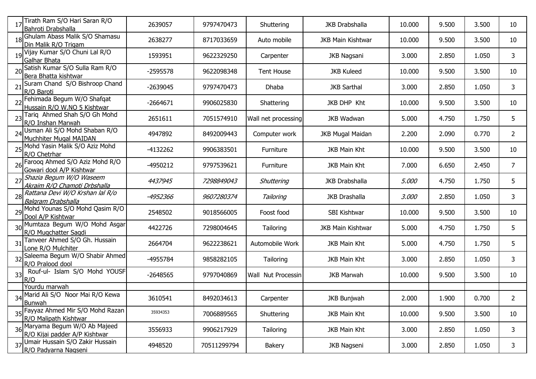|    | Tirath Ram S/O Hari Saran R/O<br>Bahroti Drabshalla             | 2639057    | 9797470473  | Shuttering                   | <b>JKB Drabshalla</b>    | 10.000 | 9.500 | 3.500 | 10             |
|----|-----------------------------------------------------------------|------------|-------------|------------------------------|--------------------------|--------|-------|-------|----------------|
|    | 18 Ghulam Abass Malik S/O Shamasu<br>Din Malik R/O Trigam       | 2638277    | 8717033659  | Auto mobile                  | <b>JKB Main Kishtwar</b> | 10.000 | 9.500 | 3.500 | 10             |
|    | 19 Vijay Kumar S/O Chuni Lal R/O<br><b>Galhar Bhata</b>         | 1593951    | 9622329250  | Carpenter                    | <b>JKB Nagsani</b>       | 3.000  | 2.850 | 1.050 | 3              |
|    | 20 Satish Kumar S/O Sulla Ram R/O<br>Bera Bhatta kishtwar       | $-2595578$ | 9622098348  | <b>Tent House</b>            | <b>JKB Kuleed</b>        | 10.000 | 9.500 | 3.500 | 10             |
|    | 21 Suram Chand S/O Bishroop Chand<br>R/O Baroti                 | $-2639045$ | 9797470473  | Dhaba                        | <b>JKB Sarthal</b>       | 3.000  | 2.850 | 1.050 | 3              |
|    | 22 Fehimada Begum W/O Shafqat<br>Hussain R/O W.NO 5 Kishtwar    | $-2664671$ | 9906025830  | Shattering                   | JKB DHP Kht              | 10.000 | 9.500 | 3.500 | 10             |
|    | Tariq Ahmed Shah S/O Gh Mohd<br>R/O Inshan Marwah               | 2651611    | 7051574910  | Wall net processing          | <b>JKB Wadwan</b>        | 5.000  | 4.750 | 1.750 | 5              |
| 24 | Usman Ali S/O Mohd Shaban R/O<br>Muchhiter Mugal MAIDAN         | 4947892    | 8492009443  | Computer work                | <b>JKB Mugal Maidan</b>  | 2.200  | 2.090 | 0.770 | $\overline{2}$ |
|    | 25 Mohd Yasin Malik S/O Aziz Mohd<br>R/O Chetrhar               | -4132262   | 9906383501  | Furniture                    | <b>JKB Main Kht</b>      | 10.000 | 9.500 | 3.500 | 10             |
|    | 26 Farooq Ahmed S/O Aziz Mohd R/O<br>Gowari dool A/P Kishtwar   | -4950212   | 9797539621  | Furniture                    | JKB Main Kht             | 7.000  | 6.650 | 2.450 | 7              |
|    | 27 Shazia Begum W/O Waseem<br>Akraim R/O Chamoti Drbshalla      | 4437945    | 7298849043  | Shuttering                   | <b>JKB Drabshalla</b>    | 5.000  | 4.750 | 1.750 | 5              |
|    | 28 Rattana Devi W/O Krshan lal R/o<br><b>Balgram Drabshalla</b> | -4952366   | 9607280374  | Tailoring                    | <b>JKB Drashalla</b>     | 3.000  | 2.850 | 1.050 | 3              |
|    | 29 Mohd Younas S/O Mohd Qasim R/O<br>Dool A/P Kishtwar          | 2548502    | 9018566005  | Foost food                   | SBI Kishtwar             | 10.000 | 9.500 | 3.500 | 10             |
|    | 30 Mumtaza Begum W/O Mohd Asgar<br>R/O Mugchatter Sagdi         | 4422726    | 7298004645  | Tailoring                    | <b>JKB Main Kishtwar</b> | 5.000  | 4.750 | 1.750 | 5              |
| 31 | Tanveer Ahmed S/O Gh. Hussain<br>Lone R/O Mulchiter             | 2664704    | 9622238621  | Automobile Work              | <b>JKB Main Kht</b>      | 5.000  | 4.750 | 1.750 | 5              |
| 32 | Saleema Begum W/O Shabir Ahmed<br>R/O Pralood dool              | -4955784   | 9858282105  | Tailoring                    | JKB Main Kht             | 3.000  | 2.850 | 1.050 | 3              |
| 33 | Rouf-ul- Islam S/O Mohd YOUSF<br>R/O                            | $-2648565$ | 9797040869  | <b>Nut Processin</b><br>Wall | <b>JKB Marwah</b>        | 10.000 | 9.500 | 3.500 | 10             |
|    | Yourdu marwah                                                   |            |             |                              |                          |        |       |       |                |
|    | 34 Marid Ali S/O Noor Mai R/O Kewa<br><b>Bunwah</b>             | 3610541    | 8492034613  | Carpenter                    | <b>JKB Bunjwah</b>       | 2.000  | 1.900 | 0.700 | 2              |
|    | 35 Fayyaz Ahmed Mir S/O Mohd Razan<br>R/O Malipath Kishtwar     | 35934353   | 7006889565  | Shuttering                   | JKB Main Kht             | 10.000 | 9.500 | 3.500 | 10             |
|    | 36 Maryama Begum W/O Ab Majeed<br>R/O Kijai padder A/P Kishtwar | 3556933    | 9906217929  | Tailoring                    | JKB Main Kht             | 3.000  | 2.850 | 1.050 | 3              |
|    | 37 Umair Hussain S/O Zakir Hussain<br>R/O Padyarna Nagseni      | 4948520    | 70511299794 | Bakery                       | JKB Nagseni              | 3.000  | 2.850 | 1.050 | 3              |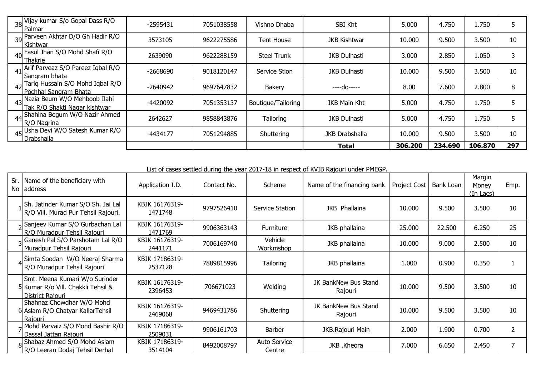| 38 Vijay kumar S/o Gopal Dass R/O<br><b>IPalmar</b>              | $-2595431$ | 7051038558 | Vishno Dhaba       | SBI Kht               | 5.000   | 4.750   | 1.750   |     |
|------------------------------------------------------------------|------------|------------|--------------------|-----------------------|---------|---------|---------|-----|
| 39 Parveen Akhtar D/O Gh Hadir R/O<br>Kishtwar                   | 3573105    | 9622275586 | Tent House         | <b>JKB Kishtwar</b>   | 10.000  | 9.500   | 3.500   | 10  |
| $40$ Fasul Jhan S/O Mohd Shafi R/O<br>Thakrie                    | 2639090    | 9622288159 | <b>Steel Trunk</b> | <b>JKB Dulhasti</b>   | 3.000   | 2.850   | 1.050   | 3   |
| 41 Arif Parveaz S/O Pareez Iqbal R/O<br>ISangram bhata           | $-2668690$ | 9018120147 | Service Stion      | <b>JKB Dulhasti</b>   | 10.000  | 9.500   | 3.500   | 10  |
| 42 Tariq Hussain S/O Mohd Iqbal R/O<br>Pochhal Sangram Bhata     | $-2640942$ | 9697647832 | Bakery             | ----do-----           | 8.00    | 7.600   | 2.800   | 8   |
| 43 Nazia Beum W/O Mehboob Ilahi<br>Tak R/O Shakti Nagar kishtwar | -4420092   | 7051353137 | Boutique/Tailoring | <b>JKB Main Kht</b>   | 5.000   | 4.750   | 1.750   |     |
| 44 Shahina Begum W/O Nazir Ahmed<br>R/O Nagrina                  | 2642627    | 9858843876 | Tailoring          | <b>JKB Dulhasti</b>   | 5.000   | 4.750   | 1.750   |     |
| 45 Usha Devi W/O Satesh Kumar R/O<br>Drabshalla                  | $-4434177$ | 7051294885 | Shuttering         | <b>JKB Drabshalla</b> | 10.000  | 9.500   | 3.500   | 10  |
|                                                                  |            |            |                    | Total                 | 306.200 | 234.690 | 106.870 | 297 |

List of cases settled during the year 2017-18 in respect of KVIB Rajouri under PMEGP.

| Sr. Name of the beneficiary with<br>No address                                           | Application I.D.          | Contact No. | Scheme                 | Name of the financing bank      | <b>Project Cost</b> | Bank Loan | Margin<br>Money<br>(In Lacs) | Emp. |
|------------------------------------------------------------------------------------------|---------------------------|-------------|------------------------|---------------------------------|---------------------|-----------|------------------------------|------|
| Sh. Jatinder Kumar S/O Sh. Jai Lal<br>R/O Vill. Murad Pur Tehsil Rajouri.                | KBJK 16176319-<br>1471748 | 9797526410  | Service Station        | <b>JKB</b> Phallaina            | 10.000              | 9.500     | 3.500                        | 10   |
| Sanjeev Kumar S/O Gurbachan Lal<br>R/O Muradpur Tehsil Rajouri                           | KBJK 16176319-<br>1471769 | 9906363143  | Furniture              | JKB phallaina                   | 25.000              | 22.500    | 6.250                        | 25   |
| <sub>2</sub> Ganesh Pal S/O Parshotam Lal R/O<br>Muradpur Tehsil Rajouri                 | KBJK 16176319-<br>2441171 | 7006169740  | Vehicle<br>Workmshop   | JKB phallaina                   | 10.000              | 9.000     | 2.500                        | 10   |
| 4 Simta Soodan W/O Neeraj Sharma<br>R/O Muradpur Tehsil Rajouri                          | KBJK 17186319-<br>2537128 | 7889815996  | <b>Tailoring</b>       | JKB phallaina                   | 1.000               | 0.900     | 0.350                        |      |
| Smt. Meena Kumari W/o Surinder<br>5 Kumar R/o Vill. Chakkli Tehsil &<br>District Rajouri | KBJK 16176319-<br>2396453 | 706671023   | Welding                | JK BankNew Bus Stand<br>Rajouri | 10.000              | 9.500     | 3.500                        | 10   |
| Shahnaz Chowdhar W/O Mohd<br>6 Aslam R/O Chatyar Kallar Tehsil<br>Raiouri                | KBJK 16176319-<br>2469068 | 9469431786  | Shuttering             | JK BankNew Bus Stand<br>Rajouri | 10.000              | 9.500     | 3.500                        | 10   |
| Nohd Parvaiz S/O Mohd Bashir R/O<br>Dassal Jattan Rajouri                                | KBJK 17186319-<br>2509031 | 9906161703  | Barber                 | JKB.Rajouri Main                | 2.000               | 1.900     | 0.700                        |      |
| 8Shabaz Ahmed S/O Mohd Aslam<br>R/O Leeran Dodaj Tehsil Derhal                           | KBJK 17186319-<br>3514104 | 8492008797  | Auto Service<br>Centre | JKB .Kheora                     | 7.000               | 6.650     | 2.450                        | 7    |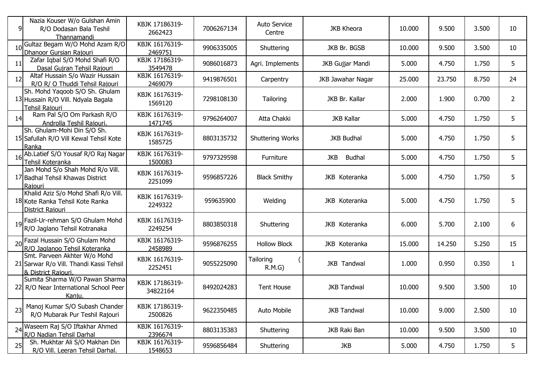| 9  | Nazia Kouser W/o Gulshan Amin<br>R/O Dodasan Bala Teshil<br>Thannamandi                        | KBJK 17186319-<br>2662423  | 7006267134 | <b>Auto Service</b><br>Centre | <b>JKB Kheora</b>    | 10.000 | 9.500  | 3.500 | 10             |
|----|------------------------------------------------------------------------------------------------|----------------------------|------------|-------------------------------|----------------------|--------|--------|-------|----------------|
|    | Gultaz Begam W/O Mohd Azam R/O<br>Dhanoor Gursian Rajouri                                      | KBJK 16176319-<br>2469751  | 9906335005 | Shuttering                    | JKB Br. BGSB         | 10.000 | 9.500  | 3.500 | 10             |
| 11 | Zafar Iqbal S/O Mohd Shafi R/O<br>Dasal Guiran Tehsil Rajouri                                  | KBJK 17186319-<br>3549478  | 9086016873 | Agri. Implements              | JKB Gujjar Mandi     | 5.000  | 4.750  | 1.750 | 5              |
| 12 | Altaf Hussain S/o Wazir Hussain<br>R/O R/O Thuddi Tehsil Rajouri                               | KBJK 16176319-<br>2469079  | 9419876501 | Carpentry                     | JKB Jawahar Nagar    | 25.000 | 23.750 | 8.750 | 24             |
|    | Sh. Mohd Yaqoob S/O Sh. Ghulam<br>13 Hussain R/O Vill. Ndyala Bagala<br>Tehsil Raiouri         | KBJK 16176319-<br>1569120  | 7298108130 | Tailoring                     | JKB Br. Kallar       | 2.000  | 1.900  | 0.700 | $\overline{2}$ |
| 14 | Ram Pal S/O Om Parkash R/O<br>Androlla Teshil Rajouri.                                         | KBJK 16176319-<br>1471745  | 9796264007 | Atta Chakki                   | <b>JKB Kallar</b>    | 5.000  | 4.750  | 1.750 | 5              |
|    | Sh. Ghulam-Mohi Din S/O Sh.<br>15 Safullah R/O Vill Kewal Tehsil Kote<br>Ranka                 | KBJK 16176319-<br>1585725  | 8803135732 | <b>Shuttering Works</b>       | <b>JKB Budhal</b>    | 5.000  | 4.750  | 1.750 | 5              |
|    | 16 Ab.Latief S/O Yousaf R/O Raj Nagar<br>Tehsil Koteranka                                      | KBJK 16176319-<br>1500083  | 9797329598 | Furniture                     | JKB<br><b>Budhal</b> | 5.000  | 4.750  | 1.750 | 5              |
|    | Jan Mohd S/o Shah Mohd R/o Vill.<br>17 Badhal Tehsil Khawas District<br>Rajouri                | KBJK 16176319-<br>2251099  | 9596857226 | <b>Black Smithy</b>           | JKB Koteranka        | 5.000  | 4.750  | 1.750 | 5              |
|    | Khalid Aziz S/o Mohd Shafi R/o Vill.<br>18 Kote Ranka Tehsil Kote Ranka<br>District Raiouri    | KBJK 16176319-<br>2249322  | 959635900  | Welding                       | JKB Koteranka        | 5.000  | 4.750  | 1.750 | 5              |
|    | 19 Fazil-Ur-rehman S/O Ghulam Mohd<br>R/O Jaglano Tehsil Kotranaka                             | KBJK 16176319-<br>2249254  | 8803850318 | Shuttering                    | JKB Koteranka        | 6.000  | 5.700  | 2.100 | 6              |
|    | 20 Fazal Hussain S/O Ghulam Mohd<br>R/O Jaglanoo Tehsil Koteranka                              | KBJK 16176319-<br>2458989  | 9596876255 | <b>Hollow Block</b>           | JKB Koteranka        | 15.000 | 14.250 | 5.250 | 15             |
|    | Smt. Parveen Akhter W/o Mohd<br>21 Sarwar R/o Vill. Thandi Kassi Tehsil<br>& District Rajouri. | KBJK 16176319-<br>2252451  | 9055225090 | Tailoring<br>R.M.G            | JKB Tandwal          | 1.000  | 0.950  | 0.350 | $\mathbf{1}$   |
|    | Sumita Sharma W/O Pawan Sharma<br>22 R/O Near International School Peer<br>Kaniu.              | KBJK 17186319-<br>34822164 | 8492024283 | <b>Tent House</b>             | <b>JKB Tandwal</b>   | 10.000 | 9.500  | 3.500 | 10             |
| 23 | Manoj Kumar S/O Subash Chander<br>R/O Mubarak Pur Teshil Rajouri                               | KBJK 17186319-<br>2500826  | 9622350485 | Auto Mobile                   | <b>JKB Tandwal</b>   | 10.000 | 9.000  | 2.500 | 10             |
|    | 24 Waseem Raj S/O Iftakhar Ahmed<br>R/O Nadian Tehsil Darhal                                   | KBJK 16176319-<br>2396674  | 8803135383 | Shuttering                    | JKB Raki Ban         | 10.000 | 9.500  | 3.500 | 10             |
| 25 | Sh. Mukhtar Ali S/O Makhan Din<br>R/O Vill. Leeran Tehsil Darhal.                              | KBJK 16176319-<br>1548653  | 9596856484 | Shuttering                    | JKB                  | 5.000  | 4.750  | 1.750 | 5              |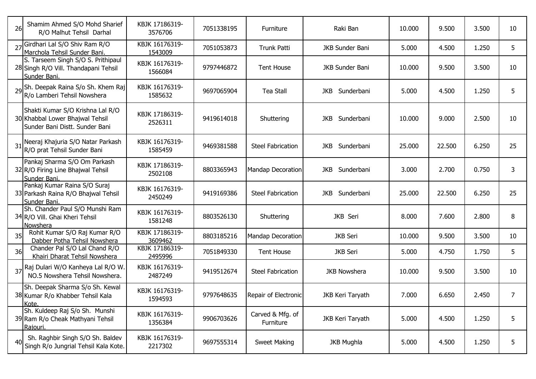| 26 | Shamim Ahmed S/O Mohd Sharief<br>R/O Malhut Tehsil Darhal                                             | KBJK 17186319-<br>3576706 | 7051338195 | Furniture                     | Raki Ban                 | 10.000 | 9.500  | 3.500 | 10 |
|----|-------------------------------------------------------------------------------------------------------|---------------------------|------------|-------------------------------|--------------------------|--------|--------|-------|----|
|    | 27 Girdhari Lal S/O Shiv Ram R/O<br>Marchola Tehsil Sunder Bani.                                      | KBJK 16176319-<br>1543009 | 7051053873 | Trunk Patti                   | <b>JKB Sunder Bani</b>   | 5.000  | 4.500  | 1.250 | 5  |
|    | S. Tarseem Singh S/O S. Prithipaul<br>28 Singh R/O Vill. Thandapani Tehsil<br>Sunder Bani.            | KBJK 16176319-<br>1566084 | 9797446872 | <b>Tent House</b>             | JKB Sunder Bani          | 10.000 | 9.500  | 3.500 | 10 |
|    | 29 Sh. Deepak Raina S/o Sh. Khem Raj<br>R/o Lamberi Tehsil Nowshera                                   | KBJK 16176319-<br>1585632 | 9697065904 | <b>Tea Stall</b>              | JKB Sunderbani           | 5.000  | 4.500  | 1.250 | 5  |
|    | Shakti Kumar S/O Krishna Lal R/O<br>30 Khabbal Lower Bhajwal Tehsil<br>Sunder Bani Distt. Sunder Bani | KBJK 17186319-<br>2526311 | 9419614018 | Shuttering                    | <b>JKB</b><br>Sunderbani | 10.000 | 9.000  | 2.500 | 10 |
|    | 31 Neeraj Khajuria S/O Natar Parkash<br>R/O prat Tehsil Sunder Bani                                   | KBJK 16176319-<br>1585459 | 9469381588 | <b>Steel Fabrication</b>      | JKB<br>Sunderbani        | 25.000 | 22.500 | 6.250 | 25 |
|    | Pankaj Sharma S/O Om Parkash<br>32 R/O Firing Line Bhajwal Tehsil<br>Sunder Bani.                     | KBJK 17186319-<br>2502108 | 8803365943 | Mandap Decoration             | Sunderbani<br>JKB        | 3.000  | 2.700  | 0.750 | 3  |
|    | Pankaj Kumar Raina S/O Suraj<br>33 Parkash Raina R/O Bhajwal Tehsil<br>Sunder Bani.                   | KBJK 16176319-<br>2450249 | 9419169386 | <b>Steel Fabrication</b>      | JKB<br>Sunderbani        | 25.000 | 22.500 | 6.250 | 25 |
|    | Sh. Chander Paul S/O Munshi Ram<br>34 R/O Vill. Ghai Kheri Tehsil<br>Nowshera                         | KBJK 16176319-<br>1581248 | 8803526130 | Shuttering                    | JKB Seri                 | 8.000  | 7.600  | 2.800 | 8  |
| 35 | Rohit Kumar S/O Raj Kumar R/O<br>Dabber Potha Tehsil Nowshera                                         | KBJK 17186319-<br>3609462 | 8803185216 | <b>Mandap Decoration</b>      | <b>JKB</b> Seri          | 10.000 | 9.500  | 3.500 | 10 |
| 36 | Chander Pal S/O Lal Chand R/O<br>Khairi Dharat Tehsil Nowshera                                        | KBJK 17186319-<br>2495996 | 7051849330 | <b>Tent House</b>             | <b>JKB</b> Seri          | 5.000  | 4.750  | 1.750 | 5  |
|    | 37 Raj Dulari W/O Kanheya Lal R/O W.<br>NO.5 Nowshera Tehsil Nowshera.                                | KBJK 16176319-<br>2487249 | 9419512674 | <b>Steel Fabrication</b>      | <b>JKB Nowshera</b>      | 10.000 | 9.500  | 3.500 | 10 |
|    | Sh. Deepak Sharma S/o Sh. Kewal<br>38 Kumar R/o Khabber Tehsil Kala<br>IKote.                         | KBJK 16176319-<br>1594593 | 9797648635 | Repair of Electronic          | JKB Keri Taryath         | 7.000  | 6.650  | 2.450 | 7  |
|    | Sh. Kuldeep Raj S/o Sh. Munshi<br>39 Ram R/o Cheak Mathyani Tehsil<br>Raiouri.                        | KBJK 16176319-<br>1356384 | 9906703626 | Carved & Mfg. of<br>Furniture | JKB Keri Taryath         | 5.000  | 4.500  | 1.250 | 5  |
| 40 | Sh. Raghbir Singh S/O Sh. Baldev<br>Singh R/o Jungrial Tehsil Kala Kote.                              | KBJK 16176319-<br>2217302 | 9697555314 | <b>Sweet Making</b>           | <b>JKB Mughla</b>        | 5.000  | 4.500  | 1.250 | 5  |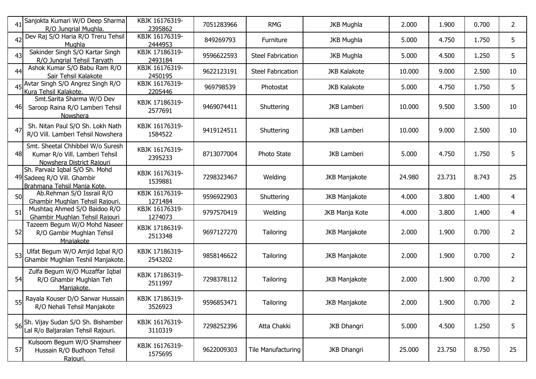|    | 41 Sanjokta Kumari W/O Deep Sharma<br>R/O Jungrial Mughla.                                      | KBJK 16176319-<br>2395862 | 7051283966 | <b>RMG</b>               | <b>JKB Mughla</b>    | 2.000  | 1.900  | 0.700 | $\overline{2}$ |
|----|-------------------------------------------------------------------------------------------------|---------------------------|------------|--------------------------|----------------------|--------|--------|-------|----------------|
| 42 | Dev Raj S/O Haria R/O Treru Tehsil<br>Mughla                                                    | KBJK 16176319-<br>2444953 | 849269793  | Furniture                | <b>JKB Mughla</b>    | 5.000  | 4.750  | 1.750 | 5              |
| 43 | Sakinder Singh S/O Kartar Singh<br>R/O Jungrial Tehsil Taryath                                  | KBJK 17186319-<br>2493184 | 9596622593 | <b>Steel Fabrication</b> | <b>JKB Mughla</b>    | 5.000  | 4.500  | 1.250 | 5              |
| 44 | Ashok Kumar S/O Babu Ram R/O<br>Sair Tehsil Kalakote                                            | KBJK 16176319-<br>2450195 | 9622123191 | <b>Steel Fabrication</b> | <b>JKB Kalakote</b>  | 10.000 | 9.000  | 2.500 | 10             |
|    | 45 Avtar Singh S/O Angrez Singh R/O<br>Kura Tehsil Kalakote.                                    | KBJK 16176319-<br>2205446 | 969798539  | Photostat                | <b>JKB Kalakote</b>  | 5.000  | 4.750  | 1.750 | 5              |
| 46 | Smt.Sarita Sharma W/O Dev<br>Saroop Raina R/O Lamberi Tehsil<br>Nowshera                        | KBJK 17186319-<br>2577691 | 9469074411 | Shuttering               | <b>JKB Lamberi</b>   | 10.000 | 9.500  | 3.500 | 10             |
| 47 | Sh. Nitan Paul S/O Sh. Lokh Nath<br>R/O Vill. Lamberi Tehsil Nowshera                           | KBJK 16176319-<br>1584522 | 9419124511 | Shuttering               | <b>JKB Lamberi</b>   | 10.000 | 9.000  | 2.500 | 10             |
| 48 | Smt. Sheetal Chhibbel W/o Suresh<br>Kumar R/o Vill. Lamberi Tehsil<br>Nowshera District Rajouri | KBJK 16176319-<br>2395233 | 8713077004 | Photo State              | <b>JKB Lamberi</b>   | 5.000  | 4.750  | 1.750 | 5              |
|    | Sh. Parvaiz Iqbal S/O Sh. Mohd<br>49 Sadeeq R/O Vill. Ghambir<br>Brahmana Tehsil Mania Kote.    | KBJK 16176319-<br>1539881 | 7298323467 | Welding                  | <b>JKB Manjakote</b> | 24.980 | 23.731 | 8.743 | 25             |
| 50 | Ab.Rehman S/O Issrail R/O<br>Ghambir Mughlan Tehsil Rajouri.                                    | KBJK 16176319-<br>1271484 | 9596922903 | Shuttering               | <b>JKB Manjakote</b> | 4.000  | 3.800  | 1.400 | 4              |
| 51 | Mushtaq Ahmed S/O Baidoo R/O<br>Ghambir Mughlan Tehsil Rajouri                                  | KBJK 16176319-<br>1274073 | 9797570419 | Welding                  | JKB Manja Kote       | 4.000  | 3.800  | 1.400 | 4              |
| 52 | Tazeem Begum W/O Mohd Naseer<br>R/O Gambir Mughlan Tehsil<br>Mnajakote                          | KBJK 17186319-<br>2513348 | 9697127270 | Tailoring                | <b>JKB Manjakote</b> | 2.000  | 1.900  | 0.700 | $\overline{2}$ |
| 53 | Ulfat Begum W/O Amjid Iqbal R/O<br>Ghambir Mughlan Teshil Manjakote.                            | KBJK 17186319-<br>2543202 | 9858146622 | Tailoring                | <b>JKB Manjakote</b> | 2.000  | 1.900  | 0.700 | $\overline{2}$ |
| 54 | Zulfa Begum W/O Muzaffar Iqbal<br>R/O Ghambir Mughlan Teh<br>Maniakote.                         | KBJK 17186319-<br>2511997 | 7298378112 | Tailoring                | <b>JKB Manjakote</b> | 2.000  | 1.900  | 0.700 | $\overline{2}$ |
| 55 | Rayala Kouser D/O Sarwar Hussain<br>R/O Nehali Tehsil Manjakote                                 | KBJK 17186319-<br>3526923 | 9596853471 | Tailoring                | <b>JKB Manjakote</b> | 2.000  | 1.900  | 0.700 | $\mathbf{Z}$   |
|    | 56 Sh. Vijay Sudan S/O Sh. Bishamber<br>Lal R/o Baljaralan Tehsil Rajouri.                      | KBJK 16176319-<br>3110319 | 7298252396 | Atta Chakki              | <b>JKB Dhangri</b>   | 5.000  | 4.500  | 1.250 | 5              |
| 57 | Kulsoom Begum W/O Shamsheer<br>Hussain R/O Budhoon Tehsil<br>Raiouri.                           | KBJK 16176319-<br>1575695 | 9622009303 | Tile Manufacturing       | <b>JKB Dhangri</b>   | 25.000 | 23.750 | 8.750 | 25             |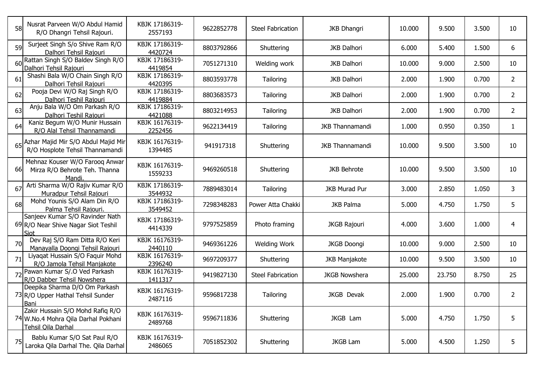| <b>58</b> | Nusrat Parveen W/O Abdul Hamid<br>R/O Dhangri Tehsil Rajouri.                                 | KBJK 17186319-<br>2557193 | 9622852778 | <b>Steel Fabrication</b> | <b>JKB Dhangri</b>     | 10.000 | 9.500  | 3.500 | 10             |
|-----------|-----------------------------------------------------------------------------------------------|---------------------------|------------|--------------------------|------------------------|--------|--------|-------|----------------|
| 59        | Surjeet Singh S/o Shive Ram R/O<br>Dalhori Tehsil Rajouri                                     | KBJK 17186319-<br>4420724 | 8803792866 | Shuttering               | <b>JKB Dalhori</b>     | 6.000  | 5.400  | 1.500 | 6              |
|           | 60 Rattan Singh S/O Baldev Singh R/O<br>Dalhori Tehsil Rajouri                                | KBJK 17186319-<br>4419854 | 7051271310 | Welding work             | <b>JKB Dalhori</b>     | 10.000 | 9.000  | 2.500 | 10             |
| 61        | Shashi Bala W/O Chain Singh R/O<br>Dalhori Tehsil Rajouri                                     | KBJK 17186319-<br>4420395 | 8803593778 | Tailoring                | <b>JKB Dalhori</b>     | 2.000  | 1.900  | 0.700 | $\overline{2}$ |
| 62        | Pooja Devi W/O Raj Singh R/O<br>Dalhori Teshil Rajouri                                        | KBJK 17186319-<br>4419884 | 8803683573 | Tailoring                | <b>JKB Dalhori</b>     | 2.000  | 1.900  | 0.700 | $\overline{2}$ |
| 63        | Anju Bala W/O Om Parkash R/O<br>Dalhori Teshil Rajouri                                        | KBJK 17186319-<br>4421088 | 8803214953 | Tailoring                | <b>JKB Dalhori</b>     | 2.000  | 1.900  | 0.700 | $\overline{2}$ |
| 64        | Kaniz Begum W/O Munir Hussain<br>R/O Alal Tehsil Thannamandi                                  | KBJK 16176319-<br>2252456 | 9622134419 | Tailoring                | JKB Thannamandi        | 1.000  | 0.950  | 0.350 | $\mathbf{1}$   |
|           | 65 Azhar Majid Mir S/O Abdul Majid Mir<br>R/O Hosplote Tehsil Thannamandi                     | KBJK 16176319-<br>1394485 | 941917318  | Shuttering               | <b>JKB Thannamandi</b> | 10.000 | 9.500  | 3.500 | 10             |
| <b>66</b> | Mehnaz Kouser W/O Farooq Anwar<br>Mirza R/O Behrote Teh. Thanna<br>Mandi.                     | KBJK 16176319-<br>1559233 | 9469260518 | Shuttering               | <b>JKB Behrote</b>     | 10.000 | 9.500  | 3.500 | 10             |
| 67        | Arti Sharma W/O Rajiv Kumar R/O<br>Muradpur Tehsil Rajouri                                    | KBJK 17186319-<br>3544932 | 7889483014 | Tailoring                | <b>JKB Murad Pur</b>   | 3.000  | 2.850  | 1.050 | 3              |
| 68        | Mohd Younis S/O Alam Din R/O<br>Palma Tehsil Rajouri.                                         | KBJK 17186319-<br>3549452 | 7298348283 | Power Atta Chakki        | <b>JKB Palma</b>       | 5.000  | 4.750  | 1.750 | 5              |
|           | Sanjeev Kumar S/O Ravinder Nath<br>69 R/O Near Shive Nagar Siot Teshil<br>Siot                | KBJK 17186319-<br>4414339 | 9797525859 | Photo framing            | <b>JKGB Rajouri</b>    | 4.000  | 3.600  | 1.000 | 4              |
| 70        | Dev Raj S/O Ram Ditta R/O Keri<br>Manayalla Doongi Tehsil Rajouri                             | KBJK 16176319-<br>2440110 | 9469361226 | <b>Welding Work</b>      | <b>JKGB Doongi</b>     | 10.000 | 9.000  | 2.500 | 10             |
| 71        | Liyaqat Hussain S/O Faquir Mohd<br>R/O Jamola Tehsil Manjakote                                | KBJK 16176319-<br>2396240 | 9697209377 | Shuttering               | <b>JKB Manjakote</b>   | 10.000 | 9.500  | 3.500 | 10             |
|           | 72 Pawan Kumar S/.O Ved Parkash<br>R/O Dabber Tehsil Nowshera                                 | KBJK 16176319-<br>1411317 | 9419827130 | <b>Steel Fabrication</b> | <b>JKGB Nowshera</b>   | 25.000 | 23.750 | 8.750 | 25             |
|           | Deepika Sharma D/O Om Parkash<br>73 R/O Upper Hathal Tehsil Sunder<br><b>Bani</b>             | KBJK 16176319-<br>2487116 | 9596817238 | Tailoring                | JKGB Devak             | 2.000  | 1.900  | 0.700 | $\overline{2}$ |
|           | Zakir Hussain S/O Mohd Rafiq R/O<br>74 W.No.4 Mohra Qila Darhal Pokhani<br>Tehsil Oila Darhal | KBJK 16176319-<br>2489768 | 9596711836 | Shuttering               | JKGB Lam               | 5.000  | 4.750  | 1.750 | 5              |
| 75        | Bablu Kumar S/O Sat Paul R/O<br>Laroka Qila Darhal The. Qila Darhal                           | KBJK 16176319-<br>2486065 | 7051852302 | Shuttering               | <b>JKGB Lam</b>        | 5.000  | 4.500  | 1.250 | 5              |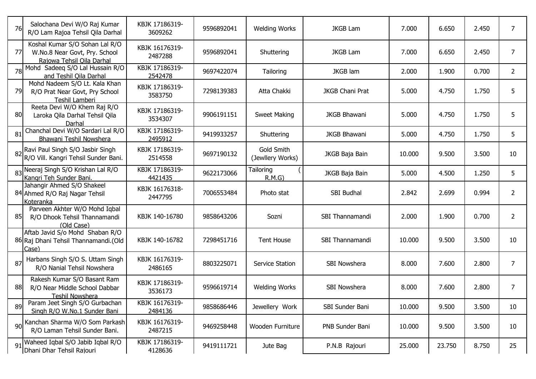| 76 | Salochana Devi W/O Raj Kumar<br>R/O Lam Rajoa Tehsil Qila Darhal                             | KBJK 17186319-<br>3609262 | 9596892041 | <b>Welding Works</b>           | <b>JKGB Lam</b>        | 7.000  | 6.650  | 2.450 | $\overline{7}$ |
|----|----------------------------------------------------------------------------------------------|---------------------------|------------|--------------------------------|------------------------|--------|--------|-------|----------------|
| 77 | Koshal Kumar S/O Sohan Lal R/O<br>W.No.8 Near Govt, Pry. School<br>Raiowa Tehsil Oila Darhal | KBJK 16176319-<br>2487288 | 9596892041 | Shuttering                     | <b>JKGB Lam</b>        | 7.000  | 6.650  | 2.450 | $\overline{7}$ |
|    | Mohd Sadeeq S/O Lal Hussain R/O<br>and Teshil Oila Darhal                                    | KBJK 17186319-<br>2542478 | 9697422074 | Tailoring                      | <b>JKGB</b> lam        | 2.000  | 1.900  | 0.700 | $\overline{2}$ |
| 79 | Mohd Nadeem S/O Lt. Kala Khan<br>R/O Prat Near Govt, Pry School<br>Teshil Lamberi            | KBJK 17186319-<br>3583750 | 7298139383 | Atta Chakki                    | <b>JKGB Chani Prat</b> | 5.000  | 4.750  | 1.750 | 5              |
| 80 | Reeta Devi W/O Khem Raj R/O<br>Laroka Qila Darhal Tehsil Qila<br>Darhal                      | KBJK 17186319-<br>3534307 | 9906191151 | <b>Sweet Making</b>            | <b>JKGB Bhawani</b>    | 5.000  | 4.750  | 1.750 | 5              |
| 81 | Chanchal Devi W/O Sardari Lal R/O<br>Bhawani Teshil Nowshera                                 | KBJK 17186319-<br>2495912 | 9419933257 | Shuttering                     | <b>JKGB Bhawani</b>    | 5.000  | 4.750  | 1.750 | 5              |
|    | 82 Ravi Paul Singh S/O Jasbir Singh<br>R/O Vill. Kangri Tehsil Sunder Bani.                  | KBJK 17186319-<br>2514558 | 9697190132 | Gold Smith<br>(Jewllery Works) | JKGB Baja Bain         | 10.000 | 9.500  | 3.500 | 10             |
|    | 83 Neeraj Singh S/O Krishan Lal R/O<br>Kangri Teh Sunder Bani.                               | KBJK 17186319-<br>4421435 | 9622173066 | Tailoring<br>R.M.G             | JKGB Baja Bain         | 5.000  | 4.500  | 1.250 | 5              |
|    | Jahangir Ahmed S/O Shakeel<br>84 Ahmed R/O Raj Nagar Tehsil<br>Koteranka                     | KBJK 16176318-<br>2447795 | 7006553484 | Photo stat                     | SBI Budhal             | 2.842  | 2.699  | 0.994 | $\overline{2}$ |
| 85 | Parveen Akhter W/O Mohd Iqbal<br>R/O Dhook Tehsil Thannamandi<br>(Old Case)                  | KBJK 140-16780            | 9858643206 | Sozni                          | SBI Thannamandi        | 2.000  | 1.900  | 0.700 | $\overline{2}$ |
|    | Aftab Javid S/o Mohd Shaban R/O<br>86 Raj Dhani Tehsil Thannamandi. (Old<br>Case)            | KBJK 140-16782            | 7298451716 | <b>Tent House</b>              | SBI Thannamandi        | 10.000 | 9.500  | 3.500 | 10             |
| 87 | Harbans Singh S/O S. Uttam Singh<br>R/O Nanial Tehsil Nowshera                               | KBJK 16176319-<br>2486165 | 8803225071 | Service Station                | SBI Nowshera           | 8.000  | 7.600  | 2.800 | $\overline{7}$ |
| 88 | Rakesh Kumar S/O Basant Ram<br>R/O Near Middle School Dabbar<br>Teshil Nowshera              | KBJK 17186319-<br>3536173 | 9596619714 | <b>Welding Works</b>           | SBI Nowshera           | 8.000  | 7.600  | 2.800 | $\overline{7}$ |
| 89 | Param Jeet Singh S/O Gurbachan<br>Singh R/O W.No.1 Sunder Bani                               | KBJK 16176319-<br>2484136 | 9858686446 | Jewellery Work                 | SBI Sunder Bani        | 10.000 | 9.500  | 3.500 | 10             |
|    | 90 Kanchan Sharma W/O Som Parkash<br>R/O Laman Tehsil Sunder Bani.                           | KBJK 16176319-<br>2487215 | 9469258448 | Wooden Furniture               | PNB Sunder Bani        | 10.000 | 9.500  | 3.500 | 10             |
|    | 91 Waheed Iqbal S/O Jabib Iqbal R/O<br>Dhani Dhar Tehsil Rajouri                             | KBJK 17186319-<br>4128636 | 9419111721 | Jute Bag                       | P.N.B Rajouri          | 25.000 | 23.750 | 8.750 | 25             |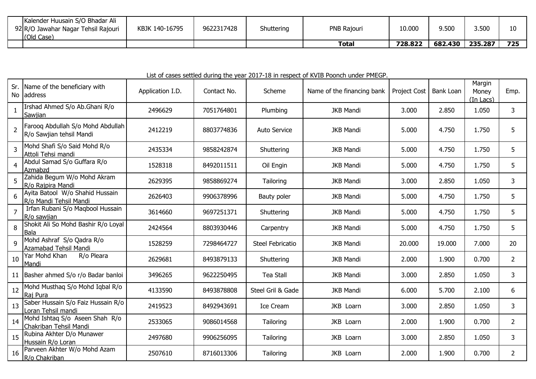| · Huusain S/O Bhadar Ali<br>Kalender<br>92 R/O Jawahar Nagar Tehsil Rajouri<br>(Old Case) | KBJK 140-16795 | 9622317428 | Shuttering | PNB Rajouri  | 10.000  | 9.500   | 3.500   | ∸          |
|-------------------------------------------------------------------------------------------|----------------|------------|------------|--------------|---------|---------|---------|------------|
|                                                                                           |                |            |            | <b>Total</b> | 728.822 | 682.430 | 235.287 | フつに<br>723 |

## List of cases settled during the year 2017-18 in respect of KVIB Poonch under PMEGP.

| Sr.            | Name of the beneficiary with<br>No address                    | Application I.D. | Contact No. | Scheme              | Name of the financing bank | Project Cost | Bank Loan | Margin<br>Money<br>$(In$ Lacs $)$ | Emp.           |
|----------------|---------------------------------------------------------------|------------------|-------------|---------------------|----------------------------|--------------|-----------|-----------------------------------|----------------|
|                | Irshad Ahmed S/o Ab.Ghani R/o<br>Sawjian                      | 2496629          | 7051764801  | Plumbing            | <b>JKB Mandi</b>           | 3.000        | 2.850     | 1.050                             | 3              |
| 2              | Farooq Abdullah S/o Mohd Abdullah<br>R/o Sawjian tehsil Mandi | 2412219          | 8803774836  | <b>Auto Service</b> | <b>JKB Mandi</b>           | 5.000        | 4.750     | 1.750                             | 5              |
| 3              | Mohd Shafi S/o Said Mohd R/o<br>Attoli Tehsi mandi            | 2435334          | 9858242874  | Shuttering          | <b>JKB Mandi</b>           | 5.000        | 4.750     | 1.750                             | 5              |
| 4              | Abdul Samad S/o Guffara R/o<br>Azmabzd                        | 1528318          | 8492011511  | Oil Engin           | <b>JKB Mandi</b>           | 5.000        | 4.750     | 1.750                             | 5              |
|                | Zahida Begum W/o Mohd Akram<br>R/o Rajpira Mandi              | 2629395          | 9858869274  | Tailoring           | <b>JKB Mandi</b>           | 3.000        | 2.850     | 1.050                             | 3              |
| 6              | Ayita Batool W/o Shahid Hussain<br>R/o Mandi Tehsil Mandi     | 2626403          | 9906378996  | Bauty poler         | <b>JKB Mandi</b>           | 5.000        | 4.750     | 1.750                             | 5              |
| $\overline{7}$ | Irfan Rubani S/o Maqbool Hussain<br>R/o sawiian               | 3614660          | 9697251371  | Shuttering          | <b>JKB Mandi</b>           | 5.000        | 4.750     | 1.750                             | 5              |
| 8              | Shokit Ali So Mohd Bashir R/o Loyal<br>Bala                   | 2424564          | 8803930446  | Carpentry           | <b>JKB Mandi</b>           | 5.000        | 4.750     | 1.750                             | 5              |
| 9              | Mohd Ashraf S/o Qadra R/o<br>Azamabad Tehsil Mandi            | 1528259          | 7298464727  | Steel Febricatio    | <b>JKB Mandi</b>           | 20.000       | 19.000    | 7.000                             | 20             |
| 10             | Yar Mohd Khan<br>R/o Pleara<br>Mandi                          | 2629681          | 8493879133  | Shuttering          | <b>JKB Mandi</b>           | 2.000        | 1.900     | 0.700                             | $\overline{2}$ |
|                | 11 Basher ahmed S/o r/o Badar banloi                          | 3496265          | 9622250495  | <b>Tea Stall</b>    | <b>JKB Mandi</b>           | 3.000        | 2.850     | 1.050                             | 3              |
| 12             | Mohd Musthaq S/o Mohd Iqbal R/o<br>Raj Pura                   | 4133590          | 8493878808  | Steel Gril & Gade   | <b>JKB Mandi</b>           | 6.000        | 5.700     | 2.100                             | 6              |
| 13             | Saber Hussain S/o Faiz Hussain R/o<br>Loran Tehsil mandi      | 2419523          | 8492943691  | <b>Ice Cream</b>    | JKB Loarn                  | 3.000        | 2.850     | 1.050                             | 3              |
| 14             | Mohd Ishtaq S/o Aseen Shah R/o<br>Chakriban Tehsil Mandi      | 2533065          | 9086014568  | Tailoring           | JKB Loarn                  | 2.000        | 1.900     | 0.700                             | $\overline{2}$ |
| 15             | Rubina Akhter D/o Munawer<br>Hussain R/o Loran                | 2497680          | 9906256095  | Tailoring           | JKB Loarn                  | 3.000        | 2.850     | 1.050                             | 3              |
| -16            | Parveen Akhter W/o Mohd Azam<br>R/o Chakriban                 | 2507610          | 8716013306  | Tailoring           | JKB Loarn                  | 2.000        | 1.900     | 0.700                             | $\overline{2}$ |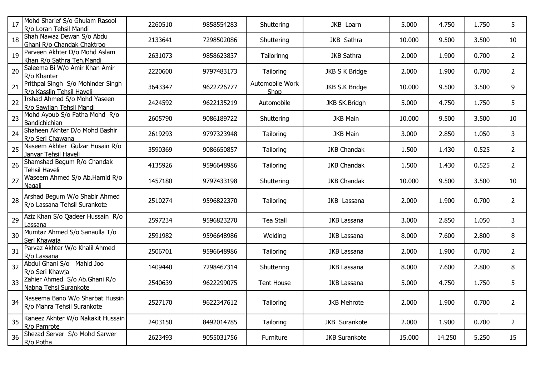| 17 | Mohd Sharief S/o Ghulam Rasool<br>R/o Loran Tehsil Mandi       | 2260510 | 9858554283 | Shuttering              | JKB Loarn            | 5.000  | 4.750  | 1.750 | 5              |
|----|----------------------------------------------------------------|---------|------------|-------------------------|----------------------|--------|--------|-------|----------------|
| 18 | Shah Nawaz Dewan S/o Abdu<br>Ghani R/o Chandak Chaktroo        | 2133641 | 7298502086 | Shuttering              | JKB Sathra           | 10.000 | 9.500  | 3.500 | 10             |
| 19 | Parveen Akhter D/o Mohd Aslam<br>Khan R/o Sathra Teh.Mandi     | 2631073 | 9858623837 | Tailorinng              | JKB Sathra           | 2.000  | 1.900  | 0.700 | $\overline{2}$ |
| 20 | Saleema Bi W/o Amir Khan Amir<br>R/o Khanter                   | 2220600 | 9797483173 | Tailoring               | JKB S K Bridge       | 2.000  | 1.900  | 0.700 | $\overline{2}$ |
| 21 | Prithpal Singh S/o Mohinder Singh<br>R/o Kasslin Tehsil Haveli | 3643347 | 9622726777 | Automobile Work<br>Shop | JKB S.K Bridge       | 10.000 | 9.500  | 3.500 | 9              |
| 22 | Irshad Ahmed S/o Mohd Yaseen<br>R/o Sawjian Tehsil Mandi       | 2424592 | 9622135219 | Automobile              | JKB SK.Bridgh        | 5.000  | 4.750  | 1.750 | 5              |
| 23 | Mohd Ayoub S/o Fatha Mohd R/o<br>Bandichichian                 | 2605790 | 9086189722 | Shuttering              | <b>JKB Main</b>      | 10.000 | 9.500  | 3.500 | 10             |
| 24 | Shaheen Akhter D/o Mohd Bashir<br>R/o Seri Chawana             | 2619293 | 9797323948 | Tailoring               | <b>JKB Main</b>      | 3.000  | 2.850  | 1.050 | 3              |
| 25 | Naseem Akhter Gulzar Husain R/o<br>Janyar Tehsil Haveli        | 3590369 | 9086650857 | Tailoring               | <b>JKB Chandak</b>   | 1.500  | 1.430  | 0.525 | $\overline{2}$ |
| 26 | Shamshad Begum R/o Chandak<br>Tehsil Haveli                    | 4135926 | 9596648986 | Tailoring               | <b>JKB Chandak</b>   | 1.500  | 1.430  | 0.525 | $\overline{2}$ |
| 27 | Waseem Ahmed S/o Ab.Hamid R/o<br>Nagali                        | 1457180 | 9797433198 | Shuttering              | <b>JKB Chandak</b>   | 10.000 | 9.500  | 3.500 | 10             |
| 28 | Arshad Begum W/o Shabir Ahmed<br>R/o Lassana Tehsil Surankote  | 2510274 | 9596822370 | Tailoring               | JKB Lassana          | 2.000  | 1.900  | 0.700 | $\overline{2}$ |
| 29 | Aziz Khan S/o Qadeer Hussain R/o<br>Lassana                    | 2597234 | 9596823270 | <b>Tea Stall</b>        | <b>JKB Lassana</b>   | 3.000  | 2.850  | 1.050 | 3              |
| 30 | Mumtaz Ahmed S/o Sanaulla T/o<br>Seri Khawaja                  | 2591982 | 9596648986 | Welding                 | JKB Lassana          | 8.000  | 7.600  | 2.800 | 8              |
| 31 | Parvaz Akhter W/o Khalil Ahmed<br>R/o Lassana                  | 2506701 | 9596648986 | Tailoring               | JKB Lassana          | 2.000  | 1.900  | 0.700 | $\overline{2}$ |
| 32 | Abdul Ghani S/o Mahid Joo<br>R/o Seri Khawja                   | 1409440 | 7298467314 | Shuttering              | JKB Lassana          | 8.000  | 7.600  | 2.800 | 8              |
| 33 | Zahier Ahmed S/o Ab.Ghani R/o<br>Nabna Tehsi Surankote         | 2540639 | 9622299075 | <b>Tent House</b>       | JKB Lassana          | 5.000  | 4.750  | 1.750 | 5              |
| 34 | Naseema Bano W/o Sharbat Hussin<br>R/o Mahra Tehsil Surankote  | 2527170 | 9622347612 | Tailoring               | <b>JKB Mehrote</b>   | 2.000  | 1.900  | 0.700 | $\overline{2}$ |
| 35 | Kaneez Akhter W/o Nakakit Hussain<br>R/o Pamrote               | 2403150 | 8492014785 | Tailoring               | JKB Surankote        | 2.000  | 1.900  | 0.700 | $\overline{2}$ |
| 36 | Shezad Server S/o Mohd Sarwer<br>R/o Potha                     | 2623493 | 9055031756 | Furniture               | <b>JKB Surankote</b> | 15.000 | 14.250 | 5.250 | 15             |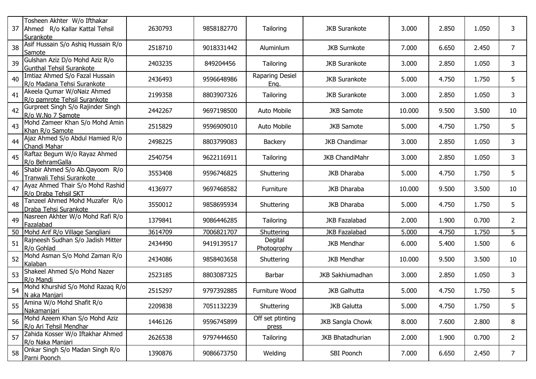| 37 | Tosheen Akhter W/o Ifthakar<br>Ahmed R/o Kallar Kattal Tehsil<br>Surankote | 2630793 | 9858182770 | Tailoring                 | <b>JKB Surankote</b>  | 3.000  | 2.850 | 1.050 | 3              |
|----|----------------------------------------------------------------------------|---------|------------|---------------------------|-----------------------|--------|-------|-------|----------------|
| 38 | Asif Hussain S/o Ashiq Hussain R/o<br>Samote                               | 2518710 | 9018331442 | Aluminlum                 | <b>JKB Surnkote</b>   | 7.000  | 6.650 | 2.450 | 7              |
| 39 | Gulshan Aziz D/o Mohd Aziz R/o<br><b>Gunthal Tehsil Surankote</b>          | 2403235 | 849204456  | Tailoring                 | <b>JKB Surankote</b>  | 3.000  | 2.850 | 1.050 | 3              |
| 40 | Imtiaz Ahmed S/o Fazal Hussain<br>R/o Madana Tehsi Surankote               | 2436493 | 9596648986 | Raparing Desiel<br>Eng.   | <b>JKB Surankote</b>  | 5.000  | 4.750 | 1.750 | 5              |
| 41 | Akeela Qumar W/oNaiz Ahmed<br>R/o pamrote Tehsil Surankote                 | 2199358 | 8803907326 | Tailoring                 | <b>JKB Surankote</b>  | 3.000  | 2.850 | 1.050 | 3              |
| 42 | Gurpreet Singh S/o Rajinder Singh<br>R/o W.No 7 Samote                     | 2442267 | 9697198500 | Auto Mobile               | <b>JKB Samote</b>     | 10.000 | 9.500 | 3.500 | 10             |
| 43 | Mohd Zameer Khan S/o Mohd Amin<br>Khan R/o Samote                          | 2515829 | 9596909010 | Auto Mobile               | <b>JKB Samote</b>     | 5.000  | 4.750 | 1.750 | 5              |
| 44 | Ajaz Ahmed S/o Abdul Hamied R/o<br>Chandi Mahar                            | 2498225 | 8803799083 | <b>Backery</b>            | <b>JKB Chandimar</b>  | 3.000  | 2.850 | 1.050 | 3              |
| 45 | Raftaz Begum W/o Rayaz Ahmed<br>R/o BehramGalla                            | 2540754 | 9622116911 | Tailoring                 | <b>JKB ChandiMahr</b> | 3.000  | 2.850 | 1.050 | 3              |
| 46 | Shabir Ahmed S/o Ab.Qayoom R/o<br>Tranwali Tehsi Surankote                 | 3553408 | 9596746825 | Shuttering                | JKB Dharaba           | 5.000  | 4.750 | 1.750 | 5              |
| 47 | Ayaz Ahmed Thair S/o Mohd Rashid<br>R/o Draba Tehsil SKT                   | 4136977 | 9697468582 | Furniture                 | JKB Dharaba           | 10.000 | 9.500 | 3.500 | 10             |
| 48 | Tanzeel Ahmed Mohd Muzafer R/o<br>Draba Tehsi Surankote                    | 3550012 | 9858695934 | Shuttering                | JKB Dharaba           | 5.000  | 4.750 | 1.750 | 5              |
| 49 | Nasreen Akhter W/o Mohd Rafi R/o<br>Fazalabad                              | 1379841 | 9086446285 | Tailoring                 | <b>JKB Fazalabad</b>  | 2.000  | 1.900 | 0.700 | $\overline{2}$ |
| 50 | Mohd Arif R/o Village Sangliani                                            | 3614709 | 7006821707 | Shuttering                | <b>JKB Fazalabad</b>  | 5.000  | 4.750 | 1.750 | 5              |
| 51 | Rajneesh Sudhan S/o Jadish Mitter<br>R/o Gohlad                            | 2434490 | 9419139517 | Degital<br>Photogrophy    | <b>JKB Mendhar</b>    | 6.000  | 5.400 | 1.500 | 6              |
| 52 | Mohd Asman S/o Mohd Zaman R/o<br>Kalaban                                   | 2434086 | 9858403658 | Shuttering                | <b>JKB Mendhar</b>    | 10.000 | 9.500 | 3.500 | 10             |
| 53 | Shakeel Ahmed S/o Mohd Nazer<br>R/o Mandi                                  | 2523185 | 8803087325 | Barbar                    | JKB Sakhiumadhan      | 3.000  | 2.850 | 1.050 | 3              |
| 54 | Mohd Khurshid S/o Mohd Razaq R/o<br>N aka Manjari                          | 2515297 | 9797392885 | Furniture Wood            | <b>JKB Galhutta</b>   | 5.000  | 4.750 | 1.750 | 5              |
| 55 | Amina W/o Mohd Shafit R/o<br>Nakamaniari                                   | 2209838 | 7051132239 | Shuttering                | <b>JKB Galutta</b>    | 5.000  | 4.750 | 1.750 | 5              |
| 56 | Mohd Azeem Khan S/o Mohd Aziz<br>R/o Ari Tehsil Mendhar                    | 1446126 | 9596745899 | Off set ptinting<br>press | JKB Sangla Chowk      | 8.000  | 7.600 | 2.800 | 8              |
| 57 | Zahida Kosser W/o Iftakhar Ahmed<br>R/o Naka Manjari                       | 2626538 | 9797444650 | Tailoring                 | JKB Bhatadhurian      | 2.000  | 1.900 | 0.700 | $\overline{2}$ |
| 58 | Onkar Singh S/o Madan Singh R/o<br>Parni Poonch                            | 1390876 | 9086673750 | Welding                   | SBI Poonch            | 7.000  | 6.650 | 2.450 | 7 <sup>1</sup> |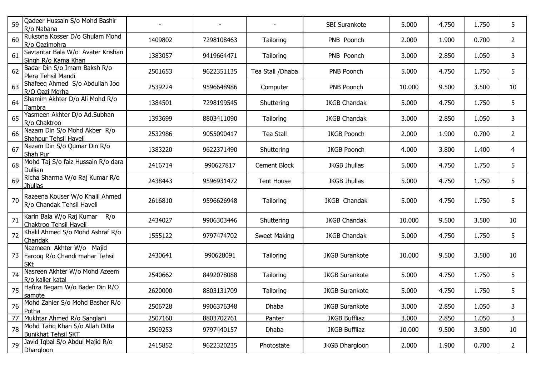| 59 | Qadeer Hussain S/o Mohd Bashir<br>R/o Nabana                             |         |            |                   | SBI Surankote         | 5.000  | 4.750 | 1.750 | 5              |
|----|--------------------------------------------------------------------------|---------|------------|-------------------|-----------------------|--------|-------|-------|----------------|
| 60 | Ruksona Kosser D/o Ghulam Mohd<br>R/o Qazimohra                          | 1409802 | 7298108463 | Tailoring         | PNB Poonch            | 2.000  | 1.900 | 0.700 | $\overline{2}$ |
| 61 | Savtantar Bala W/o Avater Krishan<br>Singh R/o Kama Khan                 | 1383057 | 9419664471 | Tailoring         | PNB Poonch            | 3.000  | 2.850 | 1.050 | 3              |
| 62 | Badar Din S/o Imam Baksh R/o<br>Plera Tehsil Mandi                       | 2501653 | 9622351135 | Tea Stall / Dhaba | PNB Poonch            | 5.000  | 4.750 | 1.750 | 5              |
| 63 | Shafeeq Ahmed S/o Abdullah Joo<br>R/O Oazi Morha                         | 2539224 | 9596648986 | Computer          | PNB Poonch            | 10.000 | 9.500 | 3.500 | 10             |
| 64 | Shamim Akhter D/o Ali Mohd R/o<br>Tambra                                 | 1384501 | 7298199545 | Shuttering        | <b>JKGB Chandak</b>   | 5.000  | 4.750 | 1.750 | 5              |
| 65 | Yasmeen Akhter D/o Ad.Subhan<br>R/o Chaktroo                             | 1393699 | 8803411090 | Tailoring         | <b>JKGB Chandak</b>   | 3.000  | 2.850 | 1.050 | 3              |
| 66 | Nazam Din S/o Mohd Akber R/o<br>Shahpur Tehsil Haveli                    | 2532986 | 9055090417 | <b>Tea Stall</b>  | <b>JKGB Poonch</b>    | 2.000  | 1.900 | 0.700 | $\overline{2}$ |
| 67 | Nazam Din S/o Qumar Din R/o<br>Shah Pur                                  | 1383220 | 9622371490 | Shuttering        | <b>JKGB Poonch</b>    | 4.000  | 3.800 | 1.400 | 4              |
| 68 | Mohd Taj S/o faiz Hussain R/o dara<br><b>Dullian</b>                     | 2416714 | 990627817  | Cement Block      | <b>JKGB Jhullas</b>   | 5.000  | 4.750 | 1.750 | 5              |
| 69 | Richa Sharma W/o Raj Kumar R/o<br>Jhullas                                | 2438443 | 9596931472 | <b>Tent House</b> | <b>JKGB Jhullas</b>   | 5.000  | 4.750 | 1.750 | 5              |
| 70 | Razeena Kouser W/o Khalil Ahmed<br>R/o Chandak Tehsil Haveli             | 2616810 | 9596626948 | Tailoring         | JKGB Chandak          | 5.000  | 4.750 | 1.750 | 5              |
| 71 | Karin Bala W/o Raj Kumar<br>R/o<br>Chaktroo Tehsil Haveli                | 2434027 | 9906303446 | Shuttering        | <b>JKGB Chandak</b>   | 10.000 | 9.500 | 3.500 | 10             |
| 72 | Khalil Ahmed S/o Mohd Ashraf R/o<br>Chandak                              | 1555122 | 9797474702 | Sweet Making      | <b>JKGB Chandak</b>   | 5.000  | 4.750 | 1.750 | 5              |
| 73 | Nazmeen Akhter W/o Majid<br>Farooq R/o Chandi mahar Tehsil<br><b>SKt</b> | 2430641 | 990628091  | Tailoring         | <b>JKGB Surankote</b> | 10.000 | 9.500 | 3.500 | 10             |
| 74 | Nasreen Akhter W/o Mohd Azeem<br>R/o kaller katal                        | 2540662 | 8492078088 | Tailoring         | <b>JKGB Surankote</b> | 5.000  | 4.750 | 1.750 | 5              |
| 75 | Hafiza Begam W/o Bader Din R/O<br>samote                                 | 2620000 | 8803131709 | Tailoring         | <b>JKGB Surankote</b> | 5.000  | 4.750 | 1.750 | 5              |
| 76 | Mohd Zahier S/o Mohd Basher R/o<br>Potha                                 | 2506728 | 9906376348 | Dhaba             | <b>JKGB Surankote</b> | 3.000  | 2.850 | 1.050 | 3              |
| 77 | Mukhtar Ahmed R/o Sanglani                                               | 2507160 | 8803702761 | Panter            | <b>JKGB Buffliaz</b>  | 3.000  | 2.850 | 1.050 | 3              |
| 78 | Mohd Tariq Khan S/o Allah Ditta<br><b>Bunikhat Tehsil SKT</b>            | 2509253 | 9797440157 | Dhaba             | <b>JKGB Buffliaz</b>  | 10.000 | 9.500 | 3.500 | 10             |
| 79 | Javid Iqbal S/o Abdul Majid R/o<br><b>Dhargloon</b>                      | 2415852 | 9622320235 | Photostate        | <b>JKGB Dhargloon</b> | 2.000  | 1.900 | 0.700 | $\overline{2}$ |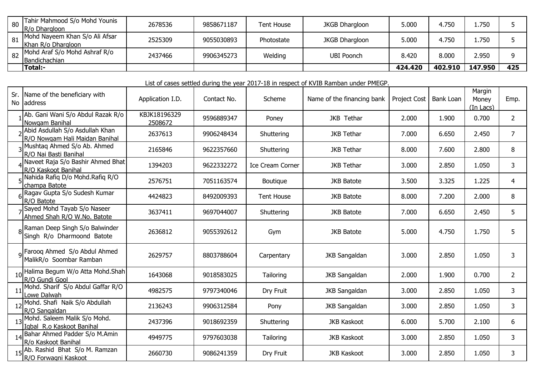| 80 | Tahir Mahmood S/o Mohd Younis<br>R/o Dhargloon       | 2678536 | 9858671187 | Tent House | <b>JKGB Dhargloon</b> | 5.000   | 4.750   | 1.750   |     |
|----|------------------------------------------------------|---------|------------|------------|-----------------------|---------|---------|---------|-----|
| 81 | Mohd Nayeem Khan S/o Ali Afsar<br>Khan R/o Dhargloon | 2525309 | 9055030893 | Photostate | <b>JKGB Dhargloon</b> | 5.000   | 4.750   | 1.750   |     |
| 82 | Mohd Araf S/o Mohd Ashraf R/o<br>Bandichachian       | 2437466 | 9906345273 | Welding    | <b>UBI Poonch</b>     | 8.420   | 8.000   | 2.950   |     |
|    | 'Total:-                                             |         |            |            |                       | 424.420 | 402.910 | 147.950 | 425 |

|  | List of cases settled during the year 2017-18 in respect of KVIB Ramban under PMEGP. |
|--|--------------------------------------------------------------------------------------|
|  |                                                                                      |

|    | Sr. Name of the beneficiary with<br>No address                            | Application I.D.        | Contact No. | Scheme                  | Name of the financing bank | Project Cost | Bank Loan | Margin<br>Money<br>(In Lacs) | Emp.           |
|----|---------------------------------------------------------------------------|-------------------------|-------------|-------------------------|----------------------------|--------------|-----------|------------------------------|----------------|
|    | Ab. Gani Wani S/o Abdul Razak R/o<br>Nowgam Banihal                       | KBJK18196329<br>2508672 | 9596889347  | Poney                   | JKB Tethar                 | 2.000        | 1.900     | 0.700                        | $\overline{2}$ |
|    | Abid Asdullah S/o Asdullah Khan<br>R/O Nowgam Hali Maidan Banihal         | 2637613                 | 9906248434  | Shuttering              | <b>JKB Tethar</b>          | 7.000        | 6.650     | 2.450                        | $\overline{7}$ |
|    | 3 Mushtaq Ahmed S/o Ab. Ahmed<br>R/O Nai Basti Banihal                    | 2165846                 | 9622357660  | Shuttering              | <b>JKB Tethar</b>          | 8.000        | 7.600     | 2.800                        | 8              |
|    | Naveet Raja S/o Bashir Ahmed Bhat<br>R/O Kaskoot Banihal                  | 1394203                 | 9622332272  | <b>Ice Cream Corner</b> | <b>JKB Tethar</b>          | 3.000        | 2.850     | 1.050                        | 3              |
|    | Nahida Rafiq D/o Mohd.Rafiq R/O<br>champa Batote                          | 2576751                 | 7051163574  | Boutique                | <b>JKB Batote</b>          | 3.500        | 3.325     | 1.225                        | $\overline{4}$ |
|    | Ragav Gupta S/o Sudesh Kumar<br>R/O Batote                                | 4424823                 | 8492009393  | <b>Tent House</b>       | <b>JKB Batote</b>          | 8.000        | 7.200     | 2.000                        | 8              |
|    | Sayed Mohd Tayab S/o Naseer<br>Ahmed Shah R/O W.No. Batote                | 3637411                 | 9697044007  | Shuttering              | <b>JKB Batote</b>          | 7.000        | 6.650     | 2.450                        | 5              |
|    | <sub>8</sub> Raman Deep Singh S/o Balwinder<br>Singh R/o Dharmoond Batote | 2636812                 | 9055392612  | Gym                     | <b>JKB Batote</b>          | 5.000        | 4.750     | 1.750                        | 5              |
|    | <sub>9</sub> Farooq Ahmed S/o Abdul Ahmed<br>MalikR/o Soombar Ramban      | 2629757                 | 8803788604  | Carpentary              | <b>JKB Sangaldan</b>       | 3.000        | 2.850     | 1.050                        | 3              |
|    | Halima Begum W/o Atta Mohd.Shah<br>R/O Gundi Gool                         | 1643068                 | 9018583025  | Tailoring               | <b>JKB Sangaldan</b>       | 2.000        | 1.900     | 0.700                        | $\overline{2}$ |
|    | Mohd. Sharif S/o Abdul Gaffar R/O<br>Lowe Dalwah                          | 4982575                 | 9797340046  | Dry Fruit               | <b>JKB Sangaldan</b>       | 3.000        | 2.850     | 1.050                        | 3              |
|    | Mohd. Shafi Naik S/o Abdullah<br>R/O Sangaldan                            | 2136243                 | 9906312584  | Pony                    | <b>JKB Sangaldan</b>       | 3.000        | 2.850     | 1.050                        | 3              |
| 13 | Mohd. Saleem Malik S/o Mohd.<br>Igbal R.o Kaskoot Banihal                 | 2437396                 | 9018692359  | Shuttering              | <b>JKB Kaskoot</b>         | 6.000        | 5.700     | 2.100                        | 6              |
|    | Bahar Ahmed Padder S/o M.Amin<br>R/o Kaskoot Banihal                      | 4949775                 | 9797603038  | Tailoring               | <b>JKB Kaskoot</b>         | 3.000        | 2.850     | 1.050                        | 3              |
|    | Ab. Rashid Bhat S/o M. Ramzan<br>R/O Forwagni Kaskoot                     | 2660730                 | 9086241359  | Dry Fruit               | <b>JKB Kaskoot</b>         | 3.000        | 2.850     | 1.050                        | 3              |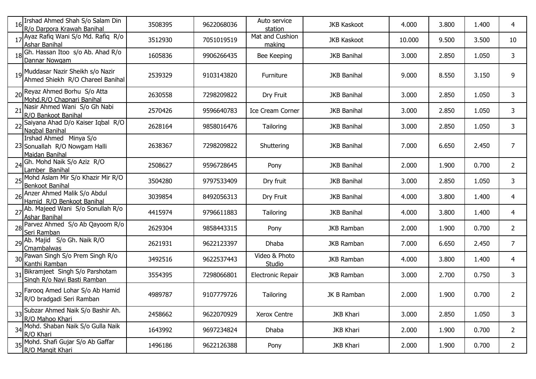|    | Irshad Ahmed Shah S/o Salam Din<br>R/o Darpora Krawah Banihal             | 3508395 | 9622068036 | Auto service<br>station   | <b>JKB Kaskoot</b> | 4.000  | 3.800 | 1.400 | 4              |
|----|---------------------------------------------------------------------------|---------|------------|---------------------------|--------------------|--------|-------|-------|----------------|
|    | 17 Ayaz Rafiq Wani S/o Md. Rafiq R/o<br><b>Ashar Banihal</b>              | 3512930 | 7051019519 | Mat and Cushion<br>making | <b>JKB Kaskoot</b> | 10.000 | 9.500 | 3.500 | 10             |
|    | Gh. Hassan Itoo s/o Ab. Ahad R/o<br>Dannar Nowgam                         | 1605836 | 9906266435 | Bee Keeping               | <b>JKB Banihal</b> | 3.000  | 2.850 | 1.050 | 3              |
|    | 19 Muddasar Nazir Sheikh s/o Nazir<br>Ahmed Shiekh R/O Chareel Banihal    | 2539329 | 9103143820 | Furniture                 | <b>JKB Banihal</b> | 9.000  | 8.550 | 3.150 | 9              |
|    | 20 Reyaz Ahmed Borhu S/o Atta<br>Mohd.R/O Chapnari Banihal                | 2630558 | 7298209822 | Dry Fruit                 | <b>JKB Banihal</b> | 3.000  | 2.850 | 1.050 | 3              |
| 21 | Nasir Ahmed Wani S/o Gh Nabi<br>R/O Bankoot Banihal                       | 2570426 | 9596640783 | Ice Cream Corner          | <b>JKB Banihal</b> | 3.000  | 2.850 | 1.050 | 3              |
|    | Saiyana Ahad D/o Kaiser Iqbal R/O<br>Nagbal Banihal                       | 2628164 | 9858016476 | Tailoring                 | <b>JKB Banihal</b> | 3.000  | 2.850 | 1.050 | 3              |
|    | Irshad Ahmed Minya S/o<br>23 Sonuallah R/O Nowgam Halli<br>Maidan Banihal | 2638367 | 7298209822 | Shuttering                | <b>JKB Banihal</b> | 7.000  | 6.650 | 2.450 | $\overline{7}$ |
| 24 | Gh. Mohd Naik S/o Aziz R/O<br>Lamber Banihal                              | 2508627 | 9596728645 | Pony                      | <b>JKB Banihal</b> | 2.000  | 1.900 | 0.700 | $\overline{2}$ |
|    | 25 Mohd Aslam Mir S/o Khazir Mir R/O<br><b>Benkoot Banihal</b>            | 3504280 | 9797533409 | Dry fruit                 | <b>JKB Banihal</b> | 3.000  | 2.850 | 1.050 | 3              |
|    | 26 Anzer Ahmed Malik S/o Abdul<br>Hamid R/O Benkoot Banihal               | 3039854 | 8492056313 | Dry Fruit                 | <b>JKB Banihal</b> | 4.000  | 3.800 | 1.400 | 4              |
|    | 27 Ab. Majeed Wani S/o Sonullah R/o<br><b>Ashar Banihal</b>               | 4415974 | 9796611883 | Tailoring                 | <b>JKB Banihal</b> | 4.000  | 3.800 | 1.400 | 4              |
|    | 28 Parvez Ahmed S/o Ab Qayoom R/o<br>Seri Ramban                          | 2629304 | 9858443315 | Pony                      | <b>JKB Ramban</b>  | 2.000  | 1.900 | 0.700 | 2              |
|    | 29 Ab. Majid S/o Gh. Naik R/O<br>Cmambalwas                               | 2621931 | 9622123397 | Dhaba                     | <b>JKB Ramban</b>  | 7.000  | 6.650 | 2.450 | 7              |
|    | 30 Pawan Singh S/o Prem Singh R/o<br>Kanthi Ramban                        | 3492516 | 9622537443 | Video & Photo<br>Studio   | <b>JKB Ramban</b>  | 4.000  | 3.800 | 1.400 | 4              |
|    | Bikramjeet Singh S/o Parshotam<br>Singh R/o Nayi Basti Ramban             | 3554395 | 7298066801 | <b>Electronic Repair</b>  | <b>JKB Ramban</b>  | 3.000  | 2.700 | 0.750 | 3              |
|    | 32 Farooq Amed Lohar S/o Ab Hamid<br>R/O bradgadi Seri Ramban             | 4989787 | 9107779726 | Tailoring                 | JK B Ramban        | 2.000  | 1.900 | 0.700 | 2              |
|    | 33 Subzar Ahmed Naik S/o Bashir Ah.<br>R/O Mahoo Khari                    | 2458662 | 9622070929 | Xerox Centre              | <b>JKB Khari</b>   | 3.000  | 2.850 | 1.050 | 3              |
|    | 34 Mohd. Shaban Naik S/o Gulla Naik<br>R/O Khari                          | 1643992 | 9697234824 | Dhaba                     | <b>JKB Khari</b>   | 2.000  | 1.900 | 0.700 | $\overline{2}$ |
|    | 35 Mohd. Shafi Gujar S/o Ab Gaffar<br>R/O Mangit Khari                    | 1496186 | 9622126388 | Pony                      | <b>JKB Khari</b>   | 2.000  | 1.900 | 0.700 | $\overline{2}$ |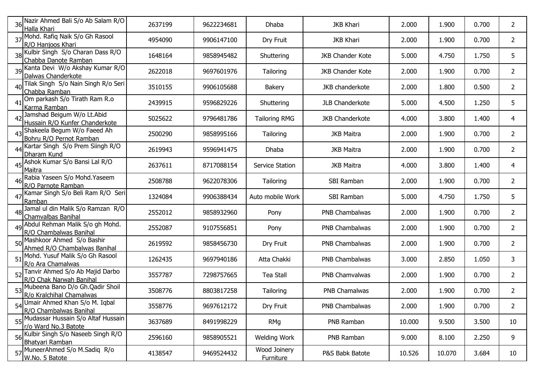|    | 36 Nazir Ahmed Bali S/o Ab Salam R/O<br>Halla Khari             | 2637199 | 9622234681 | Dhaba                     | <b>JKB Khari</b>        | 2.000  | 1.900  | 0.700 | 2              |
|----|-----------------------------------------------------------------|---------|------------|---------------------------|-------------------------|--------|--------|-------|----------------|
|    | 37 Mohd. Rafiq Naik S/o Gh Rasool<br>R/O Hanjoos Khari          | 4954090 | 9906147100 | Dry Fruit                 | <b>JKB Khari</b>        | 2.000  | 1.900  | 0.700 | 2              |
|    | 38 Kulbir Singh S/o Charan Dass R/O<br>Chabba Danote Ramban     | 1648164 | 9858945482 | Shuttering                | <b>JKB Chander Kote</b> | 5.000  | 4.750  | 1.750 | 5              |
|    | 39 Kanta Devi W/o Akshay Kumar R/O<br>Dalwas Chanderkote        | 2622018 | 9697601976 | Tailoring                 | <b>JKB Chander Kote</b> | 2.000  | 1.900  | 0.700 | $\overline{2}$ |
| 40 | Tilak Singh S/o Nain Singh R/o Seri<br>Chabba Ramban            | 3510155 | 9906105688 | <b>Bakery</b>             | JKB chanderkote         | 2.000  | 1.800  | 0.500 | $\overline{2}$ |
| 41 | Om parkash S/o Tirath Ram R.o<br>Karma Ramban                   | 2439915 | 9596829226 | Shuttering                | JLB Chanderkote         | 5.000  | 4.500  | 1.250 | 5              |
|    | 42 Jamshad Beigum W/o Lt.Abid<br>Hussain R/O Kunfer Chanderkote | 5025622 | 9796481786 | <b>Tailoring RMG</b>      | <b>JKB Chanderkote</b>  | 4.000  | 3.800  | 1.400 | 4              |
|    | 43 Shakeela Begum W/o Faeed Ah<br>Bohru R/O Pernot Ramban       | 2500290 | 9858995166 | Tailoring                 | <b>JKB Maitra</b>       | 2.000  | 1.900  | 0.700 | $\overline{2}$ |
|    | 44 Kartar Singh S/o Prem Siingh R/O<br>Dharam Kund              | 2619943 | 9596941475 | Dhaba                     | <b>JKB Maitra</b>       | 2.000  | 1.900  | 0.700 | $\overline{2}$ |
|    | 45 Ashok Kumar S/o Bansi Lal R/O<br>Maitra                      | 2637611 | 8717088154 | Service Station           | <b>JKB Maitra</b>       | 4.000  | 3.800  | 1.400 | 4              |
|    | Rabia Yaseen S/o Mohd. Yaseem<br>R/O Parnote Ramban             | 2508788 | 9622078306 | Tailoring                 | SBI Ramban              | 2.000  | 1.900  | 0.700 | 2              |
|    | 47 Kamar Singh S/o Beli Ram R/O Seri<br>Ramban                  | 1324084 | 9906388434 | Auto mobile Work          | SBI Ramban              | 5.000  | 4.750  | 1.750 | 5              |
| 48 | Jamal ul din Malik S/o Ramzan R/O<br>Chamvalbas Banihal         | 2552012 | 9858932960 | Pony                      | PNB Chambalwas          | 2.000  | 1.900  | 0.700 | 2              |
|    | 49 Abdul Rehman Malik S/o gh Mohd.<br>R/O Chambalwas Banihal    | 2552087 | 9107556851 | Pony                      | PNB Chambalwas          | 2.000  | 1.900  | 0.700 | $\mathbf{2}$   |
|    | 50 Mashkoor Ahmed S/o Bashir<br>Ahmed R/O Chambalwas Banihal    | 2619592 | 9858456730 | Dry Fruit                 | PNB Chambalwas          | 2.000  | 1.900  | 0.700 | $\overline{2}$ |
|    | 51 Mohd. Yusuf Malik S/o Gh Rasool<br>R/o Ara Chamalwas         | 1262435 | 9697940186 | Atta Chakki               | <b>PNB Chambalwas</b>   | 3.000  | 2.850  | 1.050 | 3              |
| 52 | Tanvir Ahmed S/o Ab Majid Darbo<br>R/O Chak Narwah Banihal      | 3557787 | 7298757665 | <b>Tea Stall</b>          | <b>PNB Chamvalwas</b>   | 2.000  | 1.900  | 0.700 | 2              |
|    | 53 Mubeena Bano D/o Gh.Qadir Shoil<br>R/o Kralchihal Chamalwas  | 3508776 | 8803817258 | Tailoring                 | PNB Chamalwas           | 2.000  | 1.900  | 0.700 | $\overline{2}$ |
|    | 54 Umair Ahmed Khan S/o M. Iqbal<br>R/O Chambalwas Banihal      | 3558776 | 9697612172 | Dry Fruit                 | PNB Chambalwas          | 2.000  | 1.900  | 0.700 | $\overline{2}$ |
|    | 55 Mudassar Hussain S/o Altaf Hussain<br>r/o Ward No.3 Batote   | 3637689 | 8491998229 | <b>RMg</b>                | PNB Ramban              | 10.000 | 9.500  | 3.500 | 10             |
|    | 56 Kulbir Singh S/o Naseeb Singh R/O<br>Bhatyari Ramban         | 2596160 | 9858905521 | Welding Work              | PNB Ramban              | 9.000  | 8.100  | 2.250 | 9              |
|    | 57 MuneerAhmed S/o M.Sadiq R/o<br>W.No. 5 Batote                | 4138547 | 9469524432 | Wood Joinery<br>Furniture | P&S Babk Batote         | 10.526 | 10.070 | 3.684 | 10             |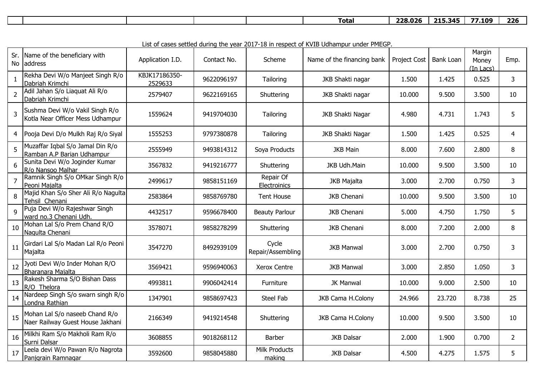|  |  |  |  |  |  | $\overline{\phantom{a}}$<br>Total | <b>728.026</b> | 245<br>71 E<br>-- | $- -$<br>.109 | つつん<br>.<br>. |
|--|--|--|--|--|--|-----------------------------------|----------------|-------------------|---------------|---------------|
|--|--|--|--|--|--|-----------------------------------|----------------|-------------------|---------------|---------------|

List of cases settled during the year 2017-18 in respect of KVIB Udhampur under PMEGP.

| Sr.<br>No      | Name of the beneficiary with<br>address                             | Application I.D.         | Contact No. | Scheme                     | Name of the financing bank | Project Cost | Bank Loan | Margin<br>Money<br>(In Lacs) | Emp.           |
|----------------|---------------------------------------------------------------------|--------------------------|-------------|----------------------------|----------------------------|--------------|-----------|------------------------------|----------------|
| $\mathbf{1}$   | Rekha Devi W/o Manjeet Singh R/o<br>Dabriah Krimchi                 | KBJK17186350-<br>2529633 | 9622096197  | Tailoring                  | JKB Shakti nagar           | 1.500        | 1.425     | 0.525                        | 3              |
| $\overline{2}$ | Adil Jahan S/o Liaquat Ali R/o<br>Dabriah Krimchi                   | 2579407                  | 9622169165  | Shuttering                 | JKB Shakti nagar           | 10.000       | 9.500     | 3.500                        | 10             |
| 3              | Sushma Devi W/o Vakil Singh R/o<br>Kotla Near Officer Mess Udhampur | 1559624                  | 9419704030  | Tailoring                  | JKB Shakti Nagar           | 4.980        | 4.731     | 1.743                        | 5              |
| 4              | Pooja Devi D/o Mulkh Raj R/o Siyal                                  | 1555253                  | 9797380878  | Tailoring                  | JKB Shakti Nagar           | 1.500        | 1.425     | 0.525                        | $\overline{4}$ |
| 5              | Muzaffar Iqbal S/o Jamal Din R/o<br>Ramban A.P Barian Udhampur      | 2555949                  | 9493814312  | Soya Products              | <b>JKB Main</b>            | 8.000        | 7.600     | 2.800                        | 8              |
| 6              | Sunita Devi W/o Joginder Kumar<br>R/o Nansoo Malhar                 | 3567832                  | 9419216777  | Shuttering                 | JKB Udh.Main               | 10.000       | 9.500     | 3.500                        | 10             |
| $\overline{7}$ | Ramnik Singh S/o OMkar Singh R/o<br>Peoni Majalta                   | 2499617                  | 9858151169  | Repair Of<br>Electroinics  | JKB Majalta                | 3.000        | 2.700     | 0.750                        | 3              |
| 8              | Majid Khan S/o Sher Ali R/o Nagulta<br>Tehsil Chenani               | 2583864                  | 9858769780  | Tent House                 | <b>JKB Chenani</b>         | 10.000       | 9.500     | 3.500                        | 10             |
| 9              | Puja Devi W/o Rajeshwar Singh<br>ward no.3 Chenani Udh.             | 4432517                  | 9596678400  | <b>Beauty Parlour</b>      | JKB Chenani                | 5.000        | 4.750     | 1.750                        | 5              |
| 10             | Mohan Lal S/o Prem Chand R/O<br>Nagulta Chenani                     | 3578071                  | 9858278299  | Shuttering                 | <b>JKB Chenani</b>         | 8.000        | 7.200     | 2.000                        | 8              |
| 11             | Girdari Lal S/o Madan Lal R/o Peoni<br>Majalta                      | 3547270                  | 8492939109  | Cycle<br>Repair/Assembling | <b>JKB Manwal</b>          | 3.000        | 2.700     | 0.750                        | 3              |
| 12             | Jyoti Devi W/o Inder Mohan R/O<br>Bharanara Majalta                 | 3569421                  | 9596940063  | Xerox Centre               | <b>JKB Manwal</b>          | 3.000        | 2.850     | 1.050                        | 3              |
| 13             | Rakesh Sharma S/O Bishan Dass<br>R/O Thelora                        | 4993811                  | 9906042414  | Furniture                  | JK Manwal                  | 10.000       | 9.000     | 2.500                        | 10             |
| 14             | Nardeep Singh S/o swarn singh R/o<br>Londna Rathian                 | 1347901                  | 9858697423  | Steel Fab                  | JKB Cama H.Colony          | 24.966       | 23.720    | 8.738                        | 25             |
| 15             | Mohan Lal S/o naseeb Chand R/o<br>Naer Railway Guest House Jakhani  | 2166349                  | 9419214548  | Shuttering                 | JKB Cama H.Colony          | 10.000       | 9.500     | 3.500                        | 10             |
| 16             | Milkhi Ram S/o Makholi Ram R/o<br>Surni Dalsar                      | 3608855                  | 9018268112  | Barber                     | <b>JKB Dalsar</b>          | 2.000        | 1.900     | 0.700                        | $\overline{2}$ |
| 17             | Leela devi W/o Pawan R/o Nagrota<br>Panjgrain Ramnagar              | 3592600                  | 9858045880  | Milk Products<br>making    | <b>JKB Dalsar</b>          | 4.500        | 4.275     | 1.575                        | 5              |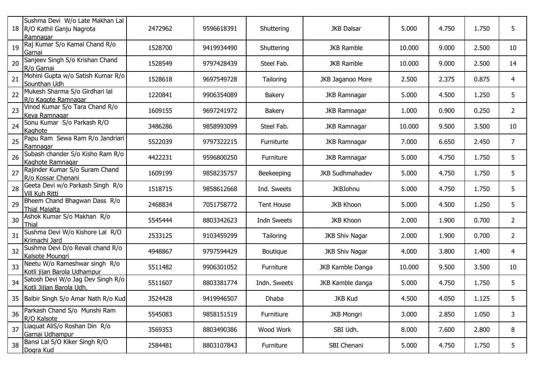| 18 | Sushma Devi W/o Late Makhan Lal<br>R/O Kathil Ganju Nagrota<br>Ramnagar | 2472962 | 9596618391 | Shuttering        | <b>JKB Dalsar</b>      | 5.000  | 4.750 | 1.750 | 5              |
|----|-------------------------------------------------------------------------|---------|------------|-------------------|------------------------|--------|-------|-------|----------------|
| 19 | Raj Kumar S/o Kamal Chand R/o<br>Garnai                                 | 1528700 | 9419934490 | Shuttering        | <b>JKB Ramble</b>      | 10.000 | 9.000 | 2.500 | 10             |
| 20 | Sanjeev Singh S/o Krishan Chand<br>R/o Garnai                           | 1528549 | 9797428439 | Steel Fab.        | <b>JKB Ramble</b>      | 10.000 | 9.000 | 2.500 | 14             |
| 21 | Mohini Gupta w/o Satish Kumar R/o<br>Sounthan Udh                       | 1528618 | 9697549728 | Tailoring         | JKB Jaganoo More       | 2.500  | 2.375 | 0.875 | 4              |
| 22 | Mukesh Sharma S/o Girdhari lal<br>R/o Kagote Ramnagar                   | 1220841 | 9906354089 | <b>Bakery</b>     | <b>JKB Ramnagar</b>    | 5.000  | 4.500 | 1.250 | 5              |
| 23 | Vinod Kumar S/o Tara Chand R/o<br>Keya Ramnagar                         | 1609155 | 9697241972 | Bakery            | <b>JKB Ramnagar</b>    | 1.000  | 0.900 | 0.250 | $\overline{2}$ |
| 24 | Sonu Kumar S/o Parkash R/O<br>Kaghote                                   | 3486286 | 9858993099 | Steel Fab.        | <b>JKB Ramnagar</b>    | 10.000 | 9.500 | 3.500 | 10             |
| 25 | Papu Ram Sewa Ram R/o Jandriari<br>Ramnagar                             | 5522039 | 9797322215 | Furniturte        | <b>JKB Ramnagar</b>    | 7.000  | 6.650 | 2.450 | 7              |
| 26 | Subash chander S/o Kisho Ram R/o<br>Kaghote Ramnagar                    | 4422231 | 9596800250 | Furniture         | <b>JKB Ramnagar</b>    | 5.000  | 4.750 | 1.750 | 5              |
| 27 | Rajinder Kumar S/o Suram Chand<br>R/o Kossar Chenani                    | 1609199 | 9858235757 | Beekeeping        | <b>JKB Sudhmahadev</b> | 5.000  | 4.750 | 1.750 | 5              |
| 28 | Geeta Devi w/o Parkash Singh R/o<br>Vill Kuh Ritti                      | 1518715 | 9858612668 | Ind. Sweets       | <b>JKBJohnu</b>        | 5.000  | 4.750 | 1.750 | 5              |
| 29 | Bheem Chand Bhagwan Dass R/o<br>Thial Majalta                           | 2468834 | 7051758772 | <b>Tent House</b> | <b>JKB Khoon</b>       | 5.000  | 4.500 | 1.250 | 5              |
| 30 | Ashok Kumar S/o Makhan R/o<br><b>Thial</b>                              | 5545444 | 8803342623 | Indn Sweets       | <b>JKB Khoon</b>       | 2.000  | 1.900 | 0.700 | 2              |
| 31 | Sushma Devi W/o Kishore Lal R/O<br>Krimachi Jard                        | 2533125 | 9103459299 | Tailoring         | <b>JKB Shiv Nagar</b>  | 2.000  | 1.900 | 0.700 | $\overline{2}$ |
| 32 | Sushma Devi D/o Revali chand R/o<br>Kalsote Moungri                     | 4948867 | 9797594429 | Boutique          | <b>JKB Shiv Nagar</b>  | 4.000  | 3.800 | 1.400 | 4              |
| 33 | Neetu W/o Rameshwar singh R/o<br>Kotli jijan Barola Udhampur            | 5511482 | 9906301052 | Furniture         | JKB Kamble Danga       | 10.000 | 9.500 | 3.500 | 10             |
| 34 | Satosh Devi W/o Jag Dev Singh R/o<br>Kotli Jijjan Barola Udh.           | 5511607 | 8803381774 | Indn. Sweets      | JKB Kamble danga       | 5.000  | 4.750 | 1.750 | 5              |
|    | 35   Balbir Singh S/o Amar Nath R/o Kud                                 | 3524428 | 9419946507 | Dhaba             | <b>JKB Kud</b>         | 4.500  | 4.050 | 1.125 | 5.             |
| 36 | Parkash Chand S/o Munshi Ram<br>R/O Kalsote                             | 5545083 | 9858151519 | Furnitiure        | <b>JKB Mongri</b>      | 3.000  | 2.850 | 1.050 | 3              |
| 37 | Liaquat AliS/o Roshan Din R/o<br>Garnai Udhampur                        | 3569353 | 8803490386 | Wood Work         | SBI Udh.               | 8.000  | 7.600 | 2.800 | 8              |
| 38 | Bansi Lal S/O Kiker Singh R/O<br>Dogra Kud                              | 2584481 | 8803107843 | Furniture         | SBI Chenani            | 5.000  | 4.750 | 1.750 | 5              |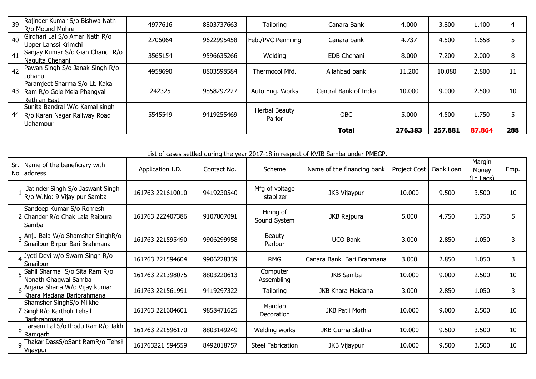| 39 | Rajinder Kumar S/o Bishwa Nath<br><b>IR/o Mound Mohre</b>                          | 4977616 | 8803737663 | Tailoring               | Canara Bank           | 4.000   | 3.800   | 1.400  | 4   |
|----|------------------------------------------------------------------------------------|---------|------------|-------------------------|-----------------------|---------|---------|--------|-----|
| 40 | Girdhari Lal S/o Amar Nath R/o<br>Upper Lanssi Krimchi                             | 2706064 | 9622995458 | Feb./PVC Penniling      | Canara bank           | 4.737   | 4.500   | 1.658  |     |
| 41 | Sanjay Kumar S/o Gian Chand R/o<br>Nagulta Chenani                                 | 3565154 | 9596635266 | Welding                 | <b>EDB Chenani</b>    | 8.000   | 7.200   | 2.000  | 8   |
| 42 | Pawan Singh S/o Janak Singh R/o<br>Johanu                                          | 4958690 | 8803598584 | Thermocol Mfd.          | Allahbad bank         | 11,200  | 10.080  | 2.800  | 11  |
| 43 | Paramjeet Sharma S/o Lt. Kaka<br>Ram R/o Gole Mela Phangyal<br><b>Rethian East</b> | 242325  | 9858297227 | Auto Eng. Works         | Central Bank of India | 10.000  | 9.000   | 2.500  | 10  |
| 44 | Sunita Bandral W/o Kamal singh<br>R/o Karan Nagar Railway Road<br>Udhampur         | 5545549 | 9419255469 | Herbal Beauty<br>Parlor | <b>OBC</b>            | 5.000   | 4.500   | 1.750  |     |
|    |                                                                                    |         |            |                         | Total                 | 276.383 | 257.881 | 87.864 | 288 |

List of cases settled during the year 2017-18 in respect of KVIB Samba under PMEGP.

|   | Sr. Name of the beneficiary with<br>No address                                | Application I.D. | Contact No. | Scheme                      | Name of the financing bank | <b>Project Cost</b> | Bank Loan | Margin<br>Money<br>$(In$ Lacs $)$ | Emp. |
|---|-------------------------------------------------------------------------------|------------------|-------------|-----------------------------|----------------------------|---------------------|-----------|-----------------------------------|------|
|   | Jatinder Singh S/o Jaswant Singh<br>R/o W.No: 9 Vijay pur Samba               | 161763 221610010 | 9419230540  | Mfg of voltage<br>stablizer | <b>JKB Vijaypur</b>        | 10.000              | 9.500     | 3.500                             | 10   |
|   | Sandeep Kumar S/o Romesh<br>2 Chander R/o Chak Lala Raipura<br>Samba          | 161763 222407386 | 9107807091  | Hiring of<br>Sound System   | JKB Rajpura                | 5.000               | 4.750     | 1.750                             | 5    |
|   | 3 Anju Bala W/o Shamsher SinghR/o<br>Smailpur Birpur Bari Brahmana            | 161763 221595490 | 9906299958  | <b>Beauty</b><br>Parlour    | <b>UCO Bank</b>            | 3.000               | 2.850     | 1.050                             | 3    |
|   | 4 Jyoti Devi w/o Swarn Singh R/o<br>Smailpur                                  | 161763 221594604 | 9906228339  | <b>RMG</b>                  | Canara Bank Bari Brahmana  | 3.000               | 2.850     | 1.050                             | 3    |
|   | 5 Sahil Sharma S/o Sita Ram R/o<br>Nonath Ghagwal Samba                       | 161763 221398075 | 8803220613  | Computer<br>Assembling      | <b>JKB Samba</b>           | 10.000              | 9.000     | 2.500                             | 10   |
|   | 6 Anjana Sharia W/o Vijay kumar<br>Khara Madana Baribrahmana                  | 161763 221561991 | 9419297322  | <b>Tailoring</b>            | JKB Khara Maidana          | 3.000               | 2.850     | 1.050                             | 3    |
|   | Shamsher SinghS/o Milkhe<br>7 SinghR/o Kartholi Tehsil<br><b>Baribrahmana</b> | 161763 221604601 | 9858471625  | Mandap<br>Decoration        | JKB Patli Morh             | 10.000              | 9.000     | 2.500                             | 10   |
| 8 | Tarsem Lal S/oThodu RamR/o Jakh<br>Ramgarh                                    | 161763 221596170 | 8803149249  | Welding works               | <b>JKB Gurha Slathia</b>   | 10.000              | 9.500     | 3.500                             | 10   |
|   | <sub>9</sub>  Thakar DassS/oSant RamR/o Tehsil<br>Vijaypur                    | 161763221 594559 | 8492018757  | <b>Steel Fabrication</b>    | <b>JKB Vijaypur</b>        | 10.000              | 9.500     | 3.500                             | 10   |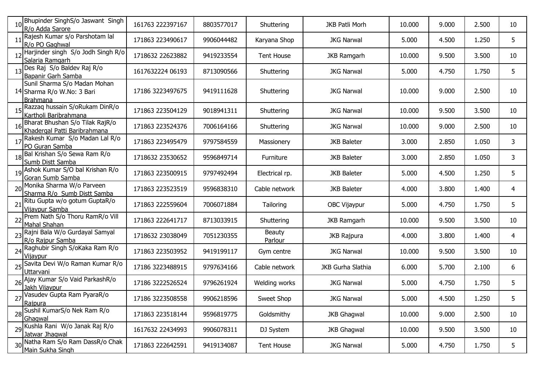|    | Bhupinder SinghS/o Jaswant Singh<br>R/o Adda Sarore                    | 161763 222397167 | 8803577017 | Shuttering               | <b>JKB Patli Morh</b> | 10.000 | 9.000 | 2.500 | 10 |
|----|------------------------------------------------------------------------|------------------|------------|--------------------------|-----------------------|--------|-------|-------|----|
|    | Rajesh Kumar s/o Parshotam lal<br>R/o PO Gaghwal                       | 171863 223490617 | 9906044482 | Karyana Shop             | <b>JKG Narwal</b>     | 5.000  | 4.500 | 1.250 | 5  |
|    | Harjinder singh S/o Jodh Singh R/o<br>Salaria Ramgarh                  | 1718632 22623882 | 9419233554 | <b>Tent House</b>        | <b>JKB Ramgarh</b>    | 10.000 | 9.500 | 3.500 | 10 |
|    | Des Raj S/o Baldev Raj R/o<br>Bapanir Garh Samba                       | 1617632224 06193 | 8713090566 | Shuttering               | <b>JKG Narwal</b>     | 5.000  | 4.750 | 1.750 | 5  |
|    | Sunil Sharma S/o Madan Mohan<br>14 Sharma R/o W.No: 3 Bari<br>Brahmana | 17186 3223497675 | 9419111628 | Shuttering               | <b>JKG Narwal</b>     | 10.000 | 9.000 | 2.500 | 10 |
|    | 15 Razzaq hussain S/oRukam DinR/o<br>Kartholi Baribrahmana             | 171863 223504129 | 9018941311 | Shuttering               | <b>JKG Narwal</b>     | 10.000 | 9.500 | 3.500 | 10 |
|    | Bharat Bhushan S/o Tilak RajR/o<br>Khadergal Patti Baribrahmana        | 171863 223524376 | 7006164166 | Shuttering               | <b>JKG Narwal</b>     | 10.000 | 9.000 | 2.500 | 10 |
|    | Rakesh Kumar S/o Madan Lal R/o<br>PO Guran Samba                       | 171863 223495479 | 9797584559 | Massionery               | <b>JKB Baleter</b>    | 3.000  | 2.850 | 1.050 | 3  |
|    | 18 Bal Krishan S/o Sewa Ram R/o<br>Sumb Distt Samba                    | 1718632 23530652 | 9596849714 | Furniture                | <b>JKB Baleter</b>    | 3.000  | 2.850 | 1.050 | 3  |
|    | 19 Ashok Kumar S/O bal Krishan R/o<br>Goran Sumb Samba                 | 171863 223500915 | 9797492494 | Electrical rp.           | <b>JKB Baleter</b>    | 5.000  | 4.500 | 1.250 | 5  |
| 20 | Monika Sharma W/o Parveen<br>Sharma R/o Sumb Distt Samba               | 171863 223523519 | 9596838310 | Cable network            | <b>JKB Baleter</b>    | 4.000  | 3.800 | 1.400 | 4  |
|    | Ritu Gupta w/o gotum GuptaR/o<br>Vijaypur Samba                        | 171863 222559604 | 7006071884 | Tailoring                | OBC Vijaypur          | 5.000  | 4.750 | 1.750 | 5  |
|    | Prem Nath S/o Thoru RamR/o Vill<br>Mahal Shahan                        | 171863 222641717 | 8713033915 | Shuttering               | <b>JKB Ramgarh</b>    | 10.000 | 9.500 | 3.500 | 10 |
|    | 23 Rajni Bala W/o Gurdayal Samyal<br>R/o Rajpur Samba                  | 1718632 23038049 | 7051230355 | <b>Beauty</b><br>Parlour | JKB Rajpura           | 4.000  | 3.800 | 1.400 | 4  |
|    | 24 Raghubir Singh S/oKaka Ram R/o<br>Vijaypur                          | 171863 223503952 | 9419199117 | Gym centre               | <b>JKG Narwal</b>     | 10.000 | 9.500 | 3.500 | 10 |
| 25 | Savita Devi W/o Raman Kumar R/o<br>Uttarvani                           | 17186 3223488915 | 9797634166 | Cable network            | JKB Gurha Slathia     | 6.000  | 5.700 | 2.100 | 6  |
|    | 26 Ajay Kumar S/o Vaid ParkashR/o<br>Jakh Vijaypur                     | 17186 3222526524 | 9796261924 | Welding works            | <b>JKG Narwal</b>     | 5.000  | 4.750 | 1.750 | 5  |
|    | 27 Vasudev Gupta Ram PyaraR/o<br>Rajpura                               | 17186 3223508558 | 9906218596 | Sweet Shop               | <b>JKG Narwal</b>     | 5.000  | 4.500 | 1.250 | 5  |
|    | 28 Sushil KumarS/o Nek Ram R/o<br>Ghagwal                              | 171863 223518144 | 9596819775 | Goldsmithy               | <b>JKB Ghagwal</b>    | 10.000 | 9.000 | 2.500 | 10 |
|    | 29 Kushla Rani W/o Janak Raj R/o<br>Jatwar Jhagwal                     | 1617632 22434993 | 9906078311 | DJ System                | <b>JKB Ghagwal</b>    | 10.000 | 9.500 | 3.500 | 10 |
|    | 30 Natha Ram S/o Ram DassR/o Chak<br>Main Sukha Singh                  | 171863 222642591 | 9419134087 | Tent House               | <b>JKG Narwal</b>     | 5.000  | 4.750 | 1.750 | 5  |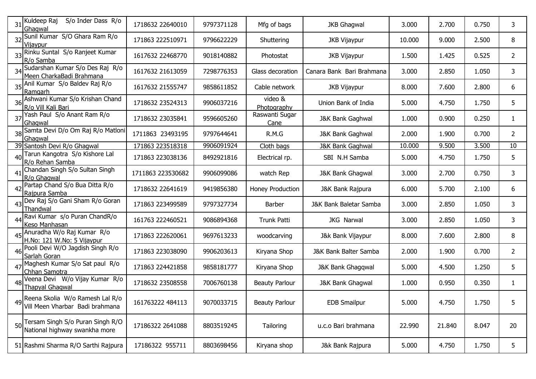|    | S/o Inder Dass R/o<br>$31$ Kuldeep Raj<br>Ghagwal                    | 1718632 22640010  | 9797371128 | Mfg of bags            | <b>JKB Ghagwal</b>          | 3.000  | 2.700  | 0.750 | 3.             |
|----|----------------------------------------------------------------------|-------------------|------------|------------------------|-----------------------------|--------|--------|-------|----------------|
|    | Sunil Kumar S/O Ghara Ram R/o<br>Vijaypur                            | 171863 222510971  | 9796622229 | Shuttering             | <b>JKB Vijaypur</b>         | 10.000 | 9.000  | 2.500 | 8              |
|    | 33 Rinku Suntal S/o Ranjeet Kumar<br>R/o Samba                       | 1617632 22468770  | 9018140882 | Photostat              | <b>JKB Vijaypur</b>         | 1.500  | 1.425  | 0.525 | 2              |
|    | 34 Sudarshan Kumar S/o Des Raj R/o<br>Meen CharkaBadi Brahmana       | 1617632 21613059  | 7298776353 | Glass decoration       | Canara Bank Bari Brahmana   | 3.000  | 2.850  | 1.050 | 3              |
|    | 35 Anil Kumar S/o Baldev Raj R/o<br>Ramgarh                          | 1617632 21555747  | 9858611852 | Cable network          | <b>JKB Vijaypur</b>         | 8.000  | 7.600  | 2.800 | 6              |
|    | 36 Ashwani Kumar S/o Krishan Chand<br>R/o Vill Kali Bari             | 1718632 23524313  | 9906037216 | video &<br>Photography | Union Bank of India         | 5.000  | 4.750  | 1.750 | 5              |
|    | 37 Yash Paul S/o Anant Ram R/o<br>Ghagwal                            | 1718632 23035841  | 9596605260 | Raswanti Sugar<br>Cane | <b>J&amp;K Bank Gaghwal</b> | 1.000  | 0.900  | 0.250 | 1              |
|    | 38 Samta Devi D/o Om Raj R/o Matloni<br>Ghagwal                      | 1711863 23493195  | 9797644641 | R.M.G                  | J&K Bank Gaghwal            | 2.000  | 1.900  | 0.700 | $\overline{2}$ |
|    | 39 Santosh Devi R/o Ghagwal                                          | 171863 223518318  | 9906091924 | Cloth bags             | <b>J&amp;K Bank Gaghwal</b> | 10.000 | 9.500  | 3.500 | 10             |
| 40 | Tarun Kangotra S/o Kishore Lal<br>R/o Rehan Samba                    | 171863 223038136  | 8492921816 | Electrical rp.         | SBI N.H Samba               | 5.000  | 4.750  | 1.750 | 5              |
| 41 | Chandan Singh S/o Sultan Singh<br>R/o Ghagwal                        | 1711863 223530682 | 9906099086 | watch Rep              | J&K Bank Ghagwal            | 3.000  | 2.700  | 0.750 | 3              |
|    | Partap Chand S/o Bua Ditta R/o<br>Rajpura Samba                      | 1718632 22641619  | 9419856380 | Honey Production       | J&K Bank Rajpura            | 6.000  | 5.700  | 2.100 | 6              |
|    | 43 Dev Raj S/o Gani Sham R/o Goran<br>Thandwal                       | 171863 223499589  | 9797327734 | Barber                 | J&K Bank Baletar Samba      | 3.000  | 2.850  | 1.050 | 3.             |
| 44 | Ravi Kumar s/o Puran ChandR/o<br>Keso Manhasan                       | 161763 222460521  | 9086894368 | <b>Trunk Patti</b>     | JKG Narwal                  | 3.000  | 2.850  | 1.050 | 3              |
| 45 | Anuradha W/o Raj Kumar R/o<br>H.No: 121 W.No: 5 Vijaypur             | 171863 222620061  | 9697613233 | woodcarving            | J&k Bank Vijaypur           | 8.000  | 7.600  | 2.800 | 8              |
| 46 | Pooli Devi W/O Jagdish Singh R/o<br>Sarlah Goran                     | 171863 223038090  | 9906203613 | Kiryana Shop           | J&K Bank Balter Samba       | 2.000  | 1.900  | 0.700 | $\overline{2}$ |
| 47 | Maghesh Kumar S/o Sat paul R/o<br>Chhan Samotra                      | 171863 224421858  | 9858181777 | Kiryana Shop           | J&K Bank Ghagqwal           | 5.000  | 4.500  | 1.250 | 5              |
|    | Veena Devi W/o Vijay Kumar R/o<br><b>Thapyal Ghagwal</b>             | 1718632 23508558  | 7006760138 | <b>Beauty Parlour</b>  | J&K Bank Ghagwal            | 1.000  | 0.950  | 0.350 | 1              |
| 49 | Reena Skolia W/o Ramesh Lal R/o<br>Vill Meen Vharbar Badi brahmana   | 161763222 484113  | 9070033715 | <b>Beauty Parlour</b>  | <b>EDB Smailpur</b>         | 5.000  | 4.750  | 1.750 | Ы              |
|    | 50 Tersam Singh S/o Puran Singh R/O<br>National highway swankha more | 17186322 2641088  | 8803519245 | Tailoring              | u.c.o Bari brahmana         | 22.990 | 21.840 | 8.047 | 20             |
|    | 51 Rashmi Sharma R/O Sarthi Rajpura                                  | 17186322 955711   | 8803698456 | Kiryana shop           | J&k Bank Rajpura            | 5.000  | 4.750  | 1.750 | 5              |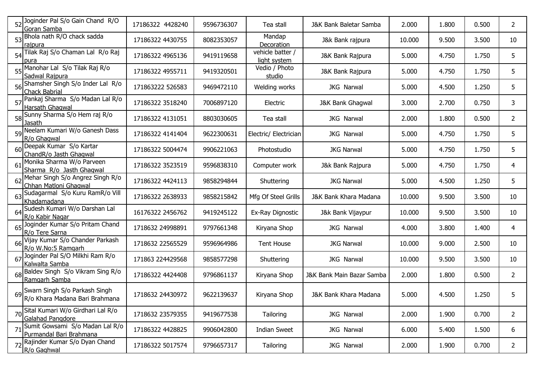| 52 Joginder Pal S/o Gain Chand R/O<br>Goran Samba               | 17186322 4428240 | 9596736307 | Tea stall                        | J&K Bank Baletar Samba    | 2.000  | 1.800 | 0.500 | $\overline{2}$ |
|-----------------------------------------------------------------|------------------|------------|----------------------------------|---------------------------|--------|-------|-------|----------------|
| 53 Bhola nath R/O chack sadda<br>rajpura                        | 17186322 4430755 | 8082353057 | Mandap<br>Decoration             | J&k Bank rajpura          | 10.000 | 9.500 | 3.500 | 10             |
| 54 Tilak Raj S/o Chaman Lal R/o Raj<br>pura                     | 17186322 4965136 | 9419119658 | vehicle batter /<br>light system | J&K Bank Rajpura          | 5.000  | 4.750 | 1.750 | 5              |
| 55 Manohar Lal S/o Tilak Raj R/o<br>Sadwal Rajpura              | 17186322 4955711 | 9419320501 | Vedio / Photo<br>studio          | J&K Bank Rajpura          | 5.000  | 4.750 | 1.750 | 5              |
| 56 Shamsher Singh S/o Inder Lal R/o<br><b>Chack Babrial</b>     | 171863222 526583 | 9469472110 | Welding works                    | <b>JKG Narwal</b>         | 5.000  | 4.500 | 1.250 | 5              |
| 57 Pankaj Sharma S/o Madan Lal R/o<br>Harsath Ghagwal           | 17186322 3518240 | 7006897120 | Electric                         | J&K Bank Ghagwal          | 3.000  | 2.700 | 0.750 | 3              |
| 58 Sunny Sharma S/o Hem raj R/o<br>Jasath                       | 17186322 4131051 | 8803030605 | Tea stall                        | JKG Narwal                | 2.000  | 1.800 | 0.500 | $\overline{2}$ |
| 59 Neelam Kumari W/o Ganesh Dass<br>R/o Ghagwal                 | 17186322 4141404 | 9622300631 | Electric/ Electrician            | JKG Narwal                | 5.000  | 4.750 | 1.750 | 5              |
| 60 Deepak Kumar S/o Kartar<br>ChandR/o Jasth Ghagwal            | 17186322 5004474 | 9906221063 | Photostudio                      | <b>JKG Narwal</b>         | 5.000  | 4.750 | 1.750 | 5              |
| 61 Monika Sharma W/o Parveen<br>Sharma R/o Jasth Ghagwal        | 17186322 3523519 | 9596838310 | Computer work                    | J&k Bank Rajpura          | 5.000  | 4.750 | 1.750 | 4              |
| 62 Mehar Singh S/o Angrez Singh R/o<br>Chhan Matloni Ghagwal    | 17186322 4424113 | 9858294844 | Shuttering                       | <b>JKG Narwal</b>         | 5.000  | 4.500 | 1.250 | 5              |
| 63 Sudagarmal S/o Kuru RamR/o Vill<br>Khadamadana               | 17186322 2638933 | 9858215842 | Mfg Of Steel Grills              | J&K Bank Khara Madana     | 10.000 | 9.500 | 3.500 | 10             |
| 64 Sudesh Kumari W/o Darshan Lal<br>R/o Kabir Nagar             | 16176322 2456762 | 9419245122 | Ex-Ray Dignostic                 | J&k Bank Vijaypur         | 10.000 | 9.500 | 3.500 | 10             |
| 65 Joginder Kumar S/o Pritam Chand<br>R/o Tere Sarna            | 1718632 24998891 | 9797661348 | Kiryana Shop                     | JKG Narwal                | 4.000  | 3.800 | 1.400 | 4              |
| 66 Vijay Kumar S/o Chander Parkash<br>R/o W.No:5 Ramgarh        | 1718632 22565529 | 9596964986 | <b>Tent House</b>                | <b>JKG Narwal</b>         | 10.000 | 9.000 | 2.500 | 10             |
| 67 Joginder Pal S/O Milkhi Ram R/o<br>Kalwalta Samba            | 171863 224429568 | 9858577298 | Shuttering                       | JKG Narwal                | 10.000 | 9.500 | 3.500 | 10             |
| 68 Baldev Singh S/o Vikram Sing R/o<br>Ramgarh Samba            | 17186322 4424408 | 9796861137 | Kiryana Shop                     | J&K Bank Main Bazar Samba | 2.000  | 1.800 | 0.500 | $\overline{2}$ |
| Swarn Singh S/o Parkash Singh<br>R/o Khara Madana Bari Brahmana | 1718632 24430972 | 9622139637 | Kiryana Shop                     | J&K Bank Khara Madana     | 5.000  | 4.500 | 1.250 | 5              |
| 70 Sital Kumari W/o Girdhari Lal R/o<br>Galahad Pangdore        | 1718632 23579355 | 9419677538 | Tailoring                        | JKG Narwal                | 2.000  | 1.900 | 0.700 | $\overline{2}$ |
| 71 Sumit Gowsami S/o Madan Lal R/o<br>Purmandal Bari Brahmana   | 17186322 4428825 | 9906042800 | <b>Indian Sweet</b>              | JKG Narwal                | 6.000  | 5.400 | 1.500 | 6              |
| 72 Rajinder Kumar S/o Dyan Chand<br>R/o Gaghwal                 | 17186322 5017574 | 9796657317 | Tailoring                        | JKG Narwal                | 2.000  | 1.900 | 0.700 | $\mathbf{2}$   |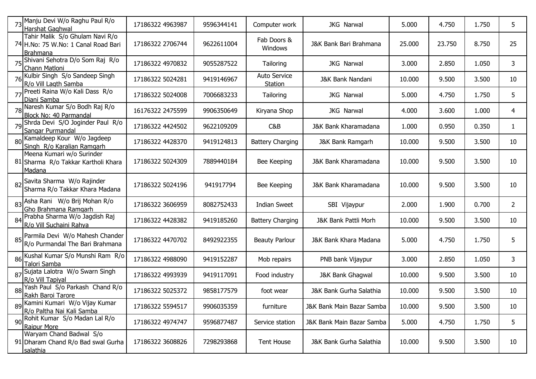|    | 73 Manju Devi W/o Raghu Paul R/o<br>Harshat Gaghwal                                | 17186322 4963987 | 9596344141 | Computer work                  | JKG Narwal                | 5.000  | 4.750  | 1.750 | 5. |
|----|------------------------------------------------------------------------------------|------------------|------------|--------------------------------|---------------------------|--------|--------|-------|----|
|    | Tahir Malik S/o Ghulam Navi R/o<br>74 H.No: 75 W.No: 1 Canal Road Bari<br>Brahmana | 17186322 2706744 | 9622611004 | Fab Doors &<br>Windows         | J&K Bank Bari Brahmana    | 25.000 | 23.750 | 8.750 | 25 |
|    | 75 Shivani Sehotra D/o Som Raj R/o<br>Chann Matloni                                | 17186322 4970832 | 9055287522 | Tailoring                      | JKG Narwal                | 3.000  | 2.850  | 1.050 | 3  |
|    | 76 Kulbir Singh S/o Sandeep Singh<br>R/o Vill Lagth Samba                          | 17186322 5024281 | 9419146967 | <b>Auto Service</b><br>Station | J&K Bank Nandani          | 10.000 | 9.500  | 3.500 | 10 |
|    | 77 Preeti Raina W/o Kali Dass R/o<br>Diani Samba                                   | 17186322 5024008 | 7006683233 | Tailoring                      | JKG Narwal                | 5.000  | 4.750  | 1.750 | 5  |
|    | 78 Naresh Kumar S/o Bodh Raj R/o<br>Block No: 40 Parmandal                         | 16176322 2475599 | 9906350649 | Kiryana Shop                   | JKG Narwal                | 4.000  | 3.600  | 1.000 | 4  |
|    | 79 Shrda Devi S/O Joginder Paul R/o<br>Sangar Purmandal                            | 17186322 4424502 | 9622109209 | C&B                            | J&K Bank Kharamadana      | 1.000  | 0.950  | 0.350 | 1  |
|    | 80 Kamaldeep Kour W/o Jagdeep<br>Singh R/o Karalian Ramgarh                        | 17186322 4428370 | 9419124813 | <b>Battery Charging</b>        | J&K Bank Ramgarh          | 10.000 | 9.500  | 3.500 | 10 |
|    | Meena Kumari w/o Surinder<br>81 Sharma R/o Takkar Kartholi Khara<br>Madana         | 17186322 5024309 | 7889440184 | Bee Keeping                    | J&K Bank Kharamadana      | 10.000 | 9.500  | 3.500 | 10 |
|    | 82 Savita Sharma W/o Rajinder<br>Sharma R/o Takkar Khara Madana                    | 17186322 5024196 | 941917794  | Bee Keeping                    | J&K Bank Kharamadana      | 10.000 | 9.500  | 3.500 | 10 |
|    | 83 Asha Rani W/o Brij Mohan R/o<br>Gho Brahmana Ramgarh                            | 17186322 3606959 | 8082752433 | <b>Indian Sweet</b>            | SBI Vijaypur              | 2.000  | 1.900  | 0.700 | 2  |
|    | 84 Prabha Sharma W/o Jagdish Raj<br>R/o Vill Suchaini Rahya                        | 17186322 4428382 | 9419185260 | <b>Battery Charging</b>        | J&K Bank Pattli Morh      | 10.000 | 9.500  | 3.500 | 10 |
|    | 85 Parmila Devi W/o Mahesh Chander<br>R/o Purmandal The Bari Brahmana              | 17186322 4470702 | 8492922355 | <b>Beauty Parlour</b>          | J&K Bank Khara Madana     | 5.000  | 4.750  | 1.750 | 5  |
|    | 86 Kushal Kumar S/o Munshi Ram R/o<br>Talori Samba                                 | 17186322 4988090 | 9419152287 | Mob repairs                    | PNB bank Vijaypur         | 3.000  | 2.850  | 1.050 | 3  |
|    | 87 Sujata Lalotra W/o Swarn Singh<br>R/o Vill Tapiyal                              | 17186322 4993939 | 9419117091 | Food industry                  | J&K Bank Ghagwal          | 10.000 | 9.500  | 3.500 | 10 |
| 88 | Yash Paul S/o Parkash Chand R/o<br>Rakh Baroi Tarore                               | 17186322 5025372 | 9858177579 | foot wear                      | J&K Bank Gurha Salathia   | 10.000 | 9.500  | 3.500 | 10 |
|    | 89 Kamini Kumari W/o Vijay Kumar<br>R/o Paltha Nai Kali Samba                      | 17186322 5594517 | 9906035359 | furniture                      | J&K Bank Main Bazar Samba | 10.000 | 9.500  | 3.500 | 10 |
|    | 90 Rohit Kumar S/o Madan Lal R/o<br><b>Raipur More</b>                             | 17186322 4974747 | 9596877487 | Service station                | J&K Bank Main Bazar Samba | 5.000  | 4.750  | 1.750 | 5  |
|    | Waryam Chand Badwal S/o<br>91 Dharam Chand R/o Bad swal Gurha<br>salathia          | 17186322 3608826 | 7298293868 | Tent House                     | J&K Bank Gurha Salathia   | 10.000 | 9.500  | 3.500 | 10 |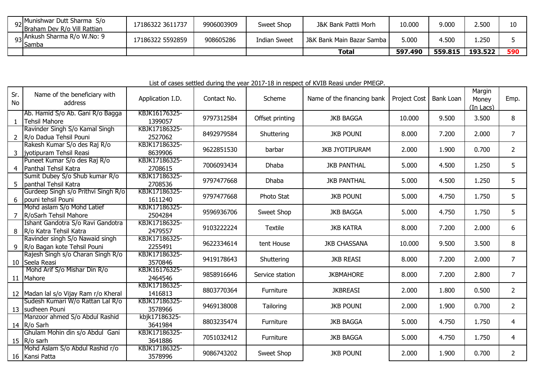| <sub>92</sub> Munishwar Dutt Sharma S/o<br>Braham Dev R/o Vill Rattian | 7186322 3611737  | 9906003909 | Sweet Shop   | J&K Bank Pattli Morh      | 10.000  | 9.000   | 2.500   |     |
|------------------------------------------------------------------------|------------------|------------|--------------|---------------------------|---------|---------|---------|-----|
| Sankush Sharma R/o W.No: 9<br>$93\vert_{\text{Samba}}^{\text{min}}$    | 17186322 5592859 | 908605286  | Indian Sweet | J&K Bank Main Bazar Samba | 000.ز   | 4.500   | 250     |     |
|                                                                        |                  |            |              | Total                     | 597.490 | 559.815 | 193.522 | 590 |

List of cases settled during the year 2017-18 in respect of KVIB Reasi under PMEGP.

| Sr.<br><b>No</b> | Name of the beneficiary with<br>address                        | Application I.D.         | Contact No. | Scheme          | Name of the financing bank | Project Cost | <b>Bank Loan</b> | Margin<br>Money<br>(In Lacs) | Emp.           |
|------------------|----------------------------------------------------------------|--------------------------|-------------|-----------------|----------------------------|--------------|------------------|------------------------------|----------------|
| $\mathbf{1}$     | Ab. Hamid S/o Ab. Gani R/o Bagga<br><b>Tehsil Mahore</b>       | KBJK16176325-<br>1399057 | 9797312584  | Offset printing | <b>JKB BAGGA</b>           | 10.000       | 9.500            | 3.500                        | 8              |
| 2                | Ravinder Singh S/o Kamal Singh<br>R/o Dadua Tehsil Pouni       | KBJK17186325-<br>2527062 | 8492979584  | Shuttering      | <b>JKB POUNI</b>           | 8.000        | 7.200            | 2.000                        | $\overline{7}$ |
| 3                | Rakesh Kumar S/o des Raj R/o<br>livotipuram Tehsil Reasi       | KBJK17186325-<br>8639906 | 9622851530  | barbar          | <b>JKB JYOTIPURAM</b>      | 2.000        | 1.900            | 0.700                        | $\overline{2}$ |
|                  | Puneet Kumar S/o des Raj R/o<br>4 Panthal Tehsil Katra         | KBJK17186325-<br>2708615 | 7006093434  | Dhaba           | <b>JKB PANTHAL</b>         | 5.000        | 4.500            | 1.250                        | 5              |
| 5.               | Sumit Dubey S/o Shub kumar R/o<br>panthal Tehsil Katra         | KBJK17186325-<br>2708536 | 9797477668  | Dhaba           | <b>JKB PANTHAL</b>         | 5.000        | 4.500            | 1.250                        | 5              |
| 6                | Gurdeep Singh s/o Prithvi Singh R/o<br>pouni tehsil Pouni      | KBJK17186325-<br>1611240 | 9797477668  | Photo Stat      | <b>JKB POUNI</b>           | 5.000        | 4.750            | 1.750                        | 5              |
|                  | Mohd aslam S/o Mohd Latief<br>R/oSarh Tehsil Mahore            | KBJK17186325-<br>2504284 | 9596936706  | Sweet Shop      | <b>JKB BAGGA</b>           | 5.000        | 4.750            | 1.750                        | 5              |
| 8                | Ishant Gandotra S/o Ravi Gandotra<br>R/o Katra Tehsil Katra    | KBJK17186325-<br>2479557 | 9103222224  | <b>Textile</b>  | <b>JKB KATRA</b>           | 8.000        | 7.200            | 2.000                        | 6              |
| 9                | Ravinder singh S/o Nawaid singh<br>R/o Bagan kote Tehsil Pouni | KBJK17186325-<br>2255491 | 9622334614  | tent House      | <b>JKB CHASSANA</b>        | 10.000       | 9.500            | 3.500                        | 8              |
|                  | Rajesh Singh s/o Charan Singh R/o<br>10 Seela Reasi            | KBJK17186325-<br>3570846 | 9419178643  | Shuttering      | <b>JKB REASI</b>           | 8.000        | 7.200            | 2.000                        | $\overline{7}$ |
|                  | Mohd Arif S/o Mishar Din R/o<br>11 Mahore                      | KBJK16176325-<br>2464546 | 9858916646  | Service station | <b>JKBMAHORE</b>           | 8.000        | 7.200            | 2.800                        | $\overline{7}$ |
|                  | 12 Madan lal s/o Vijay Ram r/o Kheral                          | KBJK17186325-<br>1416813 | 8803770364  | Furniture       | <b>JKBREASI</b>            | 2.000        | 1.800            | 0.500                        | $\overline{2}$ |
|                  | Sudesh Kumari W/o Rattan Lal R/o<br>13 sudheen Pouni           | KBJK17186325-<br>3578966 | 9469138008  | Tailoring       | <b>JKB POUNI</b>           | 2.000        | 1.900            | 0.700                        | $\overline{2}$ |
|                  | Manzoor ahmed S/o Abdul Rashid<br>14 R/o Sarh                  | kbjk17186325-<br>3641984 | 8803235474  | Furniture       | <b>JKB BAGGA</b>           | 5.000        | 4.750            | 1.750                        | 4              |
|                  | Ghulam Mohin din s/o Abdul Gani<br>15 $R/o$ sarh               | KBJK17186325-<br>3641886 | 7051032412  | Furniture       | <b>JKB BAGGA</b>           | 5.000        | 4.750            | 1.750                        | 4              |
|                  | Mohd Aslam S/o Abdul Rashid r/o<br>16 Kansi Patta              | KBJK17186325-<br>3578996 | 9086743202  | Sweet Shop      | <b>JKB POUNI</b>           | 2.000        | 1.900            | 0.700                        | $\overline{2}$ |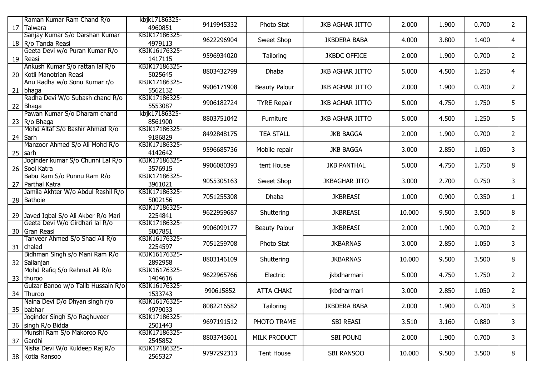|    | Raman Kumar Ram Chand R/o             | kbjk17186325- |            |                      |                        |        |       |       |                |
|----|---------------------------------------|---------------|------------|----------------------|------------------------|--------|-------|-------|----------------|
| 17 | Talwara                               | 4960851       | 9419945332 | Photo Stat           | <b>JKB AGHAR JITTO</b> | 2.000  | 1.900 | 0.700 | $\overline{2}$ |
|    | Sanjay Kumar S/o Darshan Kumar        | KBJK17186325- | 9622296904 | Sweet Shop           | <b>JKBDERA BABA</b>    | 4.000  | 3.800 | 1.400 | 4              |
|    | 18   R/o Tanda Reasi                  | 4979113       |            |                      |                        |        |       |       |                |
|    | Geeta Devi w/o Puran Kumar R/o        | KBJK16176325- | 9596934020 | Tailoring            | <b>JKBDC OFFICE</b>    | 2.000  | 1.900 | 0.700 | $\overline{2}$ |
|    | 19 Reasi                              | 1417115       |            |                      |                        |        |       |       |                |
|    | Ankush Kumar S/o rattan lal R/o       | KBJK17186325- | 8803432799 | <b>Dhaba</b>         | <b>JKB AGHAR JITTO</b> | 5.000  | 4.500 | 1.250 | 4              |
|    | 20 Kotli Manotrian Reasi              | 5025645       |            |                      |                        |        |       |       |                |
|    | Anu Radha w/o Sonu Kumar r/o          | KBJK17186325- | 9906171908 | <b>Beauty Palour</b> | <b>JKB AGHAR JITTO</b> | 2.000  | 1.900 | 0.700 | $\overline{2}$ |
|    | 21 bhaga                              | 5562132       |            |                      |                        |        |       |       |                |
|    | Radha Devi W/o Subash chand R/o       | KBJK17186325- | 9906182724 | <b>TYRE Repair</b>   | <b>JKB AGHAR JITTO</b> | 5.000  | 4.750 | 1.750 | 5              |
| 22 | Bhaga                                 | 5553087       |            |                      |                        |        |       |       |                |
|    | Pawan Kumar S/o Dharam chand          | kbjk17186325- | 8803751042 | Furniture            | <b>JKB AGHAR JITTO</b> | 5.000  | 4.500 | 1.250 | 5              |
|    | 23 R/o Bhaga                          | 8561900       |            |                      |                        |        |       |       |                |
|    | Mohd Altaf S/o Bashir Ahmed R/o       | KBJK17186325- | 8492848175 | <b>TEA STALL</b>     | <b>JKB BAGGA</b>       | 2.000  | 1.900 | 0.700 | $\overline{2}$ |
|    | 24 Sarh                               | 9186829       |            |                      |                        |        |       |       |                |
|    | Manzoor Ahmed S/o Ali Mohd R/o        | KBJK17186325- | 9596685736 | Mobile repair        | <b>JKB BAGGA</b>       | 3.000  | 2.850 | 1.050 | 3 <sup>1</sup> |
|    | 25 sarh                               | 4142642       |            |                      |                        |        |       |       |                |
|    | Joginder kumar S/o Chunni Lal R/o     | KBJK17186325- | 9906080393 | tent House           | <b>JKB PANTHAL</b>     | 5.000  | 4.750 | 1.750 | 8              |
|    | 26 Sool Katra                         | 3576915       |            |                      |                        |        |       |       |                |
|    | Babu Ram S/o Punnu Ram R/o            | KBJK17186325- | 9055305163 | Sweet Shop           | <b>JKBAGHAR JITO</b>   | 3.000  | 2.700 | 0.750 | 3              |
| 27 | Parthal Katra                         | 3961021       |            |                      |                        |        |       |       |                |
|    | Jamila Akhter W/o Abdul Rashil R/o    | KBJK17186325- | 7051255308 | <b>Dhaba</b>         | <b>JKBREASI</b>        | 1.000  | 0.900 | 0.350 | $\mathbf{1}$   |
|    | 28 Bathoie                            | 5002156       |            |                      |                        |        |       |       |                |
|    |                                       | KBJK17186325- | 9622959687 | Shuttering           | <b>JKBREASI</b>        | 10.000 | 9.500 | 3.500 | 8              |
|    | 29 Javed Iqbal S/o Ali Akber R/o Mari | 2254841       |            |                      |                        |        |       |       |                |
|    | Geeta Devi W/o Girdhari lal R/o       | KBJK17186325- | 9906099177 | <b>Beauty Palour</b> | <b>JKBREASI</b>        | 2.000  | 1.900 | 0.700 | $\overline{2}$ |
|    | 30 Gran Reasi                         | 5007851       |            |                      |                        |        |       |       |                |
|    | Tanveer Ahmed S/o Shad Ali R/o        | KBJK16176325- | 7051259708 | Photo Stat           | <b>JKBARNAS</b>        | 3.000  | 2.850 | 1.050 | 3              |
|    | 31 chalad                             | 2254597       |            |                      |                        |        |       |       |                |
|    | Bidhman Singh s/o Mani Ram R/o        | KBJK16176325- | 8803146109 | Shuttering           | <b>JKBARNAS</b>        | 10.000 | 9.500 | 3.500 | 8              |
|    | 32 Sailanjan                          | 2892958       |            |                      |                        |        |       |       |                |
|    | Mohd Rafiq S/o Rehmat Ali R/o         | KBJK16176325- | 9622965766 | Electric             | jkbdharmari            | 5.000  | 4.750 | 1.750 | $\overline{2}$ |
| 33 | <b>thuroo</b>                         | 1404616       |            |                      |                        |        |       |       |                |
|    | Gulzar Banoo w/o Talib Hussain R/o    | KBJK16176325- | 990615852  | <b>ATTA CHAKI</b>    | jkbdharmari            | 3.000  | 2.850 | 1.050 | $\overline{2}$ |
| 34 | Thuroo                                | 1533743       |            |                      |                        |        |       |       |                |
|    | Naina Devi D/o Dhyan singh r/o        | KBJK16176325- | 8082216582 | Tailoring            | <b>JKBDERA BABA</b>    | 2.000  | 1.900 | 0.700 | $\mathbf{3}$   |
|    | 35 babhar                             | 4979033       |            |                      |                        |        |       |       |                |
|    | Joginder Singh S/o Raghuveer          | KBJK17186325- | 9697191512 | PHOTO TRAME          | SBI REASI              | 3.510  | 3.160 | 0.880 | 3 <sup>1</sup> |
|    | 36 singh R/o Bidda                    | 2501443       |            |                      |                        |        |       |       |                |
|    | Munshi Ram S/o Makoroo R/o            | KBJK17186325- | 8803743601 | MILK PRODUCT         | SBI POUNI              | 2.000  | 1.900 | 0.700 | 3 <sup>1</sup> |
|    | 37 Gardhi                             | 2545852       |            |                      |                        |        |       |       |                |
|    | Nisha Devi W/o Kuldeep Raj R/o        | KBJK17186325- | 9797292313 | Tent House           | SBI RANSOO             | 10.000 | 9.500 | 3.500 | 8              |
|    | 38 Kotla Ransoo                       | 2565327       |            |                      |                        |        |       |       |                |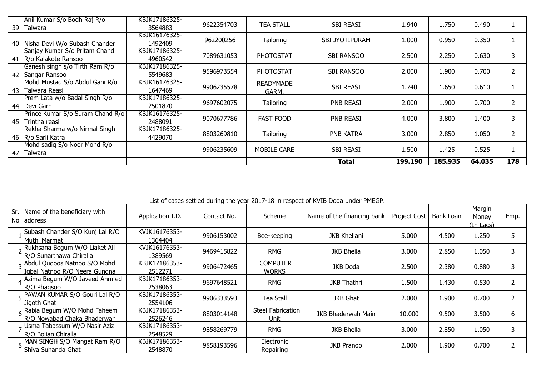| 39 | Anil Kumar S/o Bodh Raj R/o<br>Talwara | KBJK17186325-<br>3564883 | 9622354703 | <b>TEA STALL</b>   | <b>SBI REASI</b>      | 1.940   | 1.750   | 0.490  |     |
|----|----------------------------------------|--------------------------|------------|--------------------|-----------------------|---------|---------|--------|-----|
|    |                                        | KBJK16176325-            |            |                    |                       |         |         |        |     |
| 40 | Nisha Devi W/o Subash Chander          | 1492409                  | 962200256  | Tailoring          | <b>SBI JYOTIPURAM</b> | 1.000   | 0.950   | 0.350  |     |
|    | Sanjay Kumar S/o Pritam Chand          | KBJK17186325-            | 7089631053 | <b>PHOTOSTAT</b>   | SBI RANSOO            | 2.500   | 2.250   | 0.630  | 3   |
|    | 41 R/o Kalakote Ransoo                 | 4960542                  |            |                    |                       |         |         |        |     |
|    | Ganesh singh s/o Tirth Ram R/o         | KBJK17186325-            | 9596973554 | <b>PHOTOSTAT</b>   | <b>SBI RANSOO</b>     | 2.000   | 1.900   | 0.700  |     |
| 42 | Sangar Ransoo                          | 5549683                  |            |                    |                       |         |         |        |     |
|    | Mohd Mustag S/o Abdul Gani R/o         | KBJK16176325-            | 9906235578 | <b>READYMADE</b>   | <b>SBI REASI</b>      | 1.740   | 1.650   | 0.610  |     |
| 43 | Talwara Reasi                          | 1647469                  |            | GARM.              |                       |         |         |        |     |
|    | Prem Lata w/o Badal Singh R/o          | KBJK17186325-            | 9697602075 | Tailoring          | PNB REASI             | 2.000   | 1.900   | 0.700  |     |
|    | 44   Devi Garh                         | 2501870                  |            |                    |                       |         |         |        |     |
|    | Prince Kumar S/o Suram Chand R/o       | KBJK16176325-            | 9070677786 | <b>FAST FOOD</b>   | <b>PNB REASI</b>      | 4.000   | 3.800   | 1.400  | 3   |
| 45 | Trintha reasi                          | 2488091                  |            |                    |                       |         |         |        |     |
|    | Rekha Sharma w/o Nirmal Singh          | KBJK17186325-            | 8803269810 | Tailoring          | PNB KATRA             | 3.000   | 2.850   | 1.050  | フ   |
|    | 46   R/o Sarli Katra                   | 4429070                  |            |                    |                       |         |         |        |     |
|    | Mohd sadig S/o Noor Mohd R/o           |                          | 9906235609 | <b>MOBILE CARE</b> | <b>SBI REASI</b>      | 1.500   | 1.425   | 0.525  |     |
| 47 | Talwara                                |                          |            |                    |                       |         |         |        |     |
|    |                                        |                          |            |                    | Total                 | 199.190 | 185.935 | 64.035 | 178 |

List of cases settled during the year 2017-18 in respect of KVIB Doda under PMEGP.

| Sr. Name of the beneficiary with<br>No laddress                   | Application I.D.         | Contact No. | Scheme                           | Name of the financing bank | <b>Project Cost</b> | Bank Loan | Margin<br>Monev<br><u>(In Lacs)</u> | Emp. |
|-------------------------------------------------------------------|--------------------------|-------------|----------------------------------|----------------------------|---------------------|-----------|-------------------------------------|------|
| Subash Chander S/O Kunj Lal R/O<br>Muthi Marmat                   | KVJK16176353-<br>1364404 | 9906153002  | Bee-keeping                      | <b>JKB Khellani</b>        | 5.000               | 4.500     | 1.250                               |      |
| alRukhsana Begum W/O Liaket Ali<br><b>R/O Sunarthawa Chiralla</b> | KVJK16176353-<br>1389569 | 9469415822  | <b>RMG</b>                       | <b>JKB Bhella</b>          | 3.000               | 2.850     | 1.050                               |      |
| Abdul Qudoos Natnoo S/O Mohd<br>Igbal Natnoo R/O Neera Gundna     | KBJK17186353-<br>2512271 | 9906472465  | <b>COMPUTER</b><br><b>WORKS</b>  | JKB Doda                   | 2.500               | 2.380     | 0.880                               |      |
| 4 Azima Begum W/O Javeed Ahm ed<br><b>R/O Phagsoo</b>             | KBJK17186353-<br>2538063 | 9697648521  | <b>RMG</b>                       | <b>JKB Thathri</b>         | 1.500               | 1.430     | 0.530                               |      |
| - PAWAN KUMAR S/O Gouri Lal R/O<br>Jigoth Ghat                    | KBJK17186353-<br>2554106 | 9906333593  | Tea Stall                        | JKB Ghat                   | 2.000               | 1.900     | 0.700                               |      |
| 6 Rabia Begum W/O Mohd Faheem<br>IR/O Nowabad Chaka Bhaderwah     | KBJK17186353-<br>2526246 | 8803014148  | <b>Steel Fabrication</b><br>Unit | JKB Bhaderwah Main         | 10.000              | 9.500     | 3.500                               | 6    |
| JUsma Tabassum W/O Nasir Aziz<br>IR/O Bolian Chiralla             | KBJK17186353-<br>2548529 | 9858269779  | <b>RMG</b>                       | <b>JKB Bhella</b>          | 3.000               | 2.850     | 1.050                               |      |
| 8 MAN SINGH S/O Mangat Ram R/O<br>Shiva Suhanda Ghat              | KBJK17186353-<br>2548870 | 9858193596  | Electronic<br>Repairing          | <b>JKB Pranoo</b>          | 2.000               | 1.900     | 0.700                               |      |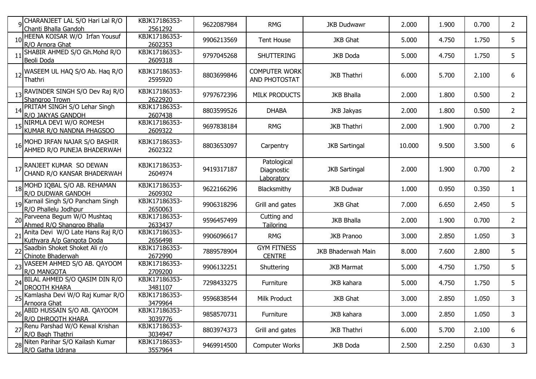|    | q CHARANJEET LAL S/O Hari Lal R/O<br>Chanti Bhalla Gandoh     | KBJK17186353-<br>2561292         | 9622087984 | <b>RMG</b>                              | <b>JKB Dudwawr</b>   | 2.000  | 1.900 | 0.700 | $\overline{2}$ |
|----|---------------------------------------------------------------|----------------------------------|------------|-----------------------------------------|----------------------|--------|-------|-------|----------------|
|    | HEENA KOISAR W/O Irfan Yousuf<br>R/O Arnora Ghat              | KBJK17186353-<br>2602353         | 9906213569 | <b>Tent House</b>                       | <b>JKB Ghat</b>      | 5.000  | 4.750 | 1.750 | 5              |
|    | SHABIR AHMED S/O Gh. Mohd R/O<br>Beoli Doda                   | KBJK17186353-<br>2609318         | 9797045268 | <b>SHUTTERING</b>                       | JKB Doda             | 5.000  | 4.750 | 1.750 | 5              |
| 12 | WASEEM UL HAQ S/O Ab. Haq R/O<br>Thathri                      | KBJK17186353-<br>2595920         | 8803699846 | <b>COMPUTER WORK</b><br>AND PHOTOSTAT   | <b>JKB Thathri</b>   | 6.000  | 5.700 | 2.100 | 6              |
| 13 | RAVINDER SINGH S/O Dev Raj R/O<br>Shangroo Trown              | KBJK17186353-<br>2622920         | 9797672396 | <b>MILK PRODUCTS</b>                    | <b>JKB Bhalla</b>    | 2.000  | 1.800 | 0.500 | $\overline{2}$ |
|    | PRITAM SINGH S/O Lehar Singh<br>R/O JAKYAS GANDOH             | KBJK17186353-<br>2607438         | 8803599526 | <b>DHABA</b>                            | JKB Jakyas           | 2.000  | 1.800 | 0.500 | $\overline{2}$ |
|    | NIRMLA DEVI W/O ROMESH<br>KUMAR R/O NANDNA PHAGSOO            | KBJK17186353-<br>2609322         | 9697838184 | <b>RMG</b>                              | <b>JKB Thathri</b>   | 2.000  | 1.900 | 0.700 | $\overline{2}$ |
| 16 | MOHD IRFAN NAJAR S/O BASHIR<br>AHMED R/O PUNEJA BHADERWAH     | KBJK17186353-<br>2602322         | 8803653097 | Carpentry                               | <b>JKB Sartingal</b> | 10.000 | 9.500 | 3.500 | 6              |
| 17 | RANJEET KUMAR SO DEWAN<br>CHAND R/O KANSAR BHADERWAH          | KBJK17186353-<br>2604974         | 9419317187 | Patological<br>Diagnostic<br>Laboratory | <b>JKB Sartingal</b> | 2.000  | 1.900 | 0.700 | $\overline{2}$ |
| 18 | MOHD IQBAL S/O AB. REHAMAN<br>R/O DUDWAR GANDOH               | KBJK17186353-<br>2609302         | 9622166296 | Blacksmithy                             | <b>JKB Dudwar</b>    | 1.000  | 0.950 | 0.350 | 1              |
| 19 | Karnail Singh S/O Pancham Singh<br>R/O Phallelu Jodhpur       | KBJK17186353-<br>2650063         | 9906318296 | Grill and gates                         | <b>JKB Ghat</b>      | 7.000  | 6.650 | 2.450 | 5              |
|    | 20 Parveena Begum W/O Mushtaq<br>Ahmed R/O Shangroo Bhalla    | KBJK17186353-<br>2633437         | 9596457499 | Cutting and<br>Tailoring                | <b>JKB Bhalla</b>    | 2.000  | 1.900 | 0.700 | 2              |
|    | Anita Devi W/O Late Hans Raj R/O<br>Kuthyara A/p Gangota Doda | KBJK17186353-<br>2656498         | 9906096617 | <b>RMG</b>                              | <b>JKB Pranoo</b>    | 3.000  | 2.850 | 1.050 | 3              |
| 22 | Saadbin Shoket Shoket Ali r/o<br>Chinote Bhaderwah            | KBJK17186353-<br>2672990         | 7889578904 | <b>GYM FITNESS</b><br><b>CENTRE</b>     | JKB Bhaderwah Main   | 8.000  | 7.600 | 2.800 | 5              |
| 23 | VASEEM AHMED S/O AB. QAYOOM<br>R/O MANGOTA                    | KBJK17186353-<br>2709200         | 9906132251 | Shuttering                              | <b>JKB Marmat</b>    | 5.000  | 4.750 | 1.750 | 5              |
| 24 | BILAL AHMED S/O QASIM DIN R/O<br><b>DROOTH KHARA</b>          | KBJK17186353-<br>3481107         | 7298433275 | Furniture                               | JKB kahara           | 5.000  | 4.750 | 1.750 | 5              |
| 25 | Kamlasha Devi W/O Raj Kumar R/O<br>Arnoora Ghat               | KBJK17186353-<br><u>3479964 </u> | 9596838544 | Milk Product                            | <b>JKB Ghat</b>      | 3.000  | 2.850 | 1.050 | 3              |
| 26 | ABID HUSSAIN S/O AB. QAYOOM<br>R/O DHROOTH KHARA              | KBJK17186353-<br>3039776         | 9858570731 | Furniture                               | JKB kahara           | 3.000  | 2.850 | 1.050 | 3              |
|    | 27 Renu Parshad W/O Kewal Krishan<br>R/O Bagh Thathri         | KBJK17186353-<br>3034947         | 8803974373 | Grill and gates                         | <b>JKB Thathri</b>   | 6.000  | 5.700 | 2.100 | 6              |
|    | 28 Niten Parihar S/O Kailash Kumar<br>R/O Gatha Udrana        | KBJK17186353-<br>3557964         | 9469914500 | Computer Works                          | JKB Doda             | 2.500  | 2.250 | 0.630 | 3              |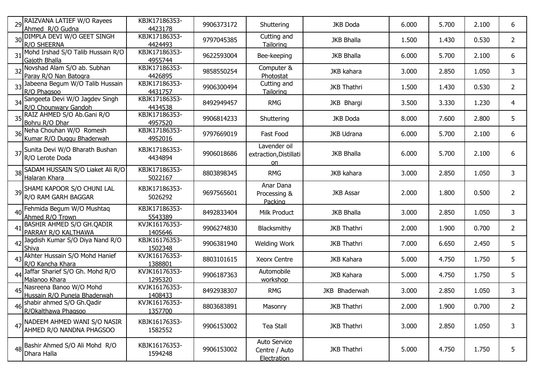|    | 29 RAIZVANA LATIEF W/O Rayees<br>Ahmed R/O Gudna          | KBJK17186353-<br>4423178 | 9906373172 | Shuttering                                   | <b>JKB Doda</b>    | 6.000 | 5.700 | 2.100 | 6              |
|----|-----------------------------------------------------------|--------------------------|------------|----------------------------------------------|--------------------|-------|-------|-------|----------------|
|    | 30 DIMPLA DEVI W/O GEET SINGH<br>R/O SHEERNA              | KBJK17186353-<br>4424493 | 9797045385 | Cutting and<br>Tailoring                     | <b>JKB Bhalla</b>  | 1.500 | 1.430 | 0.530 | 2              |
| 31 | Mohd Irshad S/O Talib Hussain R/O<br>Gajoth Bhalla        | KBJK17186353-<br>4955744 | 9622593004 | Bee-keeping                                  | <b>JKB Bhalla</b>  | 6.000 | 5.700 | 2.100 | 6              |
|    | 32 Novshad Alam S/O ab. Subhan<br>Paray R/O Nan Batogra   | KBJK17186353-<br>4426895 | 9858550254 | Computer &<br>Photostat                      | <b>JKB</b> kahara  | 3.000 | 2.850 | 1.050 | 3              |
|    | 33 Jabeena Begum W/O Talib Hussain<br>R/O Phagsoo         | KBJK17186353-<br>4431757 | 9906300494 | Cutting and<br>Tailoring                     | <b>JKB Thathri</b> | 1.500 | 1.430 | 0.530 | $\overline{2}$ |
|    | 34 Sangeeta Devi W/O Jagdev Singh<br>R/O Chounwary Gandoh | KBJK17186353-<br>4434538 | 8492949457 | <b>RMG</b>                                   | JKB Bhargi         | 3.500 | 3.330 | 1.230 | 4              |
|    | 35 RAIZ AHMED S/O Ab.Gani R/O<br>Bohru R/O Dhar           | KBJK17186353-<br>4957520 | 9906814233 | Shuttering                                   | JKB Doda           | 8.000 | 7.600 | 2.800 | 5              |
| 36 | Neha Chouhan W/O Romesh<br>Kumar R/O Duggu Bhaderwah      | KBJK17186353-<br>4952016 | 9797669019 | Fast Food                                    | <b>JKB Udrana</b>  | 6.000 | 5.700 | 2.100 | 6              |
|    | 37 Sunita Devi W/O Bharath Bushan<br>R/O Lerote Doda      | KBJK17186353-<br>4434894 | 9906018686 | Lavender oil<br>extraction, Distillati<br>on | <b>JKB Bhalla</b>  | 6.000 | 5.700 | 2.100 | 6              |
|    | 38 SADAM HUSSAIN S/O Liaket Ali R/O<br>Halaran Khara      | KBJK17186353-<br>5022167 | 8803898345 | <b>RMG</b>                                   | JKB kahara         | 3.000 | 2.850 | 1.050 | 3              |
|    | 39 SHAMI KAPOOR S/O CHUNI LAL<br>R/O RAM GARH BAGGAR      | KBJK17186353-<br>5026292 | 9697565601 | Anar Dana<br>Processing &<br>Packing         | <b>JKB Assar</b>   | 2.000 | 1.800 | 0.500 | 2              |
| 40 | Fehmida Begum W/O Mushtaq<br>Ahmed R/O Trown              | KBJK17186353-<br>5543389 | 8492833404 | Milk Product                                 | <b>JKB Bhalla</b>  | 3.000 | 2.850 | 1.050 | 3              |
| 41 | Bashir Ahmed S/O Gh.Qadir<br>PARRAY R/O KALTHAWA          | KVJK16176353-<br>1405646 | 9906274830 | Blacksmithy                                  | <b>JKB Thathri</b> | 2.000 | 1.900 | 0.700 | $\overline{2}$ |
| 42 | Jagdish Kumar S/O Diya Nand R/O<br>Shiva                  | KBJK16176353-<br>1502348 | 9906381940 | Welding Work                                 | <b>JKB Thathri</b> | 7.000 | 6.650 | 2.450 | 5              |
| 43 | Akhter Hussain S/O Mohd Hanief<br>R/O Kancha Khara        | KVJK16176353-<br>1388801 | 8803101615 | <b>Xeorx Centre</b>                          | <b>JKB Kahara</b>  | 5.000 | 4.750 | 1.750 | 5              |
| 44 | Jaffar Sharief S/O Gh. Mohd R/O<br>Malanoo Khara          | KVJK16176353-<br>1295320 | 9906187363 | Automobile<br>workshop                       | <b>JKB Kahara</b>  | 5.000 | 4.750 | 1.750 | 5              |
| 45 | Nasreena Banoo W/O Mohd<br>Hussain R/O Puneja Bhaderwah   | KVJK16176353-<br>1408433 | 8492938307 | <b>RMG</b>                                   | JKB Bhaderwah      | 3.000 | 2.850 | 1.050 | 3              |
|    | 46 shabir ahmed S/O Gh.Qadir<br>R/Okalthawa Phagsoo       | KVJK16176353-<br>1357700 | 8803683891 | Masonry                                      | <b>JKB Thathri</b> | 2.000 | 1.900 | 0.700 | $\overline{2}$ |
| 47 | NADEEM AHMED WANI S/O NASIR<br>AHMED R/O NANDNA PHAGSOO   | KBJK16176353-<br>1582552 | 9906153002 | <b>Tea Stall</b>                             | <b>JKB Thathri</b> | 3.000 | 2.850 | 1.050 | 3              |
|    | 48 Bashir Ahmed S/O Ali Mohd R/O<br>Dhara Halla           | KBJK16176353-<br>1594248 | 9906153002 | Auto Service<br>Centre / Auto<br>Electration | <b>JKB Thathri</b> | 5.000 | 4.750 | 1.750 | 5              |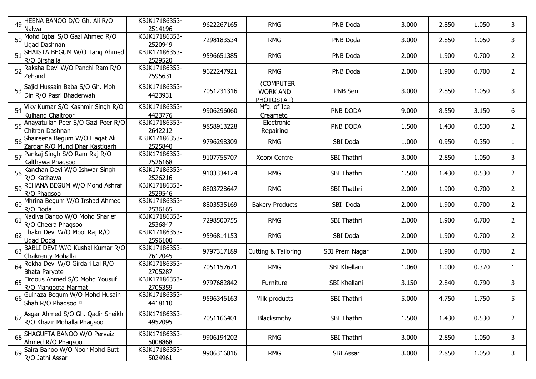|    | 49 HEENA BANOO D/O Gh. Ali R/O<br>Nalwa                             | KBJK17186353-<br>2514196 | 9622267165 | <b>RMG</b>                                 | PNB Doda       | 3.000 | 2.850 | 1.050 | 3              |
|----|---------------------------------------------------------------------|--------------------------|------------|--------------------------------------------|----------------|-------|-------|-------|----------------|
|    | 50 Mohd Iqbal S/O Gazi Ahmed R/O<br>Ugad Dashnan                    | KBJK17186353-<br>2520949 | 7298183534 | <b>RMG</b>                                 | PNB Doda       | 3.000 | 2.850 | 1.050 | 3              |
|    | 51 SHAISTA BEGUM W/O Tariq Ahmed<br>R/O Birshalla                   | KBJK17186353-<br>2529520 | 9596651385 | <b>RMG</b>                                 | PNB Doda       | 2.000 | 1.900 | 0.700 | 2              |
|    | 52 Raksha Devi W/O Panchi Ram R/O<br>Zehand                         | KBJK17186353-<br>2595631 | 9622247921 | <b>RMG</b>                                 | PNB Doda       | 2.000 | 1.900 | 0.700 | $\overline{2}$ |
|    | 53 Sajid Hussain Baba S/O Gh. Mohi<br>Din R/O Pasri Bhaderwah       | KBJK17186353-<br>4423931 | 7051231316 | (COMPUTER<br><b>WORK AND</b><br>PHOTOSTAT) | PNB Seri       | 3.000 | 2.850 | 1.050 | 3              |
|    | 54 Viky Kumar S/O Kashmir Singh R/O<br>Kulhand Chaitroor            | KBJK17186353-<br>4423776 | 9906296060 | Mfg. of Ice<br>Creametc.                   | PNB DODA       | 9.000 | 8.550 | 3.150 | 6              |
|    | 55 Anayatullah Peer S/O Gazi Peer R/O<br>Chitran Dashnan            | KBJK17186353-<br>2642212 | 9858913228 | Electronic<br>Repairing                    | PNB DODA       | 1.500 | 1.430 | 0.530 | $\overline{2}$ |
|    | 56 Shaireena Begum W/O Liaqat Ali<br>Zargar R/O Mund Dhar Kastigarh | KBJK17186353-<br>2525840 | 9796298309 | <b>RMG</b>                                 | SBI Doda       | 1.000 | 0.950 | 0.350 | 1              |
|    | 57 Pankaj Singh S/O Ram Raj R/O<br>Kalthawa Phagsoo                 | KBJK17186353-<br>2526168 | 9107755707 | <b>Xeorx Centre</b>                        | SBI Thathri    | 3.000 | 2.850 | 1.050 | 3              |
|    | 58 Kanchan Devi W/O Ishwar Singh<br>R/O Kathawa                     | KBJK17186353-<br>2526216 | 9103334124 | <b>RMG</b>                                 | SBI Thathri    | 1.500 | 1.430 | 0.530 | $\overline{2}$ |
|    | 59 REHANA BEGUM W/O Mohd Ashraf<br>R/O Phagsoo                      | KBJK17186353-<br>2529546 | 8803728647 | <b>RMG</b>                                 | SBI Thathri    | 2.000 | 1.900 | 0.700 | 2              |
|    | 60 Mhrina Begum W/O Irshad Ahmed<br>R/O Doda                        | KBJK17186353-<br>2536165 | 8803535169 | <b>Bakery Products</b>                     | SBI Doda       | 2.000 | 1.900 | 0.700 | 2              |
| 61 | Nadiya Banoo W/O Mohd Sharief<br>R/O Cheera Phagsoo                 | KBJK17186353-<br>2536847 | 7298500755 | <b>RMG</b>                                 | SBI Thathri    | 2.000 | 1.900 | 0.700 | $\overline{2}$ |
|    | 62 Thakri Devi W/O Mool Raj R/O<br><b>Ugad Doda</b>                 | KBJK17186353-<br>2596100 | 9596814153 | <b>RMG</b>                                 | SBI Doda       | 2.000 | 1.900 | 0.700 | $\overline{2}$ |
| 63 | BABLI DEVI W/O Kushal Kumar R/O<br><b>Chakrenty Mohalla</b>         | KBJK17186353-<br>2612045 | 9797317189 | Cutting & Tailoring                        | SBI Prem Nagar | 2.000 | 1.900 | 0.700 | $\overline{2}$ |
| 64 | Rekha Devi W/O Girdari Lal R/O<br><b>Bhata Paryote</b>              | KBJK17186353-<br>2705287 | 7051157671 | <b>RMG</b>                                 | SBI Khellani   | 1.060 | 1.000 | 0.370 | 1              |
|    | 65 Firdous Ahmed S/O Mohd Yousuf<br>R/O Mangoota Marmat             | KBJK17186353-<br>2705359 | 9797682842 | Furniture                                  | SBI Khellani   | 3.150 | 2.840 | 0.790 | 3              |
| 66 | Gulnaza Begum W/O Mohd Husain<br>Shah R/O Phagsoo                   | KBJK17186353-<br>4418110 | 9596346163 | Milk products                              | SBI Thathri    | 5.000 | 4.750 | 1.750 | 5              |
|    | 67 Asgar Ahmed S/O Gh. Qadir Sheikh<br>R/O Khazir Mohalla Phagsoo   | KBJK17186353-<br>4952095 | 7051166401 | Blacksmithy                                | SBI Thathri    | 1.500 | 1.430 | 0.530 | $\overline{2}$ |
|    | 68 SHAGUFTA BANOO W/O Pervaiz<br>Ahmed R/O Phagsoo                  | KBJK17186353-<br>5008868 | 9906194202 | <b>RMG</b>                                 | SBI Thathri    | 3.000 | 2.850 | 1.050 | 3              |
|    | 69 Saira Banoo W/O Noor Mohd Butt<br>R/O Jathi Assar                | KBJK17186353-<br>5024961 | 9906316816 | <b>RMG</b>                                 | SBI Assar      | 3.000 | 2.850 | 1.050 | 3              |